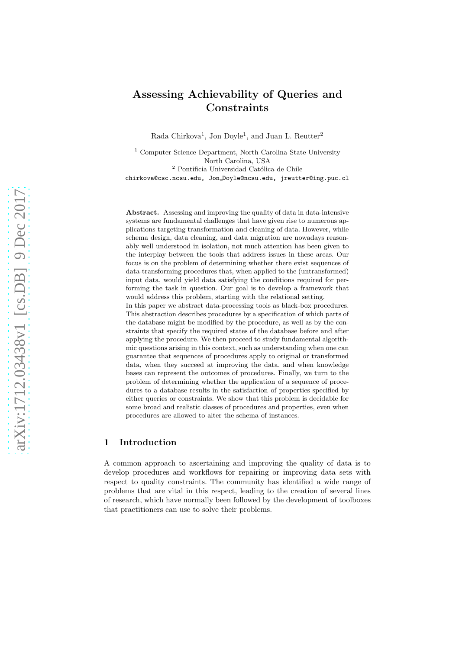# Assessing Achievability of Queries and **Constraints**

Rada Chirkova<sup>1</sup>, Jon Doyle<sup>1</sup>, and Juan L. Reutter<sup>2</sup>

<sup>1</sup> Computer Science Department, North Carolina State University North Carolina, USA  $^2$  Pontificia Universidad Católica de Chile chirkova@csc.ncsu.edu, Jon Doyle@ncsu.edu, jreutter@ing.puc.cl

Abstract. Assessing and improving the quality of data in data-intensive systems are fundamental challenges that have given rise to numerous applications targeting transformation and cleaning of data. However, while schema design, data cleaning, and data migration are nowadays reasonably well understood in isolation, not much attention has been given to the interplay between the tools that address issues in these areas. Our focus is on the problem of determining whether there exist sequences of data-transforming procedures that, when applied to the (untransformed) input data, would yield data satisfying the conditions required for performing the task in question. Our goal is to develop a framework that would address this problem, starting with the relational setting. In this paper we abstract data-processing tools as black-box procedures. This abstraction describes procedures by a specification of which parts of the database might be modified by the procedure, as well as by the constraints that specify the required states of the database before and after applying the procedure. We then proceed to study fundamental algorithmic questions arising in this context, such as understanding when one can guarantee that sequences of procedures apply to original or transformed data, when they succeed at improving the data, and when knowledge

bases can represent the outcomes of procedures. Finally, we turn to the problem of determining whether the application of a sequence of procedures to a database results in the satisfaction of properties specified by either queries or constraints. We show that this problem is decidable for some broad and realistic classes of procedures and properties, even when procedures are allowed to alter the schema of instances.

# <span id="page-0-0"></span>1 Introduction

A common approach to ascertaining and improving the quality of data is to develop procedures and workflows for repairing or improving data sets with respect to quality constraints. The community has identified a wide range of problems that are vital in this respect, leading to the creation of several lines of research, which have normally been followed by the development of toolboxes that practitioners can use to solve their problems.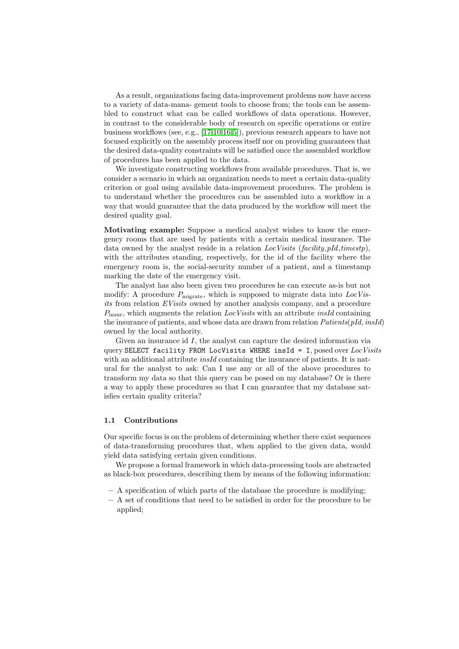As a result, organizations facing data-improvement problems now have access to a variety of data-mana- gement tools to choose from; the tools can be assembled to construct what can be called workflows of data operations. However, in contrast to the considerable body of research on specific operations or entire business workflows (see, e.g., [\[17,](#page-24-0)[10](#page-24-1)[,16,](#page-24-2)[5\]](#page-24-3)), previous research appears to have not focused explicitly on the assembly process itself nor on providing guarantees that the desired data-quality constraints will be satisfied once the assembled workflow of procedures has been applied to the data.

We investigate constructing workflows from available procedures. That is, we consider a scenario in which an organization needs to meet a certain data-quality criterion or goal using available data-improvement procedures. The problem is to understand whether the procedures can be assembled into a workflow in a way that would guarantee that the data produced by the workflow will meet the desired quality goal.

Motivating example: Suppose a medical analyst wishes to know the emergency rooms that are used by patients with a certain medical insurance. The data owned by the analyst reside in a relation  $LocVisits$  (facility, pId, timestp), with the attributes standing, respectively, for the id of the facility where the emergency room is, the social-security number of a patient, and a timestamp marking the date of the emergency visit.

The analyst has also been given two procedures he can execute as-is but not modify: A procedure  $P_{\text{migrate}}$ , which is supposed to migrate data into  $LocVis$ its from relation EVisits owned by another analysis company, and a procedure  $P_{\text{insur}}$ , which augments the relation LocVisits with an attribute insId containing the insurance of patients, and whose data are drawn from relation  $Patients(pld, insId)$ owned by the local authority.

Given an insurance id I, the analyst can capture the desired information via query SELECT facility FROM LocVisits WHERE insId = I, posed over  $Loc\,Visits$ with an additional attribute *insId* containing the insurance of patients. It is natural for the analyst to ask: Can I use any or all of the above procedures to transform my data so that this query can be posed on my database? Or is there a way to apply these procedures so that I can guarantee that my database satisfies certain quality criteria?

## 1.1 Contributions

Our specific focus is on the problem of determining whether there exist sequences of data-transforming procedures that, when applied to the given data, would yield data satisfying certain given conditions.

We propose a formal framework in which data-processing tools are abstracted as black-box procedures, describing them by means of the following information:

- A specification of which parts of the database the procedure is modifying;
- A set of conditions that need to be satisfied in order for the procedure to be applied;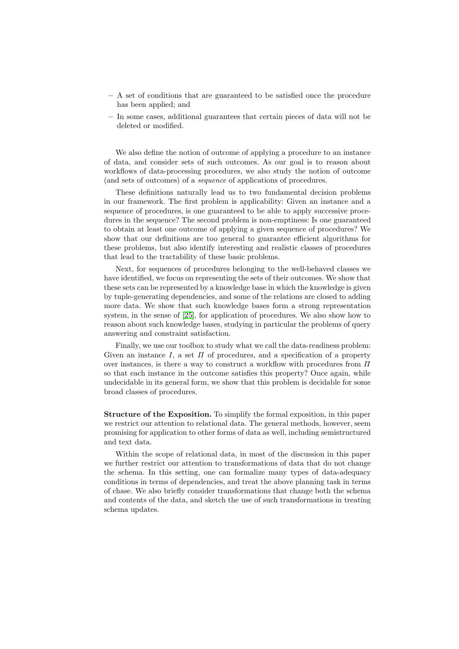- A set of conditions that are guaranteed to be satisfied once the procedure has been applied; and
- In some cases, additional guarantees that certain pieces of data will not be deleted or modified.

We also define the notion of outcome of applying a procedure to an instance of data, and consider sets of such outcomes. As our goal is to reason about workflows of data-processing procedures, we also study the notion of outcome (and sets of outcomes) of a sequence of applications of procedures.

These definitions naturally lead us to two fundamental decision problems in our framework. The first problem is applicability: Given an instance and a sequence of procedures, is one guaranteed to be able to apply successive procedures in the sequence? The second problem is non-emptiness: Is one guaranteed to obtain at least one outcome of applying a given sequence of procedures? We show that our definitions are too general to guarantee efficient algorithms for these problems, but also identify interesting and realistic classes of procedures that lead to the tractability of these basic problems.

Next, for sequences of procedures belonging to the well-behaved classes we have identified, we focus on representing the sets of their outcomes. We show that these sets can be represented by a knowledge base in which the knowledge is given by tuple-generating dependencies, and some of the relations are closed to adding more data. We show that such knowledge bases form a strong representation system, in the sense of [\[25\]](#page-25-0), for application of procedures. We also show how to reason about such knowledge bases, studying in particular the problems of query answering and constraint satisfaction.

Finally, we use our toolbox to study what we call the data-readiness problem: Given an instance I, a set  $\Pi$  of procedures, and a specification of a property over instances, is there a way to construct a workflow with procedures from  $\Pi$ so that each instance in the outcome satisfies this property? Once again, while undecidable in its general form, we show that this problem is decidable for some broad classes of procedures.

Structure of the Exposition. To simplify the formal exposition, in this paper we restrict our attention to relational data. The general methods, however, seem promising for application to other forms of data as well, including semistructured and text data.

Within the scope of relational data, in most of the discussion in this paper we further restrict our attention to transformations of data that do not change the schema. In this setting, one can formalize many types of data-adequacy conditions in terms of dependencies, and treat the above planning task in terms of chase. We also briefly consider transformations that change both the schema and contents of the data, and sketch the use of such transformations in treating schema updates.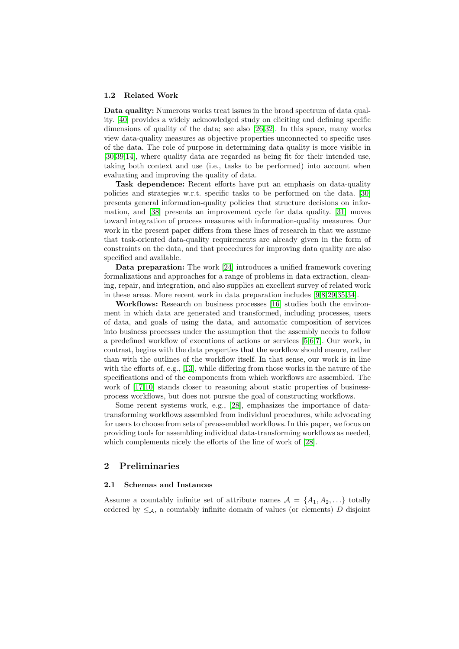#### 1.2 Related Work

Data quality: Numerous works treat issues in the broad spectrum of data quality. [\[40\]](#page-25-1) provides a widely acknowledged study on eliciting and defining specific dimensions of quality of the data; see also [\[26,](#page-25-2)[32\]](#page-25-3). In this space, many works view data-quality measures as objective properties unconnected to specific uses of the data. The role of purpose in determining data quality is more visible in [\[30](#page-25-4)[,39](#page-25-5)[,14\]](#page-24-4), where quality data are regarded as being fit for their intended use, taking both context and use (i.e., tasks to be performed) into account when evaluating and improving the quality of data.

Task dependence: Recent efforts have put an emphasis on data-quality policies and strategies w.r.t. specific tasks to be performed on the data. [\[30\]](#page-25-4) presents general information-quality policies that structure decisions on information, and [\[38\]](#page-25-6) presents an improvement cycle for data quality. [\[31\]](#page-25-7) moves toward integration of process measures with information-quality measures. Our work in the present paper differs from these lines of research in that we assume that task-oriented data-quality requirements are already given in the form of constraints on the data, and that procedures for improving data quality are also specified and available.

Data preparation: The work [\[24\]](#page-25-8) introduces a unified framework covering formalizations and approaches for a range of problems in data extraction, cleaning, repair, and integration, and also supplies an excellent survey of related work in these areas. More recent work in data preparation includes [\[9,](#page-24-5)[8,](#page-24-6)[29,](#page-25-9)[35](#page-25-10)[,34\]](#page-25-11).

Workflows: Research on business processes [\[16\]](#page-24-2) studies both the environment in which data are generated and transformed, including processes, users of data, and goals of using the data, and automatic composition of services into business processes under the assumption that the assembly needs to follow a predefined workflow of executions of actions or services [\[5,](#page-24-3)[6,](#page-24-7)[7\]](#page-24-8). Our work, in contrast, begins with the data properties that the workflow should ensure, rather than with the outlines of the workflow itself. In that sense, our work is in line with the efforts of, e.g., [\[13\]](#page-24-9), while differing from those works in the nature of the specifications and of the components from which workflows are assembled. The work of [\[17](#page-24-0)[,10\]](#page-24-1) stands closer to reasoning about static properties of businessprocess workflows, but does not pursue the goal of constructing workflows.

Some recent systems work, e.g., [\[28\]](#page-25-12), emphasizes the importance of datatransforming workflows assembled from individual procedures, while advocating for users to choose from sets of preassembled workflows. In this paper, we focus on providing tools for assembling individual data-transforming workflows as needed, which complements nicely the efforts of the line of work of [\[28\]](#page-25-12).

## 2 Preliminaries

## 2.1 Schemas and Instances

Assume a countably infinite set of attribute names  $A = \{A_1, A_2, ...\}$  totally ordered by  $\leq_{\mathcal{A}}$ , a countably infinite domain of values (or elements) D disjoint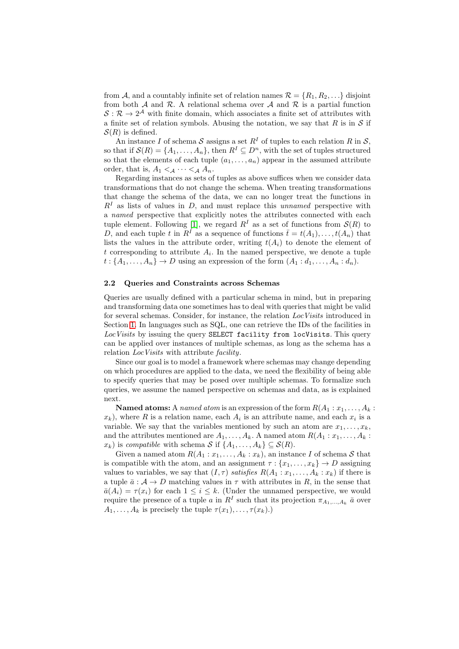from A, and a countably infinite set of relation names  $\mathcal{R} = \{R_1, R_2, \ldots\}$  disjoint from both  $A$  and  $R$ . A relational schema over  $A$  and  $R$  is a partial function  $S: \mathcal{R} \to 2^{\mathcal{A}}$  with finite domain, which associates a finite set of attributes with a finite set of relation symbols. Abusing the notation, we say that R is in  $S$  if  $S(R)$  is defined.

An instance I of schema S assigns a set  $R<sup>I</sup>$  of tuples to each relation R in S, so that if  $\mathcal{S}(R) = \{A_1, \ldots, A_n\}$ , then  $R^I \subseteq D^n$ , with the set of tuples structured so that the elements of each tuple  $(a_1, \ldots, a_n)$  appear in the assumed attribute order, that is,  $A_1 <_{\mathcal{A}} \cdots <_{\mathcal{A}} A_n$ .

Regarding instances as sets of tuples as above suffices when we consider data transformations that do not change the schema. When treating transformations that change the schema of the data, we can no longer treat the functions in  $R<sup>I</sup>$  as lists of values in D, and must replace this unnamed perspective with a named perspective that explicitly notes the attributes connected with each tuple element. Following [\[1\]](#page-23-0), we regard  $R<sup>I</sup>$  as a set of functions from  $\mathcal{S}(R)$  to D, and each tuple t in  $R^I$  as a sequence of functions  $\bar{t}=t(A_1),\ldots,t(A_n)$  that lists the values in the attribute order, writing  $t(A_i)$  to denote the element of t corresponding to attribute  $A_i$ . In the named perspective, we denote a tuple  $t: \{A_1, \ldots, A_n\} \to D$  using an expression of the form  $(A_1: d_1, \ldots, A_n: d_n)$ .

#### <span id="page-4-0"></span>2.2 Queries and Constraints across Schemas

Queries are usually defined with a particular schema in mind, but in preparing and transforming data one sometimes has to deal with queries that might be valid for several schemas. Consider, for instance, the relation  $LocVisits$  introduced in Section [1.](#page-0-0) In languages such as SQL, one can retrieve the IDs of the facilities in LocVisits by issuing the query SELECT facility from locVisits. This query can be applied over instances of multiple schemas, as long as the schema has a relation *LocVisits* with attribute *facility*.

Since our goal is to model a framework where schemas may change depending on which procedures are applied to the data, we need the flexibility of being able to specify queries that may be posed over multiple schemas. To formalize such queries, we assume the named perspective on schemas and data, as is explained next.

**Named atoms:** A named atom is an expression of the form  $R(A_1 : x_1, \ldots, A_k : A_k)$  $(x_k)$ , where R is a relation name, each  $A_i$  is an attribute name, and each  $x_i$  is a variable. We say that the variables mentioned by such an atom are  $x_1, \ldots, x_k$ , and the attributes mentioned are  $A_1, \ldots, A_k$ . A named atom  $R(A_1 : x_1, \ldots, A_k :$  $x_k$ ) is compatible with schema S if  $\{A_1, \ldots, A_k\} \subseteq \mathcal{S}(R)$ .

Given a named atom  $R(A_1 : x_1, \ldots, A_k : x_k)$ , an instance I of schema S that is compatible with the atom, and an assignment  $\tau : \{x_1, \ldots, x_k\} \to D$  assigning values to variables, we say that  $(I, \tau)$  satisfies  $R(A_1 : x_1, \ldots, A_k : x_k)$  if there is a tuple  $\bar{a}: A \to D$  matching values in  $\tau$  with attributes in R, in the sense that  $\bar{a}(A_i) = \tau(x_i)$  for each  $1 \leq i \leq k$ . (Under the unnamed perspective, we would require the presence of a tuple a in  $R^I$  such that its projection  $\pi_{A_1,...,A_k}$   $\bar{a}$  over  $A_1, \ldots, A_k$  is precisely the tuple  $\tau(x_1), \ldots, \tau(x_k)$ .)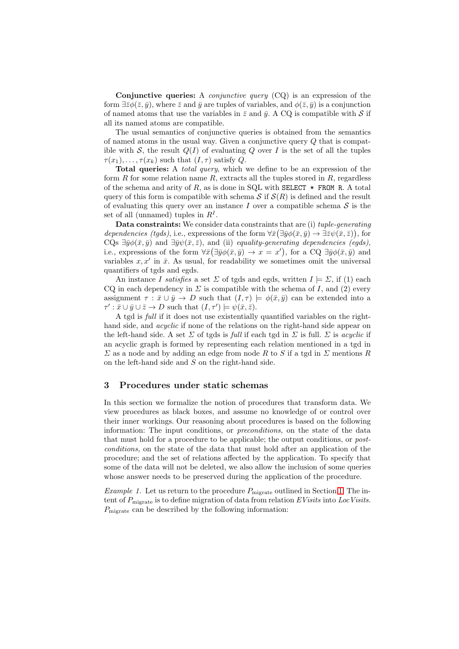Conjunctive queries: A *conjunctive query*  $(CQ)$  is an expression of the form  $\exists \bar{z}\phi(\bar{z}, \bar{y})$ , where  $\bar{z}$  and  $\bar{y}$  are tuples of variables, and  $\phi(\bar{z}, \bar{y})$  is a conjunction of named atoms that use the variables in  $\bar{z}$  and  $\bar{y}$ . A CQ is compatible with S if all its named atoms are compatible.

The usual semantics of conjunctive queries is obtained from the semantics of named atoms in the usual way. Given a conjunctive query Q that is compatible with S, the result  $Q(I)$  of evaluating Q over I is the set of all the tuples  $\tau(x_1), \ldots, \tau(x_k)$  such that  $(I, \tau)$  satisfy Q.

Total queries: A *total query*, which we define to be an expression of the form R for some relation name R, extracts all the tuples stored in R, regardless of the schema and arity of R, as is done in SQL with SELECT  $*$  FROM R. A total query of this form is compatible with schema  $S$  if  $S(R)$  is defined and the result of evaluating this query over an instance  $I$  over a compatible schema  $S$  is the set of all (unnamed) tuples in  $R<sup>I</sup>$ .

Data constraints: We consider data constraints that are (i) tuple-generating dependencies (tgds), i.e., expressions of the form  $\forall \bar{x}(\exists \bar{y}\phi(\bar{x},\bar{y}) \rightarrow \exists \bar{z}\psi(\bar{x},\bar{z}))$ , for CQs  $\exists \bar{y}\phi(\bar{x}, \bar{y})$  and  $\exists \bar{y}\psi(\bar{x}, \bar{z})$ , and (ii) equality-generating dependencies (eqds), i.e., expressions of the form  $\forall \bar{x}(\exists \bar{y}\phi(\bar{x},\bar{y}) \rightarrow x=x')$ , for a CQ  $\exists \bar{y}\phi(\bar{x},\bar{y})$  and variables  $x, x'$  in  $\bar{x}$ . As usual, for readability we sometimes omit the universal quantifiers of tgds and egds.

An instance I satisfies a set  $\Sigma$  of tgds and egds, written  $I \models \Sigma$ , if (1) each CQ in each dependency in  $\Sigma$  is compatible with the schema of I, and (2) every assignment  $\tau : \bar{x} \cup \bar{y} \to D$  such that  $(I, \tau) \models \phi(\bar{x}, \bar{y})$  can be extended into a  $\tau': \bar{x} \cup \bar{y} \cup \bar{z} \to D$  such that  $(I, \tau') \models \psi(\bar{x}, \bar{z})$ .

A tgd is full if it does not use existentially quantified variables on the righthand side, and *acyclic* if none of the relations on the right-hand side appear on the left-hand side. A set  $\Sigma$  of tgds is full if each tgd in  $\Sigma$  is full.  $\Sigma$  is *acyclic* if an acyclic graph is formed by representing each relation mentioned in a tgd in  $\Sigma$  as a node and by adding an edge from node R to S if a tgd in  $\Sigma$  mentions R on the left-hand side and S on the right-hand side.

# 3 Procedures under static schemas

In this section we formalize the notion of procedures that transform data. We view procedures as black boxes, and assume no knowledge of or control over their inner workings. Our reasoning about procedures is based on the following information: The input conditions, or *preconditions*, on the state of the data that must hold for a procedure to be applicable; the output conditions, or postconditions, on the state of the data that must hold after an application of the procedure; and the set of relations affected by the application. To specify that some of the data will not be deleted, we also allow the inclusion of some queries whose answer needs to be preserved during the application of the procedure.

<span id="page-5-0"></span>*Example [1.](#page-0-0)* Let us return to the procedure  $P_{\text{migrate}}$  outlined in Section 1. The intent of  $P_{\text{mixture}}$  is to define migration of data from relation EVisits into LocVisits.  $P_{\text{mixture}}$  can be described by the following information: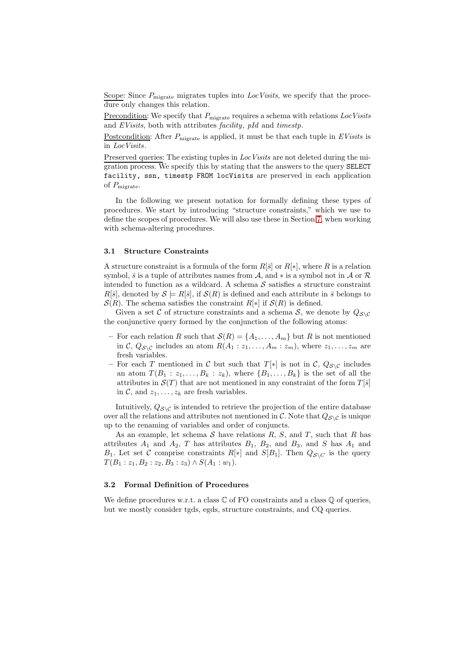Scope: Since  $P_{\text{migrate}}$  migrates tuples into  $LocVisits$ , we specify that the procedure only changes this relation.

Precondition: We specify that  $P_{\text{mixture}}$  requires a schema with relations LocVisits and EVisits, both with attributes facility, pId and timestp.

Postcondition: After  $P_{\text{migure}}$  is applied, it must be that each tuple in  $EVisits$  is in LocVisits.

Preserved queries: The existing tuples in *Loc Visits* are not deleted during the migration process. We specify this by stating that the answers to the query SELECT facility, ssn, timestp FROM locVisits are preserved in each application of  $P_{\text{mixture}}$ .

In the following we present notation for formally defining these types of procedures. We start by introducing "structure constraints," which we use to define the scopes of procedures. We will also use these in Section [7,](#page-17-0) when working with schema-altering procedures.

#### 3.1 Structure Constraints

A structure constraint is a formula of the form  $R[\bar{s}]$  or  $R[*]$ , where R is a relation symbol,  $\bar{s}$  is a tuple of attributes names from A, and  $*$  is a symbol not in A or  $\mathcal R$ intended to function as a wildcard. A schema  $S$  satisfies a structure constraint  $R[\bar{s}]$ , denoted by  $S \models R[\bar{s}]$ , if  $S(R)$  is defined and each attribute in  $\bar{s}$  belongs to  $\mathcal{S}(R)$ . The schema satisfies the constraint  $R[*]$  if  $\mathcal{S}(R)$  is defined.

Given a set C of structure constraints and a schema S, we denote by  $Q_{\mathcal{S}\setminus\mathcal{C}}$ the conjunctive query formed by the conjunction of the following atoms:

- For each relation R such that  $\mathcal{S}(R) = \{A_1, \ldots, A_m\}$  but R is not mentioned in C,  $Q_{\mathcal{S}\setminus\mathcal{C}}$  includes an atom  $R(A_1 : z_1, \ldots, A_m : z_m)$ , where  $z_1, \ldots, z_m$  are fresh variables.
- For each T mentioned in C but such that  $T[*]$  is not in C,  $Q_{\mathcal{S}\setminus\mathcal{C}}$  includes an atom  $T(B_1 : z_1, \ldots, B_k : z_k)$ , where  $\{B_1, \ldots, B_k\}$  is the set of all the attributes in  $\mathcal{S}(T)$  that are not mentioned in any constraint of the form  $T[\bar{s}]$ in C, and  $z_1, \ldots, z_k$  are fresh variables.

Intuitively,  $Q_{\mathcal{S}\setminus\mathcal{C}}$  is intended to retrieve the projection of the entire database over all the relations and attributes not mentioned in C. Note that  $Q_{\mathcal{S}\setminus\mathcal{C}}$  is unique up to the renaming of variables and order of conjuncts.

As an example, let schema  $S$  have relations  $R$ ,  $S$ , and  $T$ , such that  $R$  has attributes  $A_1$  and  $A_2$ , T has attributes  $B_1$ ,  $B_2$ , and  $B_3$ , and S has  $A_1$  and  $B_1$ . Let set C comprise constraints  $R[*]$  and  $S[B_1]$ . Then  $Q_{S\setminus C}$  is the query  $T(B_1:z_1,B_2:z_2,B_3:z_3)\wedge S(A_1:w_1).$ 

# 3.2 Formal Definition of Procedures

We define procedures w.r.t. a class  $\mathbb C$  of FO constraints and a class  $\mathbb Q$  of queries, but we mostly consider tgds, egds, structure constraints, and CQ queries.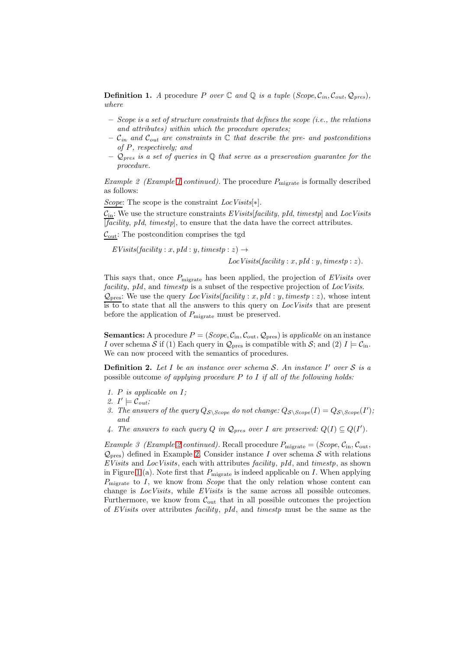**Definition 1.** A procedure P over  $\mathbb C$  and  $\mathbb Q$  is a tuple  $(Scope, C_{in}, C_{out}, Q_{pres})$ , where

- $-$  Scope is a set of structure constraints that defines the scope (i.e., the relations and attributes) within which the procedure operates;
- $\mathcal{C}_{in}$  and  $\mathcal{C}_{out}$  are constraints in  $\mathbb C$  that describe the pre- and postconditions of P, respectively; and
- $\mathcal{Q}_{pres}$  is a set of queries in  $\mathbb Q$  that serve as a preservation quarantee for the procedure.

<span id="page-7-0"></span>*Example 2 (Example [1](#page-5-0) continued)*. The procedure  $P_{\text{miprate}}$  is formally described as follows:

Scope: The scope is the constraint  $LocVisits[*]$ .

 $C_{\text{in}}$ : We use the structure constraints EVisits[facility, pId, timestp] and LocVisits  $[\overline{facility}, pId, \overline{timestp}]$ , to ensure that the data have the correct attributes.

 $\mathcal{C}_{\text{out}}$ : The postcondition comprises the tgd

 $EVisits(facility: x, pId: y, timestamp: z) \rightarrow$ 

<span id="page-7-2"></span> $LocVisits(facility: x, pId: y, timestamp: z).$ 

This says that, once  $P_{\text{migure}}$  has been applied, the projection of EVisits over facility, pId, and timestp is a subset of the respective projection of LocVisits.  $\mathcal{Q}_{\text{pres}}$ : We use the query  $LocVisits(facility: x, pId: y, timestamp: z)$ , whose intent is to to state that all the answers to this query on LocVisits that are present before the application of  $P_{\text{migrate}}$  must be preserved.

**Semantics:** A procedure  $P = (Scope, C_{in}, C_{out}, Q_{pres})$  is applicable on an instance I over schema S if (1) Each query in  $\mathcal{Q}_{\text{pres}}$  is compatible with S; and (2)  $I \models \mathcal{C}_{\text{in}}$ . We can now proceed with the semantics of procedures.

**Definition 2.** Let I be an instance over schema S. An instance I' over S is a possible outcome of applying procedure  $P$  to  $I$  if all of the following holds:

- 1. P is applicable on  $I$ ;
- 2.  $I' \models \mathcal{C}_{out};$
- 3. The answers of the query  $Q_{\mathcal{S}\backslash \text{Scope}}$  do not change:  $Q_{\mathcal{S}\backslash \text{Scope}}(I) = Q_{\mathcal{S}\backslash \text{Scope}}(I)$ ; and
- 4. The answers to each query Q in  $\mathcal{Q}_{pres}$  over I are preserved:  $Q(I) \subseteq Q(I')$ .

<span id="page-7-1"></span>Example 3 (Example [2](#page-7-0) continued). Recall procedure  $P_{\text{migrate}} = (Scope, C_{\text{in}}, C_{\text{out}},$  $\mathcal{Q}_{\text{pres}}$ ) defined in Example [2.](#page-7-0) Consider instance I over schema S with relations EVisits and LocVisits, each with attributes facility, pId, and timestp, as shown in Figure [1](#page-8-0) (a). Note first that  $P_{\text{migure}}$  is indeed applicable on I. When applying  $P_{\text{mixture}}$  to I, we know from *Scope* that the only relation whose content can change is *LocVisits*, while *EVisits* is the same across all possible outcomes. Furthermore, we know from  $\mathcal{C}_{\text{out}}$  that in all possible outcomes the projection of EVisits over attributes facility, pId, and timestp must be the same as the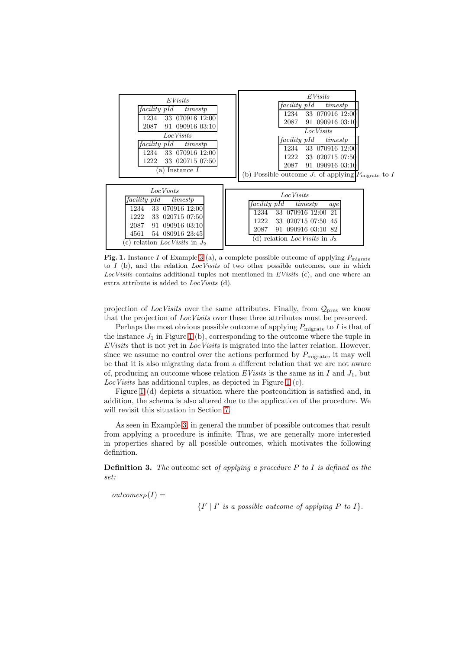

<span id="page-8-0"></span>Fig. 1. Instance I of Example [3](#page-7-1) (a), a complete possible outcome of applying  $P_{\text{migrate}}$ to I (b), and the relation *LocVisits* of two other possible outcomes, one in which *LocVisits* contains additional tuples not mentioned in *EVisits* (c), and one where an extra attribute is added to *LocVisits* (d).

projection of LocVisits over the same attributes. Finally, from  $\mathcal{Q}_{\text{pres}}$  we know that the projection of Loc Visits over these three attributes must be preserved.

Perhaps the most obvious possible outcome of applying  $P_{\text{migrate}}$  to I is that of the instance  $J_1$  in Figure [1](#page-8-0) (b), corresponding to the outcome where the tuple in  $EVisits$  that is not yet in  $LocVisits$  is migrated into the latter relation. However, since we assume no control over the actions performed by  $P_{\text{migrate}}$ , it may well be that it is also migrating data from a different relation that we are not aware of, producing an outcome whose relation EVisits is the same as in I and  $J_1$ , but Loc Visits has additional tuples, as depicted in Figure [1](#page-8-0) (c).

Figure [1](#page-8-0) (d) depicts a situation where the postcondition is satisfied and, in addition, the schema is also altered due to the application of the procedure. We will revisit this situation in Section [7.](#page-17-0)

As seen in Example [3,](#page-7-1) in general the number of possible outcomes that result from applying a procedure is infinite. Thus, we are generally more interested in properties shared by all possible outcomes, which motivates the following definition.

**Definition 3.** The outcome set of applying a procedure  $P$  to  $I$  is defined as the set:

 $outcomes_P (I) =$ 

 $\{I' \mid I' \text{ is a possible outcome of applying } P \text{ to } I\}.$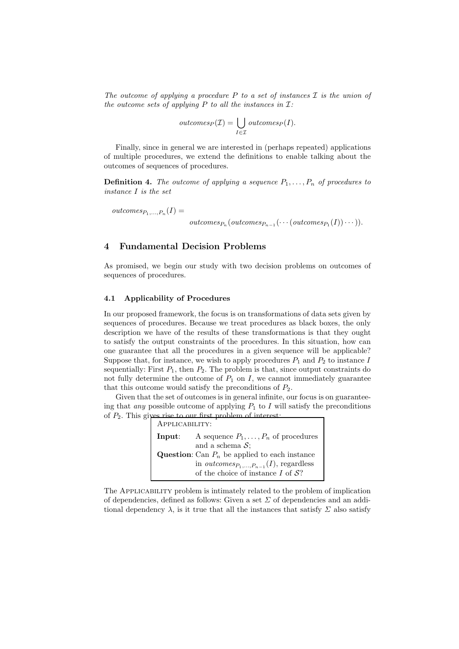The outcome of applying a procedure P to a set of instances  $\mathcal I$  is the union of the outcome sets of applying P to all the instances in  $\mathcal{I}:$ 

$$
outcomes_P(\mathcal{I}) = \bigcup_{I \in \mathcal{I}} outcomes_P(I).
$$

Finally, since in general we are interested in (perhaps repeated) applications of multiple procedures, we extend the definitions to enable talking about the outcomes of sequences of procedures.

**Definition 4.** The outcome of applying a sequence  $P_1, \ldots, P_n$  of procedures to instance I is the set

 $outcomes_{P_1,\ldots,P_n}(I) =$ 

 $outcomes_{P_n}(outcomes_{P_{n-1}}(\cdots(outcomes_{P_1}(I))\cdots)).$ 

# <span id="page-9-0"></span>4 Fundamental Decision Problems

As promised, we begin our study with two decision problems on outcomes of sequences of procedures.

## 4.1 Applicability of Procedures

In our proposed framework, the focus is on transformations of data sets given by sequences of procedures. Because we treat procedures as black boxes, the only description we have of the results of these transformations is that they ought to satisfy the output constraints of the procedures. In this situation, how can one guarantee that all the procedures in a given sequence will be applicable? Suppose that, for instance, we wish to apply procedures  $P_1$  and  $P_2$  to instance I sequentially: First  $P_1$ , then  $P_2$ . The problem is that, since output constraints do not fully determine the outcome of  $P_1$  on I, we cannot immediately guarantee that this outcome would satisfy the preconditions of  $P_2$ .

Given that the set of outcomes is in general infinite, our focus is on guaranteeing that *any* possible outcome of applying  $P_1$  to I will satisfy the preconditions of  $P_2$ . This gives rise to our first problem of interest:

| APPLICABILITY: |                                                                                     |
|----------------|-------------------------------------------------------------------------------------|
| Input:         | A sequence $P_1, \ldots, P_n$ of procedures                                         |
|                | and a schema $S$ ;                                                                  |
|                | <b>Question:</b> Can $P_n$ be applied to each instance                              |
|                | in <i>outcomes</i> <sub><math>P_1</math>,,<math>P_{n-1}(I)</math>, regardless</sub> |
|                | of the choice of instance $I$ of $S$ ?                                              |

The Applicability problem is intimately related to the problem of implication of dependencies, defined as follows: Given a set  $\Sigma$  of dependencies and an additional dependency  $\lambda$ , is it true that all the instances that satisfy  $\Sigma$  also satisfy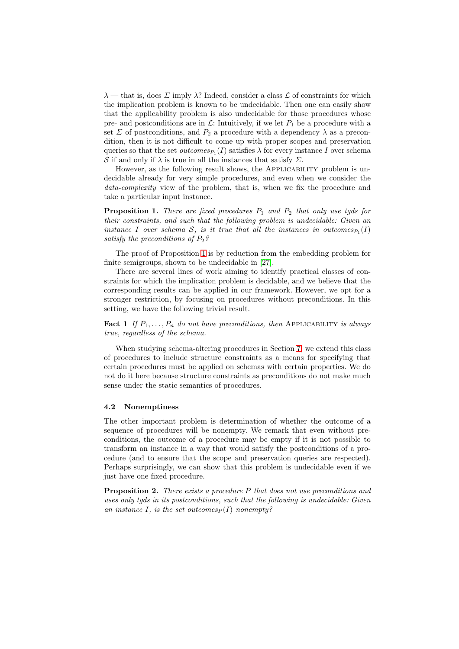$\lambda$  — that is, does  $\Sigma$  imply  $\lambda$ ? Indeed, consider a class  $\mathcal L$  of constraints for which the implication problem is known to be undecidable. Then one can easily show that the applicability problem is also undecidable for those procedures whose pre- and postconditions are in  $\mathcal{L}$ : Intuitively, if we let  $P_1$  be a procedure with a set  $\Sigma$  of postconditions, and  $P_2$  a procedure with a dependency  $\lambda$  as a precondition, then it is not difficult to come up with proper scopes and preservation queries so that the set  $outcomes_{P_1}(I)$  satisfies  $\lambda$  for every instance I over schema S if and only if  $\lambda$  is true in all the instances that satisfy  $\Sigma$ .

However, as the following result shows, the APPLICABILITY problem is undecidable already for very simple procedures, and even when we consider the data-complexity view of the problem, that is, when we fix the procedure and take a particular input instance.

<span id="page-10-0"></span>**Proposition 1.** There are fixed procedures  $P_1$  and  $P_2$  that only use tgds for their constraints, and such that the following problem is undecidable: Given an instance I over schema S, is it true that all the instances in outcomes  $P_1(I)$ satisfy the preconditions of  $P_2$ ?

The proof of Proposition [1](#page-10-0) is by reduction from the embedding problem for finite semigroups, shown to be undecidable in [\[27\]](#page-25-13).

There are several lines of work aiming to identify practical classes of constraints for which the implication problem is decidable, and we believe that the corresponding results can be applied in our framework. However, we opt for a stronger restriction, by focusing on procedures without preconditions. In this setting, we have the following trivial result.

**Fact 1** If  $P_1, \ldots, P_n$  do not have preconditions, then APPLICABILITY is always true, regardless of the schema.

When studying schema-altering procedures in Section [7,](#page-17-0) we extend this class of procedures to include structure constraints as a means for specifying that certain procedures must be applied on schemas with certain properties. We do not do it here because structure constraints as preconditions do not make much sense under the static semantics of procedures.

#### 4.2 Nonemptiness

The other important problem is determination of whether the outcome of a sequence of procedures will be nonempty. We remark that even without preconditions, the outcome of a procedure may be empty if it is not possible to transform an instance in a way that would satisfy the postconditions of a procedure (and to ensure that the scope and preservation queries are respected). Perhaps surprisingly, we can show that this problem is undecidable even if we just have one fixed procedure.

<span id="page-10-1"></span>**Proposition 2.** There exists a procedure  $P$  that does not use preconditions and uses only tgds in its postconditions, such that the following is undecidable: Given an instance I, is the set outcomes  $(I)$  nonempty?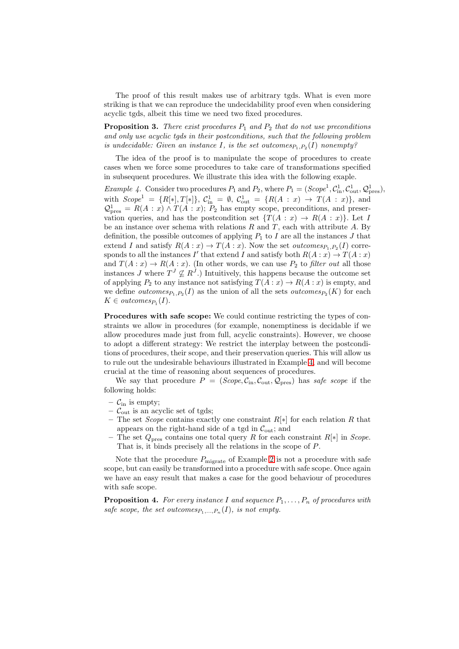The proof of this result makes use of arbitrary tgds. What is even more striking is that we can reproduce the undecidability proof even when considering acyclic tgds, albeit this time we need two fixed procedures.

<span id="page-11-1"></span>**Proposition 3.** There exist procedures  $P_1$  and  $P_2$  that do not use preconditions and only use acyclic tgds in their postconditions, such that the following problem is undecidable: Given an instance I, is the set outcomes  $P_1, P_2(I)$  nonempty?

<span id="page-11-0"></span>The idea of the proof is to manipulate the scope of procedures to create cases when we force some procedures to take care of transformations specified in subsequent procedures. We illustrate this idea with the following exaple.

*Example 4.* Consider two procedures  $P_1$  and  $P_2$ , where  $P_1 = (Scope^1, C^1_{in}, C^1_{out}, Q^1_{pres}),$ with  $Scope<sup>1</sup> = {R[*], T[*]}, C<sup>1</sup><sub>in</sub> = \emptyset, C<sup>1</sup><sub>out</sub> = {R(A : x) \rightarrow T(A : x)}, and$  $\mathcal{Q}^1_{\text{pres}} = R(A : x) \wedge T(A : x); P_2$  has empty scope, preconditions, and preservation queries, and has the postcondition set  $\{T(A : x) \to R(A : x)\}\$ . Let I be an instance over schema with relations  $R$  and  $T$ , each with attribute  $A$ . By definition, the possible outcomes of applying  $P_1$  to I are all the instances J that extend I and satisfy  $R(A:x) \to T(A:x)$ . Now the set *outcomes*<sub> $P_1, P_2(I)$  corre-</sub> sponds to all the instances I' that extend I and satisfy both  $R(A:x) \to T(A:x)$ and  $T(A: x) \to R(A: x)$ . (In other words, we can use  $P_2$  to *filter out* all those instances J where  $T^{J} \nsubseteq R^{J}$ .) Intuitively, this happens because the outcome set of applying  $P_2$  to any instance not satisfying  $T(A: x) \to R(A: x)$  is empty, and we define *outcomes*<sub> $P_1, P_2(I)$  as the union of all the sets *outcomes*<sub> $P_2(K)$ </sub> for each</sub>  $K \in outcomes_{P_1}(I).$ 

Procedures with safe scope: We could continue restricting the types of constraints we allow in procedures (for example, nonemptiness is decidable if we allow procedures made just from full, acyclic constraints). However, we choose to adopt a different strategy: We restrict the interplay between the postconditions of procedures, their scope, and their preservation queries. This will allow us to rule out the undesirable behaviours illustrated in Example [4,](#page-11-0) and will become crucial at the time of reasoning about sequences of procedures.

We say that procedure  $P = (Scope, C_{\text{in}}, C_{\text{out}}, Q_{\text{pres}})$  has safe scope if the following holds:

- $\mathcal{C}_{\text{in}}$  is empty;
- $\mathcal{C}_{\text{out}}$  is an acyclic set of tgds;
- The set *Scope* contains exactly one constraint  $R[*]$  for each relation R that appears on the right-hand side of a tgd in  $C_{\text{out}}$ ; and
- The set  $Q_{\text{pres}}$  contains one total query R for each constraint R[\*] in Scope. That is, it binds precisely all the relations in the scope of P.

Note that the procedure  $P_{\text{migrate}}$  of Example [2](#page-7-0) is not a procedure with safe scope, but can easily be transformed into a procedure with safe scope. Once again we have an easy result that makes a case for the good behaviour of procedures with safe scope.

<span id="page-11-2"></span>**Proposition 4.** For every instance I and sequence  $P_1, \ldots, P_n$  of procedures with safe scope, the set outcomes $P_1,...,P_n(I)$ , is not empty.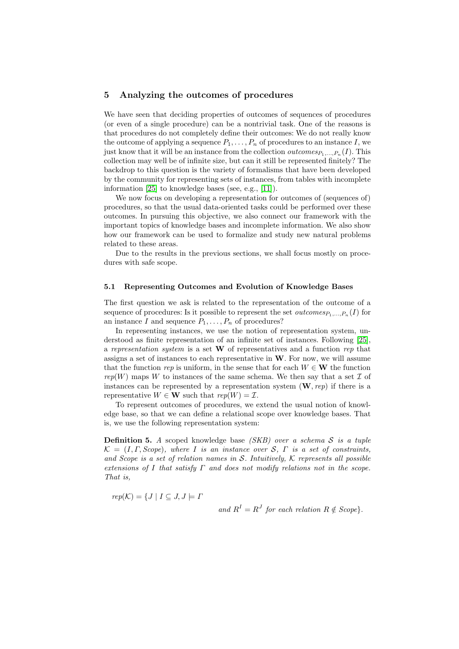# <span id="page-12-0"></span>5 Analyzing the outcomes of procedures

We have seen that deciding properties of outcomes of sequences of procedures (or even of a single procedure) can be a nontrivial task. One of the reasons is that procedures do not completely define their outcomes: We do not really know the outcome of applying a sequence  $P_1, \ldots, P_n$  of procedures to an instance I, we just know that it will be an instance from the collection *outcomes*  $P_1, ..., P_n(I)$ . This collection may well be of infinite size, but can it still be represented finitely? The backdrop to this question is the variety of formalisms that have been developed by the community for representing sets of instances, from tables with incomplete information [\[25\]](#page-25-0) to knowledge bases (see, e.g., [\[11\]](#page-24-10)).

We now focus on developing a representation for outcomes of (sequences of) procedures, so that the usual data-oriented tasks could be performed over these outcomes. In pursuing this objective, we also connect our framework with the important topics of knowledge bases and incomplete information. We also show how our framework can be used to formalize and study new natural problems related to these areas.

Due to the results in the previous sections, we shall focus mostly on procedures with safe scope.

## 5.1 Representing Outcomes and Evolution of Knowledge Bases

The first question we ask is related to the representation of the outcome of a sequence of procedures: Is it possible to represent the set  $outcomes_{P_1,...,P_n}(I)$  for an instance I and sequence  $P_1, \ldots, P_n$  of procedures?

In representing instances, we use the notion of representation system, understood as finite representation of an infinite set of instances. Following [\[25\]](#page-25-0), a representation system is a set  $W$  of representatives and a function rep that assigns a set of instances to each representative in  $W$ . For now, we will assume that the function rep is uniform, in the sense that for each  $W \in W$  the function rep(W) maps W to instances of the same schema. We then say that a set  $\mathcal I$  of instances can be represented by a representation system  $(\mathbf{W}, rep)$  if there is a representative  $W \in \mathbf{W}$  such that  $rep(W) = \mathcal{I}$ .

To represent outcomes of procedures, we extend the usual notion of knowledge base, so that we can define a relational scope over knowledge bases. That is, we use the following representation system:

**Definition 5.** A scoped knowledge base  $(SKB)$  over a schema S is a tuple  $\mathcal{K} = (I, \Gamma, \text{Scope})$ , where I is an instance over S,  $\Gamma$  is a set of constraints, and Scope is a set of relation names in  $S$ . Intuitively,  $K$  represents all possible extensions of I that satisfy  $\Gamma$  and does not modify relations not in the scope. That is,

 $rep(K) = \{J \mid I \subseteq J, J \models \Gamma$ 

and  $R^I = R^J$  for each relation  $R \notin \text{Scope}$ .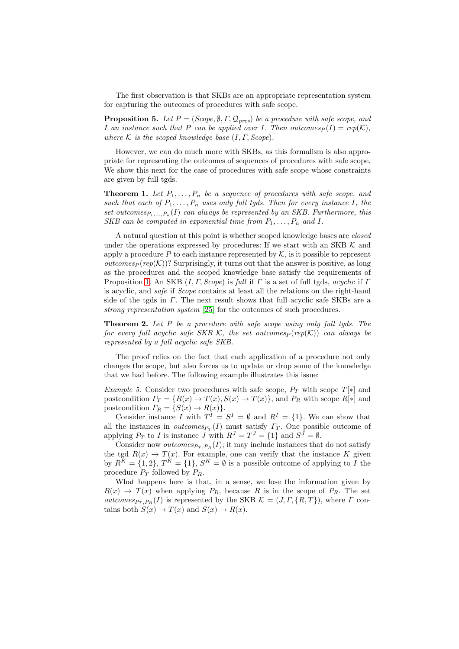<span id="page-13-2"></span>The first observation is that SKBs are an appropriate representation system for capturing the outcomes of procedures with safe scope.

**Proposition 5.** Let  $P = (Scope, \emptyset, \Gamma, \mathcal{Q}_{pres})$  be a procedure with safe scope, and I an instance such that P can be applied over I. Then outcomes  $P(I) = rep(K)$ , where K is the scoped knowledge base  $(I, \Gamma, \text{Scope})$ .

However, we can do much more with SKBs, as this formalism is also appropriate for representing the outcomes of sequences of procedures with safe scope. We show this next for the case of procedures with safe scope whose constraints are given by full tgds.

<span id="page-13-0"></span>**Theorem 1.** Let  $P_1, \ldots, P_n$  be a sequence of procedures with safe scope, and such that each of  $P_1, \ldots, P_n$  uses only full tgds. Then for every instance I, the set outcomes $P_1,...,P_n(I)$  can always be represented by an SKB. Furthermore, this SKB can be computed in exponential time from  $P_1, \ldots, P_n$  and I.

A natural question at this point is whether scoped knowledge bases are closed under the operations expressed by procedures: If we start with an SKB  $K$  and apply a procedure  $P$  to each instance represented by  $K$ , is it possible to represent *outcomes*  $\frac{pep(K)}{S}$  Surprisingly, it turns out that the answer is positive, as long as the procedures and the scoped knowledge base satisfy the requirements of Proposition [1.](#page-13-0) An SKB  $(I, \Gamma, \text{Scope})$  is full if  $\Gamma$  is a set of full tgds, acyclic if  $\Gamma$ is acyclic, and safe if Scope contains at least all the relations on the right-hand side of the tgds in  $\Gamma$ . The next result shows that full acyclic safe SKBs are a strong representation system [\[25\]](#page-25-0) for the outcomes of such procedures.

<span id="page-13-1"></span>**Theorem 2.** Let  $P$  be a procedure with safe scope using only full tgds. The for every full acyclic safe SKB K, the set outcomes  $p ( rep(K))$  can always be represented by a full acyclic safe SKB.

The proof relies on the fact that each application of a procedure not only changes the scope, but also forces us to update or drop some of the knowledge that we had before. The following example illustrates this issue:

Example 5. Consider two procedures with safe scope,  $P_T$  with scope  $T[*]$  and postcondition  $\Gamma_T = \{R(x) \to T(x), S(x) \to T(x)\}\$ , and  $P_R$  with scope  $R[*]$  and postcondition  $\Gamma_R = \{S(x) \to R(x)\}.$ 

Consider instance I with  $T^I = S^I = \emptyset$  and  $R^I = \{1\}$ . We can show that all the instances in *outcomes* $_{P_T}(I)$  must satisfy  $\Gamma_T$ . One possible outcome of applying  $P_T$  to I is instance J with  $R^J = T^J = \{1\}$  and  $S^J = \emptyset$ .

Consider now *outcomes*<sub> $Pr$ </sub>, $P_R(I)$ ; it may include instances that do not satisfy the tgd  $R(x) \to T(x)$ . For example, one can verify that the instance K given by  $R^K = \{1, 2\}, T^K = \{1\}, S^K = \emptyset$  is a possible outcome of applying to I the procedure  $P_T$  followed by  $P_R$ .

What happens here is that, in a sense, we lose the information given by  $R(x) \rightarrow T(x)$  when applying  $P_R$ , because R is in the scope of  $P_R$ . The set outcomes<sub>PT</sub>, $P_R(I)$  is represented by the SKB  $\mathcal{K} = (J, \Gamma, \{R, T\})$ , where  $\Gamma$  contains both  $S(x) \to T(x)$  and  $S(x) \to R(x)$ .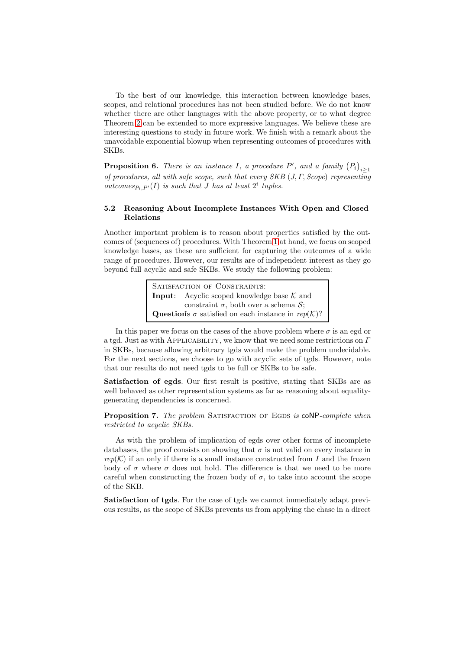To the best of our knowledge, this interaction between knowledge bases, scopes, and relational procedures has not been studied before. We do not know whether there are other languages with the above property, or to what degree Theorem [2](#page-13-1) can be extended to more expressive languages. We believe these are interesting questions to study in future work. We finish with a remark about the unavoidable exponential blowup when representing outcomes of procedures with SKBs.

<span id="page-14-1"></span>**Proposition 6.** There is an instance I, a procedure P', and a family  $(P_i)_{i\geq 1}$ of procedures, all with safe scope, such that every SKB  $(J, \Gamma, \text{Scope})$  representing outcomes<sub> $P_i, P'(I)$ </sub> is such that J has at least  $2^i$  tuples.

# 5.2 Reasoning About Incomplete Instances With Open and Closed Relations

Another important problem is to reason about properties satisfied by the outcomes of (sequences of) procedures. With Theorem [1](#page-13-0) at hand, we focus on scoped knowledge bases, as these are sufficient for capturing the outcomes of a wide range of procedures. However, our results are of independent interest as they go beyond full acyclic and safe SKBs. We study the following problem:

> SATISFACTION OF CONSTRAINTS: **Input:** Acyclic scoped knowledge base  $K$  and constraint  $\sigma$ , both over a schema  $\mathcal{S}$ ; Questions  $\sigma$  satisfied on each instance in rep(K)?

In this paper we focus on the cases of the above problem where  $\sigma$  is an egd or a tgd. Just as with APPLICABILITY, we know that we need some restrictions on  $\Gamma$ in SKBs, because allowing arbitrary tgds would make the problem undecidable. For the next sections, we choose to go with acyclic sets of tgds. However, note that our results do not need tgds to be full or SKBs to be safe.

Satisfaction of egds. Our first result is positive, stating that SKBs are as well behaved as other representation systems as far as reasoning about equalitygenerating dependencies is concerned.

<span id="page-14-0"></span>Proposition 7. The problem SATISFACTION OF EGDS is coNP-complete when restricted to acyclic SKBs.

As with the problem of implication of egds over other forms of incomplete databases, the proof consists on showing that  $\sigma$  is not valid on every instance in  $rep(K)$  if an only if there is a small instance constructed from I and the frozen body of  $\sigma$  where  $\sigma$  does not hold. The difference is that we need to be more careful when constructing the frozen body of  $\sigma$ , to take into account the scope of the SKB.

Satisfaction of tgds. For the case of tgds we cannot immediately adapt previous results, as the scope of SKBs prevents us from applying the chase in a direct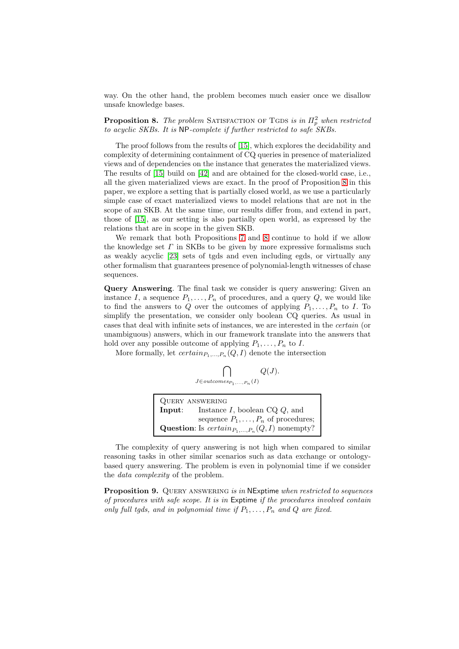<span id="page-15-0"></span>way. On the other hand, the problem becomes much easier once we disallow unsafe knowledge bases.

**Proposition 8.** The problem SATISFACTION OF TGDS is in  $\Pi_p^2$  when restricted to acyclic SKBs. It is NP-complete if further restricted to safe SKBs.

The proof follows from the results of [\[15\]](#page-24-11), which explores the decidability and complexity of determining containment of CQ queries in presence of materialized views and of dependencies on the instance that generates the materialized views. The results of [\[15\]](#page-24-11) build on [\[42\]](#page-26-0) and are obtained for the closed-world case, i.e., all the given materialized views are exact. In the proof of Proposition [8](#page-15-0) in this paper, we explore a setting that is partially closed world, as we use a particularly simple case of exact materialized views to model relations that are not in the scope of an SKB. At the same time, our results differ from, and extend in part, those of [\[15\]](#page-24-11), as our setting is also partially open world, as expressed by the relations that are in scope in the given SKB.

We remark that both Propositions [7](#page-14-0) and [8](#page-15-0) continue to hold if we allow the knowledge set  $\Gamma$  in SKBs to be given by more expressive formalisms such as weakly acyclic [\[23\]](#page-25-14) sets of tgds and even including egds, or virtually any other formalism that guarantees presence of polynomial-length witnesses of chase sequences.

Query Answering. The final task we consider is query answering: Given an instance I, a sequence  $P_1, \ldots, P_n$  of procedures, and a query Q, we would like to find the answers to Q over the outcomes of applying  $P_1, \ldots, P_n$  to I. To simplify the presentation, we consider only boolean CQ queries. As usual in cases that deal with infinite sets of instances, we are interested in the certain (or unambiguous) answers, which in our framework translate into the answers that hold over any possible outcome of applying  $P_1, \ldots, P_n$  to I.

More formally, let  $certain_{P_1,...,P_n}(Q, I)$  denote the intersection

$$
\bigcap_{J \in outcomes_{P_1,...,P_n}(I)} Q(J).
$$

| <b>QUERY ANSWERING</b>                                  |                                            |
|---------------------------------------------------------|--------------------------------------------|
| Input:                                                  | Instance I, boolean $CQ$ , and             |
|                                                         | sequence $P_1, \ldots, P_n$ of procedures; |
| <b>Question:</b> Is $certain_{P_1,,P_n}(Q,I)$ nonempty? |                                            |

The complexity of query answering is not high when compared to similar reasoning tasks in other similar scenarios such as data exchange or ontologybased query answering. The problem is even in polynomial time if we consider the data complexity of the problem.

<span id="page-15-1"></span>**Proposition 9.** QUERY ANSWERING is in NExptime when restricted to sequences of procedures with safe scope. It is in Exptime if the procedures involved contain only full tgds, and in polynomial time if  $P_1, \ldots, P_n$  and  $Q$  are fixed.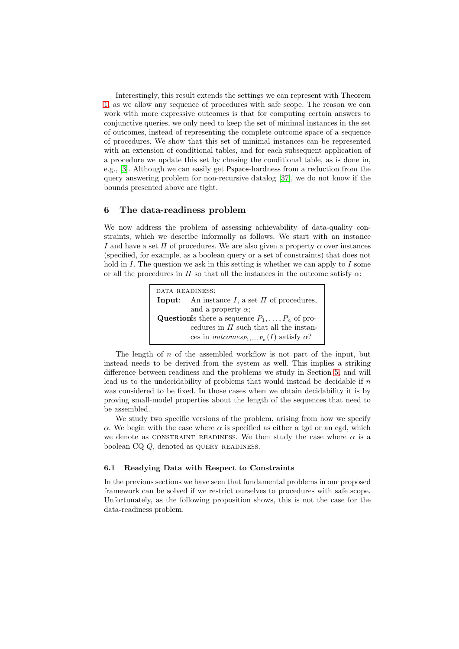Interestingly, this result extends the settings we can represent with Theorem [1,](#page-13-0) as we allow any sequence of procedures with safe scope. The reason we can work with more expressive outcomes is that for computing certain answers to conjunctive queries, we only need to keep the set of minimal instances in the set of outcomes, instead of representing the complete outcome space of a sequence of procedures. We show that this set of minimal instances can be represented with an extension of conditional tables, and for each subsequent application of a procedure we update this set by chasing the conditional table, as is done in, e.g., [\[3\]](#page-23-1). Although we can easily get Pspace-hardness from a reduction from the query answering problem for non-recursive datalog [\[37\]](#page-25-15), we do not know if the bounds presented above are tight.

# <span id="page-16-1"></span>6 The data-readiness problem

We now address the problem of assessing achievability of data-quality constraints, which we describe informally as follows. We start with an instance I and have a set  $\Pi$  of procedures. We are also given a property  $\alpha$  over instances (specified, for example, as a boolean query or a set of constraints) that does not hold in  $I$ . The question we ask in this setting is whether we can apply to  $I$  some or all the procedures in  $\Pi$  so that all the instances in the outcome satisfy  $\alpha$ :

> data readiness: **Input:** An instance I, a set  $\Pi$  of procedures, and a property  $\alpha$ ; Questionls there a sequence  $P_1, \ldots, P_n$  of procedures in  $\Pi$  such that all the instances in *outcomes*<sub> $P_1$ ,..., $P_n(I)$  satisfy  $\alpha$ ?</sub>

The length of n of the assembled workflow is not part of the input, but instead needs to be derived from the system as well. This implies a striking difference between readiness and the problems we study in Section [5,](#page-12-0) and will lead us to the undecidability of problems that would instead be decidable if n was considered to be fixed. In those cases when we obtain decidability it is by proving small-model properties about the length of the sequences that need to be assembled.

We study two specific versions of the problem, arising from how we specify α. We begin with the case where  $\alpha$  is specified as either a tgd or an egd, which we denote as CONSTRAINT READINESS. We then study the case where  $\alpha$  is a boolean  $CQ$ , denoted as QUERY READINESS.

## 6.1 Readying Data with Respect to Constraints

<span id="page-16-0"></span>In the previous sections we have seen that fundamental problems in our proposed framework can be solved if we restrict ourselves to procedures with safe scope. Unfortunately, as the following proposition shows, this is not the case for the data-readiness problem.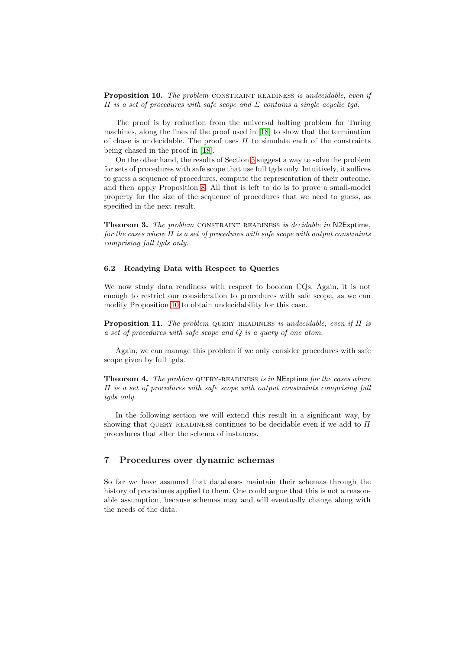**Proposition 10.** The problem CONSTRAINT READINESS is undecidable, even if  $\Pi$  is a set of procedures with safe scope and  $\Sigma$  contains a single acyclic tgd.

The proof is by reduction from the universal halting problem for Turing machines, along the lines of the proof used in [\[18\]](#page-24-12) to show that the termination of chase is undecidable. The proof uses  $\Pi$  to simulate each of the constraints being chased in the proof in [\[18\]](#page-24-12).

On the other hand, the results of Section [5](#page-12-0) suggest a way to solve the problem for sets of procedures with safe scope that use full tgds only. Intuitively, it suffices to guess a sequence of procedures, compute the representation of their outcome, and then apply Proposition [8.](#page-15-0) All that is left to do is to prove a small-model property for the size of the sequence of procedures that we need to guess, as specified in the next result.

<span id="page-17-3"></span>Theorem 3. The problem CONSTRAINT READINESS is decidable in N2Exptime, for the cases where  $\Pi$  is a set of procedures with safe scope with output constraints comprising full tgds only.

## 6.2 Readying Data with Respect to Queries

We now study data readiness with respect to boolean CQs. Again, it is not enough to restrict our consideration to procedures with safe scope, as we can modify Proposition [10](#page-16-0) to obtain undecidability for this case.

<span id="page-17-4"></span>**Proposition 11.** The problem QUERY READINESS is undecidable, even if  $\Pi$  is a set of procedures with safe scope and Q is a query of one atom.

<span id="page-17-2"></span>Again, we can manage this problem if we only consider procedures with safe scope given by full tgds.

**Theorem 4.** The problem QUERY-READINESS is in NExptime for the cases where Π is a set of procedures with safe scope with output constraints comprising full tgds only.

In the following section we will extend this result in a significant way, by showing that QUERY READINESS continues to be decidable even if we add to  $\Pi$ procedures that alter the schema of instances.

# <span id="page-17-0"></span>7 Procedures over dynamic schemas

<span id="page-17-1"></span>So far we have assumed that databases maintain their schemas through the history of procedures applied to them. One could argue that this is not a reasonable assumption, because schemas may and will eventually change along with the needs of the data.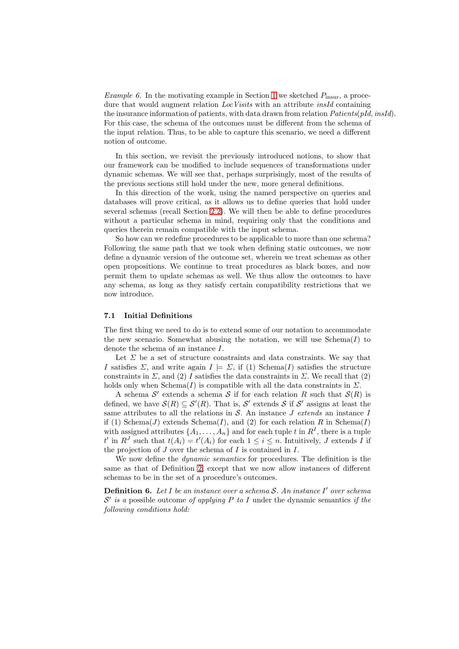Example 6. In the motivating example in Section [1](#page-0-0) we sketched  $P_{\text{insur}}$ , a procedure that would augment relation LocVisits with an attribute insId containing the insurance information of patients, with data drawn from relation  $Paths(pld, insId)$ . For this case, the schema of the outcomes must be different from the schema of the input relation. Thus, to be able to capture this scenario, we need a different notion of outcome.

In this section, we revisit the previously introduced notions, to show that our framework can be modified to include sequences of transformations under dynamic schemas. We will see that, perhaps surprisingly, most of the results of the previous sections still hold under the new, more general definitions.

In this direction of the work, using the named perspective on queries and databases will prove critical, as it allows us to define queries that hold under several schemas (recall Section [2.2\)](#page-4-0). We will then be able to define procedures without a particular schema in mind, requiring only that the conditions and queries therein remain compatible with the input schema.

So how can we redefine procedures to be applicable to more than one schema? Following the same path that we took when defining static outcomes, we now define a dynamic version of the outcome set, wherein we treat schemas as other open propositions. We continue to treat procedures as black boxes, and now permit them to update schemas as well. We thus allow the outcomes to have any schema, as long as they satisfy certain compatibility restrictions that we now introduce.

#### 7.1 Initial Definitions

The first thing we need to do is to extend some of our notation to accommodate the new scenario. Somewhat abusing the notation, we will use  $Schema(I)$  to denote the schema of an instance I.

Let  $\Sigma$  be a set of structure constraints and data constraints. We say that I satisfies  $\Sigma$ , and write again  $I \models \Sigma$ , if (1) Schema(I) satisfies the structure constraints in  $\Sigma$ , and (2) I satisfies the data constraints in  $\Sigma$ . We recall that (2) holds only when Schema $(I)$  is compatible with all the data constraints in  $\Sigma$ .

A schema  $S'$  extends a schema S if for each relation R such that  $S(R)$  is defined, we have  $\mathcal{S}(R) \subseteq \mathcal{S}'(R)$ . That is,  $\mathcal{S}'$  extends  $\mathcal{S}$  if  $\mathcal{S}'$  assigns at least the same attributes to all the relations in  $S$ . An instance J extends an instance I if (1) Schema(J) extends Schema(I), and (2) for each relation R in Schema(I) with assigned attributes  $\{A_1, \ldots, A_n\}$  and for each tuple t in  $R^I$ , there is a tuple  $t'$  in  $R^J$  such that  $t(A_i) = t'(A_i)$  for each  $1 \leq i \leq n$ . Intuitively, J extends I if the projection of  $J$  over the schema of  $I$  is contained in  $I$ .

We now define the dynamic semantics for procedures. The definition is the same as that of Definition [2,](#page-7-2) except that we now allow instances of different schemas to be in the set of a procedure's outcomes.

**Definition 6.** Let  $I$  be an instance over a schema  $S$ . An instance  $I'$  over schema  $\mathcal{S}'$  is a possible outcome of applying P to I under the dynamic semantics if the following conditions hold: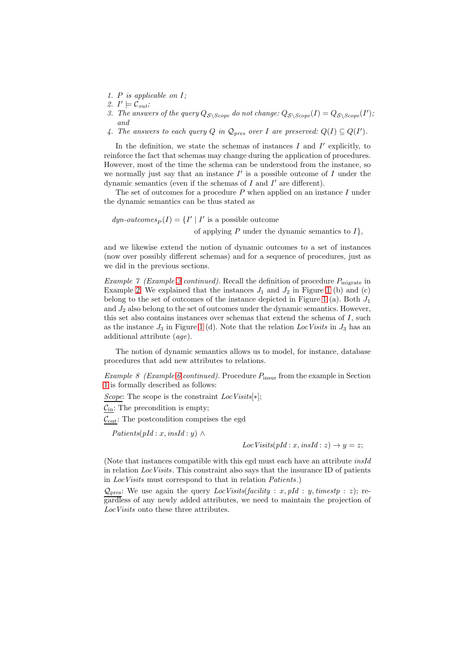- 1. P is applicable on I;
- 2.  $I' \models \mathcal{C}_{out};$
- 3. The answers of the query  $Q_{\mathcal{S}\backslash \text{Scope}}$  do not change:  $Q_{\mathcal{S}\backslash \text{Scope}}(I) = Q_{\mathcal{S}\backslash \text{Scope}}(I)$ ; and
- 4. The answers to each query Q in  $\mathcal{Q}_{pres}$  over I are preserved:  $Q(I) \subseteq Q(I')$ .

In the definition, we state the schemas of instances  $I$  and  $I'$  explicitly, to reinforce the fact that schemas may change during the application of procedures. However, most of the time the schema can be understood from the instance, so we normally just say that an instance  $I'$  is a possible outcome of  $I$  under the dynamic semantics (even if the schemas of  $I$  and  $I'$  are different).

The set of outcomes for a procedure  $P$  when applied on an instance  $I$  under the dynamic semantics can be thus stated as

 $dyn\text{-}outcomes_P(I) = \{I' \mid I' \text{ is a possible outcome}\}$ of applying P under the dynamic semantics to  $I$ ,

and we likewise extend the notion of dynamic outcomes to a set of instances (now over possibly different schemas) and for a sequence of procedures, just as we did in the previous sections.

Example 7 (Example [3](#page-7-1) continued). Recall the definition of procedure  $P_{\text{migrate}}$  in Example [2.](#page-7-0) We explained that the instances  $J_1$  and  $J_2$  in Figure [1](#page-8-0) (b) and (c) belong to the set of outcomes of the instance depicted in Figure [1](#page-8-0) (a). Both  $J_1$ and  $J_2$  also belong to the set of outcomes under the dynamic semantics. However, this set also contains instances over schemas that extend the schema of I, such as the instance  $J_3$  in Figure [1](#page-8-0) (d). Note that the relation LocVisits in  $J_3$  has an additional attribute (age).

<span id="page-19-0"></span>The notion of dynamic semantics allows us to model, for instance, database procedures that add new attributes to relations.

*Example 8 (Example [6](#page-17-1) continued)*. Procedure  $P_{\text{insur}}$  from the example in Section [1](#page-0-0) is formally described as follows:

Scope: The scope is the constraint  $LocVisits[*];$ 

 $C_{\text{in}}$ : The precondition is empty;

 $\mathcal{C}_{\text{out}}\text{: The postcondition comprises the egd}$ 

 $Paths(pld : x, insId : y) \wedge$ 

 $LocVisits(pId:x, insId:z) \rightarrow y=z;$ 

(Note that instances compatible with this egd must each have an attribute insId in relation LocVisits. This constraint also says that the insurance ID of patients in LocVisits must correspond to that in relation Patients.)

 $\mathcal{Q}_{\text{pres}}$ : We use again the query *LocVisits(facility : x, pId : y, timestp : z)*; regardless of any newly added attributes, we need to maintain the projection of LocVisits onto these three attributes.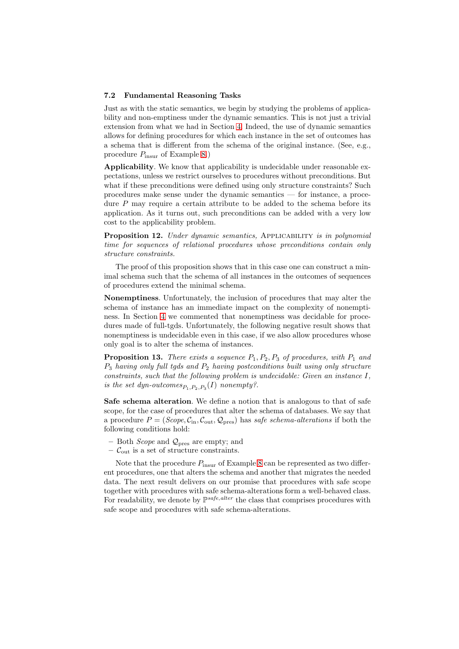#### 7.2 Fundamental Reasoning Tasks

Just as with the static semantics, we begin by studying the problems of applicability and non-emptiness under the dynamic semantics. This is not just a trivial extension from what we had in Section [4.](#page-9-0) Indeed, the use of dynamic semantics allows for defining procedures for which each instance in the set of outcomes has a schema that is different from the schema of the original instance. (See, e.g., procedure  $P_{\text{insur}}$  of Example [8.](#page-19-0))

Applicability. We know that applicability is undecidable under reasonable expectations, unless we restrict ourselves to procedures without preconditions. But what if these preconditions were defined using only structure constraints? Such procedures make sense under the dynamic semantics — for instance, a procedure  $P$  may require a certain attribute to be added to the schema before its application. As it turns out, such preconditions can be added with a very low cost to the applicability problem.

<span id="page-20-1"></span>Proposition 12. Under dynamic semantics, APPLICABILITY is in polynomial time for sequences of relational procedures whose preconditions contain only structure constraints.

The proof of this proposition shows that in this case one can construct a minimal schema such that the schema of all instances in the outcomes of sequences of procedures extend the minimal schema.

Nonemptiness. Unfortunately, the inclusion of procedures that may alter the schema of instance has an immediate impact on the complexity of nonemptiness. In Section [4](#page-9-0) we commented that nonemptiness was decidable for procedures made of full-tgds. Unfortunately, the following negative result shows that nonemptiness is undecidable even in this case, if we also allow procedures whose only goal is to alter the schema of instances.

<span id="page-20-0"></span>**Proposition 13.** There exists a sequence  $P_1$ ,  $P_2$ ,  $P_3$  of procedures, with  $P_1$  and  $P_3$  having only full tgds and  $P_2$  having postconditions built using only structure constraints, such that the following problem is undecidable: Given an instance I, is the set dyn-outcomes $_{P_1, P_2, P_3}(I)$  nonempty?.

Safe schema alteration. We define a notion that is analogous to that of safe scope, for the case of procedures that alter the schema of databases. We say that a procedure  $P = (Scope, C_{in}, C_{out}, Q_{pres})$  has safe schema-alterations if both the following conditions hold:

- Both *Scope* and  $\mathcal{Q}_{\text{pres}}$  are empty; and
- $\mathcal{C}_{\text{out}}$  is a set of structure constraints.

<span id="page-20-2"></span>Note that the procedure  $P_{\text{insur}}$  of Example [8](#page-19-0) can be represented as two different procedures, one that alters the schema and another that migrates the needed data. The next result delivers on our promise that procedures with safe scope together with procedures with safe schema-alterations form a well-behaved class. For readability, we denote by  $\mathbb{P}^{safe, alter}$  the class that comprises procedures with safe scope and procedures with safe schema-alterations.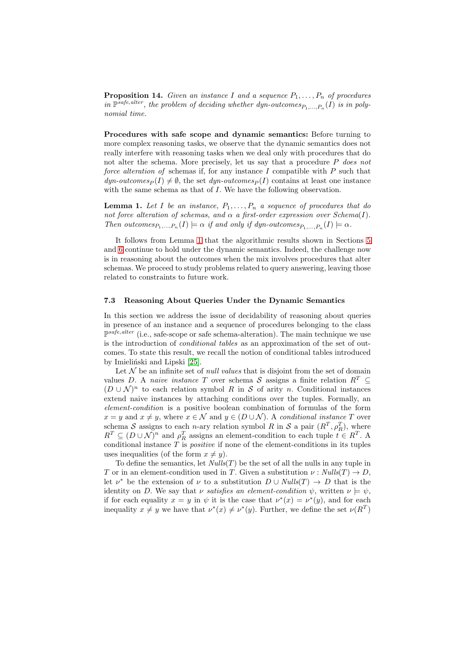**Proposition 14.** Given an instance I and a sequence  $P_1, \ldots, P_n$  of procedures in  $\mathbb{P}^{safe, alter}$ , the problem of deciding whether dyn-outcomes $P_1,...,P_n(I)$  is in polynomial time.

Procedures with safe scope and dynamic semantics: Before turning to more complex reasoning tasks, we observe that the dynamic semantics does not really interfere with reasoning tasks when we deal only with procedures that do not alter the schema. More precisely, let us say that a procedure P does not force alteration of schemas if, for any instance I compatible with  $P$  such that  $dyn\text{-}outcomes_P (I) \neq \emptyset$ , the set  $dyn\text{-}outcomes_P (I)$  contains at least one instance with the same schema as that of I. We have the following observation.

<span id="page-21-0"></span>**Lemma 1.** Let I be an instance,  $P_1, \ldots, P_n$  a sequence of procedures that do not force alteration of schemas, and  $\alpha$  a first-order expression over Schema(I). Then outcomes  $P_1,...,P_n(I) \models \alpha$  if and only if dyn-outcomes  $P_1,...,P_n(I) \models \alpha$ .

It follows from Lemma [1](#page-21-0) that the algorithmic results shown in Sections [5](#page-12-0) and [6](#page-16-1) continue to hold under the dynamic semantics. Indeed, the challenge now is in reasoning about the outcomes when the mix involves procedures that alter schemas. We proceed to study problems related to query answering, leaving those related to constraints to future work.

#### 7.3 Reasoning About Queries Under the Dynamic Semantics

In this section we address the issue of decidability of reasoning about queries in presence of an instance and a sequence of procedures belonging to the class P safe,alter (i.e., safe-scope or safe schema-alteration). The main technique we use is the introduction of conditional tables as an approximation of the set of outcomes. To state this result, we recall the notion of conditional tables introduced by Imieliński and Lipski [\[25\]](#page-25-0).

Let  $N$  be an infinite set of *null values* that is disjoint from the set of domain values D. A naive instance T over schema S assigns a finite relation  $R^T$  $(D \cup \mathcal{N})^n$  to each relation symbol R in S of arity n. Conditional instances extend naive instances by attaching conditions over the tuples. Formally, an element-condition is a positive boolean combination of formulas of the form  $x = y$  and  $x \neq y$ , where  $x \in \mathcal{N}$  and  $y \in (D \cup \mathcal{N})$ . A conditional instance T over schema S assigns to each n-ary relation symbol R in S a pair  $(R^T, \rho_R^T)$ , where  $R^T \subseteq (D \cup \mathcal{N})^n$  and  $\rho_R^T$  assigns an element-condition to each tuple  $t \in R^T$ . A conditional instance  $T$  is *positive* if none of the element-conditions in its tuples uses inequalities (of the form  $x \neq y$ ).

To define the semantics, let  $Nulls(T)$  be the set of all the nulls in any tuple in T or in an element-condition used in T. Given a substitution  $\nu : Nulls(T) \rightarrow D$ , let  $\nu^*$  be the extension of  $\nu$  to a substitution  $D \cup Nulls(T) \rightarrow D$  that is the identity on D. We say that v satisfies an element-condition  $\psi$ , written  $\nu \models \psi$ , if for each equality  $x = y$  in  $\psi$  it is the case that  $\nu^*(x) = \nu^*(y)$ , and for each inequality  $x \neq y$  we have that  $\nu^*(x) \neq \nu^*(y)$ . Further, we define the set  $\nu(R^T)$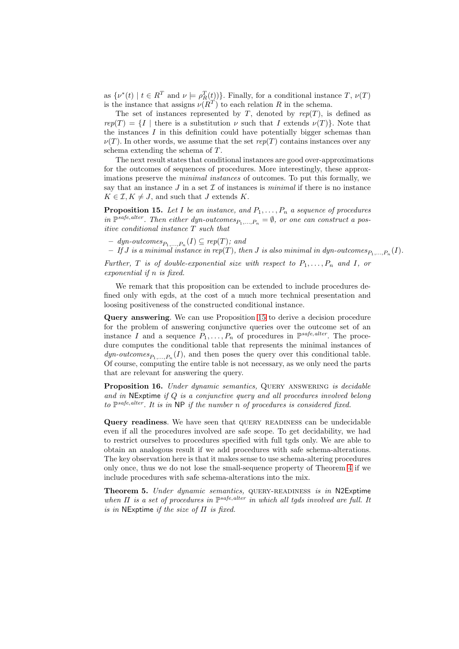as  $\{\nu^*(t) \mid t \in R^T \text{ and } \nu \models \rho_R^T(t)\}\)$ . Finally, for a conditional instance  $T, \nu(T)$ is the instance that assigns  $\nu(R^T)$  to each relation R in the schema.

The set of instances represented by T, denoted by  $rep(T)$ , is defined as  $rep(T) = \{I \mid \text{there is a substitution } \nu \text{ such that } I \text{ extends } \nu(T) \}.$  Note that the instances  $I$  in this definition could have potentially bigger schemas than  $\nu(T)$ . In other words, we assume that the set rep(T) contains instances over any schema extending the schema of T.

The next result states that conditional instances are good over-approximations for the outcomes of sequences of procedures. More interestingly, these approximations preserve the minimal instances of outcomes. To put this formally, we say that an instance  $J$  in a set  $\mathcal I$  of instances is minimal if there is no instance  $K \in \mathcal{I}, K \neq J$ , and such that J extends K.

<span id="page-22-0"></span>**Proposition 15.** Let I be an instance, and  $P_1, \ldots, P_n$  a sequence of procedures in  $\mathbb{P}^{safe, alter}$ . Then either dyn-outcomes $P_1,...,P_n = \emptyset$ , or one can construct a positive conditional instance T such that

 $-$  dyn-outcomes $P_{P_1,...,P_n}(I) \subseteq rep(T)$ ; and

 $-$  If  $J$  is a minimal instance in rep(T), then  $J$  is also minimal in dyn-outcomes $_{P_1,...,P_n}(I).$ 

Further, T is of double-exponential size with respect to  $P_1, \ldots, P_n$  and I, or exponential if n is fixed.

We remark that this proposition can be extended to include procedures defined only with egds, at the cost of a much more technical presentation and loosing positiveness of the constructed conditional instance.

Query answering. We can use Proposition [15](#page-22-0) to derive a decision procedure for the problem of answering conjunctive queries over the outcome set of an instance I and a sequence  $P_1, \ldots, P_n$  of procedures in  $\mathbb{P}^{safe, alter}$ . The procedure computes the conditional table that represents the minimal instances of  $\textit{dyn-outcomes}_{P_1,\dots,P_n}(I)$ , and then poses the query over this conditional table. Of course, computing the entire table is not necessary, as we only need the parts that are relevant for answering the query.

<span id="page-22-1"></span>Proposition 16. Under dynamic semantics, QUERY ANSWERING is decidable and in NExptime if Q is a conjunctive query and all procedures involved belong to  $\mathbb{P}^{safe, alter}$ . It is in NP if the number n of procedures is considered fixed.

Query readiness. We have seen that query readiness can be undecidable even if all the procedures involved are safe scope. To get decidability, we had to restrict ourselves to procedures specified with full tgds only. We are able to obtain an analogous result if we add procedures with safe schema-alterations. The key observation here is that it makes sense to use schema-altering procedures only once, thus we do not lose the small-sequence property of Theorem [4](#page-17-2) if we include procedures with safe schema-alterations into the mix.

<span id="page-22-2"></span>Theorem 5. Under dynamic semantics, QUERY-READINESS is in N2Exptime when  $\Pi$  is a set of procedures in  $\mathbb{P}^{safe, alter}$  in which all tgds involved are full. It is in NExptime if the size of  $\Pi$  is fixed.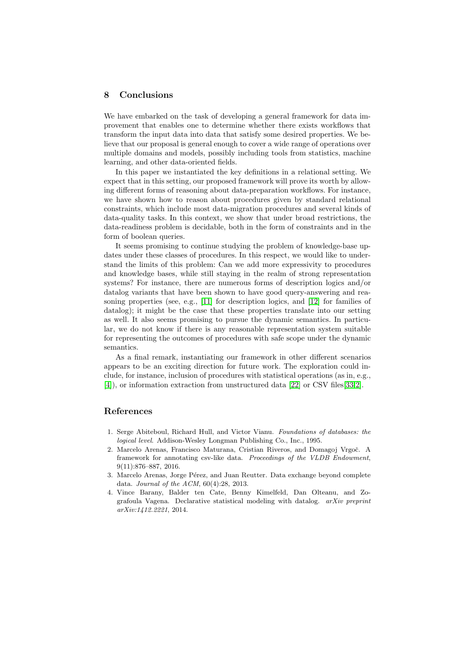## 8 Conclusions

We have embarked on the task of developing a general framework for data improvement that enables one to determine whether there exists workflows that transform the input data into data that satisfy some desired properties. We believe that our proposal is general enough to cover a wide range of operations over multiple domains and models, possibly including tools from statistics, machine learning, and other data-oriented fields.

In this paper we instantiated the key definitions in a relational setting. We expect that in this setting, our proposed framework will prove its worth by allowing different forms of reasoning about data-preparation workflows. For instance, we have shown how to reason about procedures given by standard relational constraints, which include most data-migration procedures and several kinds of data-quality tasks. In this context, we show that under broad restrictions, the data-readiness problem is decidable, both in the form of constraints and in the form of boolean queries.

It seems promising to continue studying the problem of knowledge-base updates under these classes of procedures. In this respect, we would like to understand the limits of this problem: Can we add more expressivity to procedures and knowledge bases, while still staying in the realm of strong representation systems? For instance, there are numerous forms of description logics and/or datalog variants that have been shown to have good query-answering and reasoning properties (see, e.g., [\[11\]](#page-24-10) for description logics, and [\[12\]](#page-24-13) for families of datalog); it might be the case that these properties translate into our setting as well. It also seems promising to pursue the dynamic semantics. In particular, we do not know if there is any reasonable representation system suitable for representing the outcomes of procedures with safe scope under the dynamic semantics.

As a final remark, instantiating our framework in other different scenarios appears to be an exciting direction for future work. The exploration could include, for instance, inclusion of procedures with statistical operations (as in, e.g., [\[4\]](#page-23-2)), or information extraction from unstructured data [\[22\]](#page-25-16) or CSV files[\[33](#page-25-17)[,2\]](#page-23-3).

# References

- <span id="page-23-0"></span>1. Serge Abiteboul, Richard Hull, and Victor Vianu. *Foundations of databases: the logical level*. Addison-Wesley Longman Publishing Co., Inc., 1995.
- <span id="page-23-3"></span>2. Marcelo Arenas, Francisco Maturana, Cristian Riveros, and Domagoj Vrgoč. A framework for annotating csv-like data. *Proceedings of the VLDB Endowment*, 9(11):876–887, 2016.
- <span id="page-23-1"></span>3. Marcelo Arenas, Jorge Pérez, and Juan Reutter. Data exchange beyond complete data. *Journal of the ACM*, 60(4):28, 2013.
- <span id="page-23-2"></span>4. Vince Barany, Balder ten Cate, Benny Kimelfeld, Dan Olteanu, and Zografoula Vagena. Declarative statistical modeling with datalog. *arXiv preprint arXiv:1412.2221*, 2014.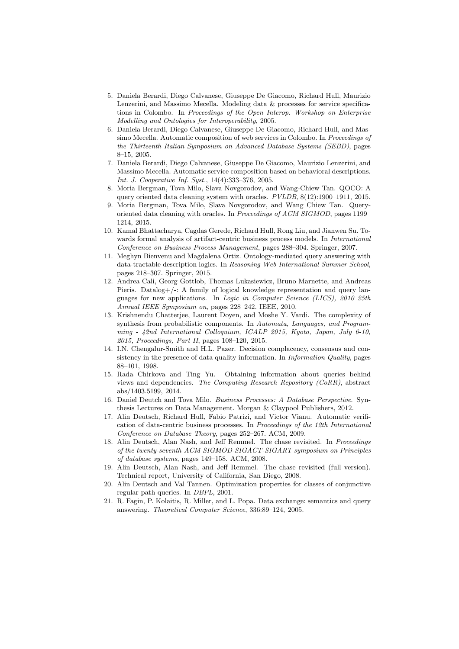- <span id="page-24-3"></span>5. Daniela Berardi, Diego Calvanese, Giuseppe De Giacomo, Richard Hull, Maurizio Lenzerini, and Massimo Mecella. Modeling data & processes for service specifications in Colombo. In *Proceedings of the Open Interop. Workshop on Enterprise Modelling and Ontologies for Interoperability*, 2005.
- <span id="page-24-7"></span>6. Daniela Berardi, Diego Calvanese, Giuseppe De Giacomo, Richard Hull, and Massimo Mecella. Automatic composition of web services in Colombo. In *Proceedings of the Thirteenth Italian Symposium on Advanced Database Systems (SEBD)*, pages 8–15, 2005.
- <span id="page-24-8"></span>7. Daniela Berardi, Diego Calvanese, Giuseppe De Giacomo, Maurizio Lenzerini, and Massimo Mecella. Automatic service composition based on behavioral descriptions. *Int. J. Cooperative Inf. Syst.*, 14(4):333–376, 2005.
- <span id="page-24-6"></span>8. Moria Bergman, Tova Milo, Slava Novgorodov, and Wang-Chiew Tan. QOCO: A query oriented data cleaning system with oracles. *PVLDB*, 8(12):1900–1911, 2015.
- <span id="page-24-5"></span>9. Moria Bergman, Tova Milo, Slava Novgorodov, and Wang Chiew Tan. Queryoriented data cleaning with oracles. In *Proceedings of ACM SIGMOD*, pages 1199– 1214, 2015.
- <span id="page-24-1"></span>10. Kamal Bhattacharya, Cagdas Gerede, Richard Hull, Rong Liu, and Jianwen Su. Towards formal analysis of artifact-centric business process models. In *International Conference on Business Process Management*, pages 288–304. Springer, 2007.
- <span id="page-24-10"></span>11. Meghyn Bienvenu and Magdalena Ortiz. Ontology-mediated query answering with data-tractable description logics. In *Reasoning Web International Summer School*, pages 218–307. Springer, 2015.
- <span id="page-24-13"></span>12. Andrea Cali, Georg Gottlob, Thomas Lukasiewicz, Bruno Marnette, and Andreas Pieris. Datalog+/-: A family of logical knowledge representation and query languages for new applications. In *Logic in Computer Science (LICS), 2010 25th Annual IEEE Symposium on*, pages 228–242. IEEE, 2010.
- <span id="page-24-9"></span>13. Krishnendu Chatterjee, Laurent Doyen, and Moshe Y. Vardi. The complexity of synthesis from probabilistic components. In *Automata, Languages, and Programming - 42nd International Colloquium, ICALP 2015, Kyoto, Japan, July 6-10, 2015, Proceedings, Part II*, pages 108–120, 2015.
- <span id="page-24-4"></span>14. I.N. Chengalur-Smith and H.L. Pazer. Decision complacency, consensus and consistency in the presence of data quality information. In *Information Quality*, pages 88–101, 1998.
- <span id="page-24-11"></span>15. Rada Chirkova and Ting Yu. Obtaining information about queries behind views and dependencies. *The Computing Research Repository (CoRR)*, abstract abs/1403.5199, 2014.
- <span id="page-24-2"></span>16. Daniel Deutch and Tova Milo. *Business Processes: A Database Perspective*. Synthesis Lectures on Data Management. Morgan & Claypool Publishers, 2012.
- <span id="page-24-0"></span>17. Alin Deutsch, Richard Hull, Fabio Patrizi, and Victor Vianu. Automatic verification of data-centric business processes. In *Proceedings of the 12th International Conference on Database Theory*, pages 252–267. ACM, 2009.
- <span id="page-24-12"></span>18. Alin Deutsch, Alan Nash, and Jeff Remmel. The chase revisited. In *Proceedings of the twenty-seventh ACM SIGMOD-SIGACT-SIGART symposium on Principles of database systems*, pages 149–158. ACM, 2008.
- <span id="page-24-16"></span>19. Alin Deutsch, Alan Nash, and Jeff Remmel. The chase revisited (full version). Technical report, University of California, San Diego, 2008.
- <span id="page-24-14"></span>20. Alin Deutsch and Val Tannen. Optimization properties for classes of conjunctive regular path queries. In *DBPL*, 2001.
- <span id="page-24-15"></span>21. R. Fagin, P. Kolaitis, R. Miller, and L. Popa. Data exchange: semantics and query answering. *Theoretical Computer Science*, 336:89–124, 2005.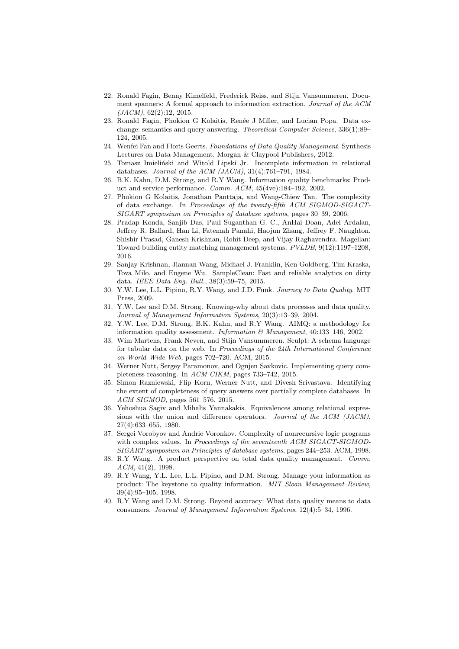- <span id="page-25-16"></span>22. Ronald Fagin, Benny Kimelfeld, Frederick Reiss, and Stijn Vansummeren. Document spanners: A formal approach to information extraction. *Journal of the ACM (JACM)*, 62(2):12, 2015.
- <span id="page-25-14"></span>23. Ronald Fagin, Phokion G Kolaitis, Renée J Miller, and Lucian Popa. Data exchange: semantics and query answering. *Theoretical Computer Science*, 336(1):89– 124, 2005.
- <span id="page-25-8"></span><span id="page-25-0"></span>24. Wenfei Fan and Floris Geerts. *Foundations of Data Quality Management*. Synthesis Lectures on Data Management. Morgan & Claypool Publishers, 2012.
- 25. Tomasz Imieliński and Witold Lipski Jr. Incomplete information in relational databases. *Journal of the ACM (JACM)*, 31(4):761–791, 1984.
- <span id="page-25-2"></span>26. B.K. Kahn, D.M. Strong, and R.Y Wang. Information quality benchmarks: Product and service performance. *Comm. ACM*, 45(4ve):184–192, 2002.
- <span id="page-25-13"></span>27. Phokion G Kolaitis, Jonathan Panttaja, and Wang-Chiew Tan. The complexity of data exchange. In *Proceedings of the twenty-fifth ACM SIGMOD-SIGACT-SIGART symposium on Principles of database systems*, pages 30–39, 2006.
- <span id="page-25-12"></span>28. Pradap Konda, Sanjib Das, Paul Suganthan G. C., AnHai Doan, Adel Ardalan, Jeffrey R. Ballard, Han Li, Fatemah Panahi, Haojun Zhang, Jeffrey F. Naughton, Shishir Prasad, Ganesh Krishnan, Rohit Deep, and Vijay Raghavendra. Magellan: Toward building entity matching management systems. *PVLDB*, 9(12):1197–1208, 2016.
- <span id="page-25-9"></span>29. Sanjay Krishnan, Jiannan Wang, Michael J. Franklin, Ken Goldberg, Tim Kraska, Tova Milo, and Eugene Wu. SampleClean: Fast and reliable analytics on dirty data. *IEEE Data Eng. Bull.*, 38(3):59–75, 2015.
- <span id="page-25-4"></span>30. Y.W. Lee, L.L. Pipino, R.Y. Wang, and J.D. Funk. *Journey to Data Quality*. MIT Press, 2009.
- <span id="page-25-7"></span>31. Y.W. Lee and D.M. Strong. Knowing-why about data processes and data quality. *Journal of Management Information Systems*, 20(3):13–39, 2004.
- <span id="page-25-3"></span>32. Y.W. Lee, D.M. Strong, B.K. Kahn, and R.Y Wang. AIMQ: a methodology for information quality assessment. *Information & Management*, 40:133–146, 2002.
- <span id="page-25-17"></span>33. Wim Martens, Frank Neven, and Stijn Vansummeren. Sculpt: A schema language for tabular data on the web. In *Proceedings of the 24th International Conference on World Wide Web*, pages 702–720. ACM, 2015.
- <span id="page-25-11"></span>34. Werner Nutt, Sergey Paramonov, and Ognjen Savkovic. Implementing query completeness reasoning. In *ACM CIKM*, pages 733–742, 2015.
- <span id="page-25-10"></span>35. Simon Razniewski, Flip Korn, Werner Nutt, and Divesh Srivastava. Identifying the extent of completeness of query answers over partially complete databases. In *ACM SIGMOD*, pages 561–576, 2015.
- <span id="page-25-18"></span>36. Yehoshua Sagiv and Mihalis Yannakakis. Equivalences among relational expressions with the union and difference operators. *Journal of the ACM (JACM)*, 27(4):633–655, 1980.
- <span id="page-25-15"></span>37. Sergei Vorobyov and Andrie Voronkov. Complexity of nonrecursive logic programs with complex values. In *Proceedings of the seventeenth ACM SIGACT-SIGMOD-SIGART symposium on Principles of database systems*, pages 244–253. ACM, 1998.
- <span id="page-25-6"></span>38. R.Y Wang. A product perspective on total data quality management. *Comm. ACM*, 41(2), 1998.
- <span id="page-25-5"></span>39. R.Y Wang, Y.L. Lee, L.L. Pipino, and D.M. Strong. Manage your information as product: The keystone to quality information. *MIT Sloan Management Review*, 39(4):95–105, 1998.
- <span id="page-25-1"></span>40. R.Y Wang and D.M. Strong. Beyond accuracy: What data quality means to data consumers. *Journal of Management Information Systems*, 12(4):5–34, 1996.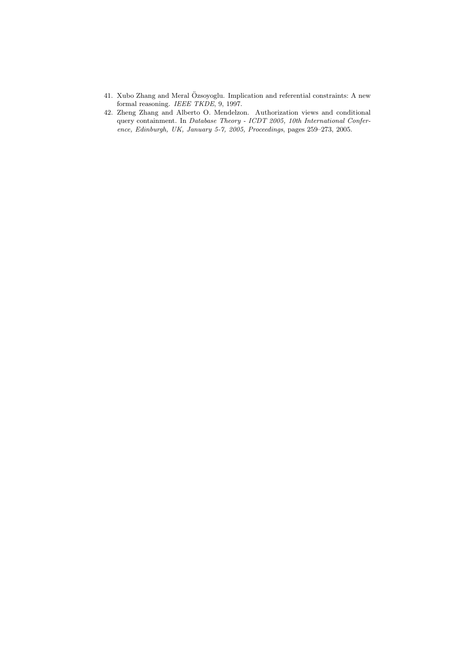- <span id="page-26-1"></span>41. Xubo Zhang and Meral Ozsoyoglu. Implication and referential constraints: A new ¨ formal reasoning. *IEEE TKDE*, 9, 1997.
- <span id="page-26-0"></span>42. Zheng Zhang and Alberto O. Mendelzon. Authorization views and conditional query containment. In *Database Theory - ICDT 2005, 10th International Conference, Edinburgh, UK, January 5-7, 2005, Proceedings*, pages 259–273, 2005.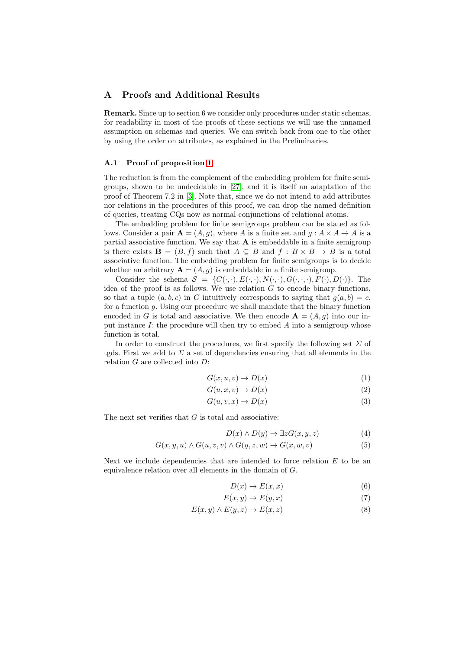# A Proofs and Additional Results

Remark. Since up to section 6 we consider only procedures under static schemas, for readability in most of the proofs of these sections we will use the unnamed assumption on schemas and queries. We can switch back from one to the other by using the order on attributes, as explained in the Preliminaries.

## A.1 Proof of proposition [1](#page-10-0)

The reduction is from the complement of the embedding problem for finite semigroups, shown to be undecidable in [\[27\]](#page-25-13), and it is itself an adaptation of the proof of Theorem 7.2 in [\[3\]](#page-23-1). Note that, since we do not intend to add attributes nor relations in the procedures of this proof, we can drop the named definition of queries, treating CQs now as normal conjunctions of relational atoms.

The embedding problem for finite semigroups problem can be stated as follows. Consider a pair  $\mathbf{A} = (A, q)$ , where A is a finite set and  $q : A \times A \rightarrow A$  is a partial associative function. We say that  $A$  is embeddable in a finite semigroup is there exists  $\mathbf{B} = (B, f)$  such that  $A \subseteq B$  and  $f : B \times B \to B$  is a total associative function. The embedding problem for finite semigroups is to decide whether an arbitrary  $\mathbf{A} = (A, g)$  is embeddable in a finite semigroup.

Consider the schema  $S = \{C(\cdot,\cdot), E(\cdot,\cdot), N(\cdot,\cdot), G(\cdot,\cdot,\cdot), F(\cdot), D(\cdot)\}.$  The idea of the proof is as follows. We use relation  $G$  to encode binary functions, so that a tuple  $(a, b, c)$  in G intuitively corresponds to saying that  $q(a, b) = c$ , for a function g. Using our procedure we shall mandate that the binary function encoded in G is total and associative. We then encode  $A = (A, g)$  into our input instance  $I$ : the procedure will then try to embed  $A$  into a semigroup whose function is total.

In order to construct the procedures, we first specify the following set  $\Sigma$  of tgds. First we add to  $\Sigma$  a set of dependencies ensuring that all elements in the relation G are collected into D:

$$
G(x, u, v) \to D(x) \tag{1}
$$

$$
G(u, x, v) \to D(x) \tag{2}
$$

$$
G(u, v, x) \to D(x) \tag{3}
$$

The next set verifies that  $G$  is total and associative:

$$
D(x) \land D(y) \to \exists z G(x, y, z) \tag{4}
$$

$$
G(x, y, u) \wedge G(u, z, v) \wedge G(y, z, w) \rightarrow G(x, w, v)
$$
\n
$$
(5)
$$

Next we include dependencies that are intended to force relation  $E$  to be an equivalence relation over all elements in the domain of G.

$$
D(x) \to E(x, x) \tag{6}
$$

$$
E(x, y) \to E(y, x) \tag{7}
$$

$$
E(x, y) \wedge E(y, z) \rightarrow E(x, z) \tag{8}
$$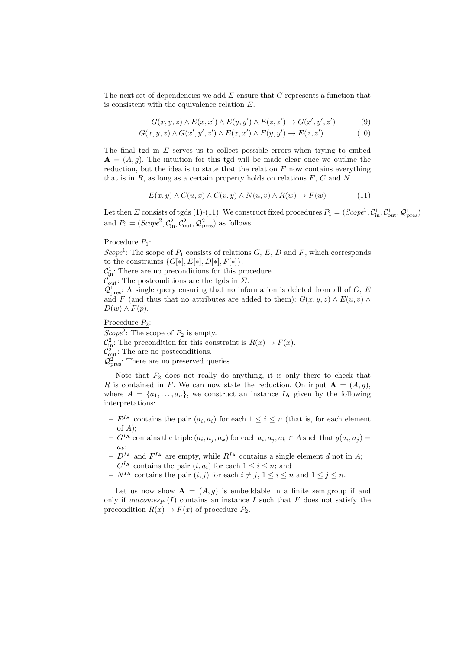The next set of dependencies we add  $\Sigma$  ensure that G represents a function that is consistent with the equivalence relation E.

$$
G(x, y, z) \wedge E(x, x') \wedge E(y, y') \wedge E(z, z') \rightarrow G(x', y', z')
$$
(9)

$$
G(x, y, z) \wedge G(x', y', z') \wedge E(x, x') \wedge E(y, y') \rightarrow E(z, z') \tag{10}
$$

The final tgd in  $\Sigma$  serves us to collect possible errors when trying to embed  ${\bf A} = (A, q)$ . The intuition for this tgd will be made clear once we outline the reduction, but the idea is to state that the relation  $F$  now contains everything that is in  $R$ , as long as a certain property holds on relations  $E, C$  and  $N$ .

$$
E(x, y) \wedge C(u, x) \wedge C(v, y) \wedge N(u, v) \wedge R(w) \rightarrow F(w) \tag{11}
$$

Let then  $\Sigma$  consists of tgds (1)-(11). We construct fixed procedures  $P_1 = (Scope^1, C^1_{\text{in}}, C^1_{\text{out}}, Q^1_{\text{pres}})$ and  $P_2 = (Scope^2, C_{\text{in}}^2, C_{\text{out}}^2, Q_{\text{pres}}^2)$  as follows.

# Procedure  $P_1$ :

Scope<sup>1</sup>: The scope of  $P_1$  consists of relations  $G, E, D$  and  $F$ , which corresponds to the constraints  $\{G[*], E[*], D[*], F[*]\}.$ 

 $\mathcal{C}_{\text{in}}^1$ : There are no preconditions for this procedure.

 $\mathcal{C}_{\text{out}}^1$ : The postconditions are the tgds in  $\Sigma$ .

 $\mathcal{Q}^1_{\text{pres}}$ : A single query ensuring that no information is deleted from all of G, E and F (and thus that no attributes are added to them):  $G(x, y, z) \wedge E(u, v) \wedge$  $D(w) \wedge F(p)$ .

Procedure  $P_2$ :

Scope<sup>2</sup>: The scope of  $P_2$  is empty.  $\mathcal{C}_{\text{in}}^2$ : The precondition for this constraint is  $R(x) \to F(x)$ .  $\mathcal{C}_{\text{out}}^2$ : The are no postconditions.  $\mathcal{Q}^2_{\text{pres}}$ : There are no preserved queries.

Note that  $P_2$  does not really do anything, it is only there to check that R is contained in F. We can now state the reduction. On input  $A = (A, q)$ , where  $A = \{a_1, \ldots, a_n\}$ , we construct an instance  $I_A$  given by the following interpretations:

- $-E^{I_A}$  contains the pair  $(a_i, a_i)$  for each  $1 \leq i \leq n$  (that is, for each element of  $A$ ):
- $-G<sup>I</sup>$  contains the triple  $(a_i, a_j, a_k)$  for each  $a_i, a_j, a_k \in A$  such that  $g(a_i, a_j) =$  $a_k;$
- $-D<sup>I</sup>$ <sup>A</sup> and  $F<sup>I</sup>$ <sup>A</sup> are empty, while  $R<sup>I</sup>$ <sup>A</sup> contains a single element d not in A;
- $C^{I_A}$  contains the pair  $(i, a_i)$  for each  $1 \leq i \leq n$ ; and
- $N^{I_A}$  contains the pair  $(i, j)$  for each  $i \neq j$ ,  $1 \leq i \leq n$  and  $1 \leq j \leq n$ .

Let us now show  $A = (A, g)$  is embeddable in a finite semigroup if and only if  $outcomes_{P_1}(I)$  contains an instance I such that I' does not satisfy the precondition  $R(x) \to F(x)$  of procedure  $P_2$ .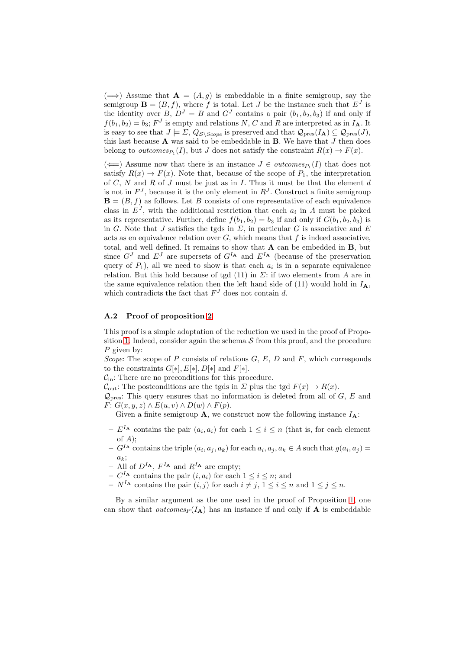$(\Longrightarrow)$  Assume that  $\mathbf{A} = (A, g)$  is embeddable in a finite semigroup, say the semigroup  $\mathbf{B} = (B, f)$ , where f is total. Let J be the instance such that  $E^J$  is the identity over B,  $D^J = B$  and  $G^J$  contains a pair  $(b_1, b_2, b_3)$  if and only if  $f(b_1, b_2) = b_3$ ;  $F<sup>J</sup>$  is empty and relations N, C and R are interpreted as in  $I_A$ . It is easy to see that  $J \models \Sigma$ ,  $Q_{\mathcal{S}\setminus \mathit{Scope}}$  is preserved and that  $\mathcal{Q}_{\text{pres}}(I_{\mathbf{A}}) \subseteq \mathcal{Q}_{\text{pres}}(J)$ , this last because  $A$  was said to be embeddable in  $B$ . We have that  $J$  then does belong to *outcomes*<sub> $P_1$ </sub> $(I)$ , but J does not satisfy the constraint  $R(x) \to F(x)$ .

 $(\Leftarrow)$  Assume now that there is an instance  $J \in outcomes_{P_1}(I)$  that does not satisfy  $R(x) \to F(x)$ . Note that, because of the scope of  $P_1$ , the interpretation of  $C, N$  and  $R$  of  $J$  must be just as in  $I$ . Thus it must be that the element  $d$ is not in  $F<sup>J</sup>$ , because it is the only element in  $R<sup>J</sup>$ . Construct a finite semigroup  $\mathbf{B} = (B, f)$  as follows. Let B consists of one representative of each equivalence class in  $E^J$ , with the additional restriction that each  $a_i$  in A must be picked as its representative. Further, define  $f(b_1, b_2) = b_3$  if and only if  $G(b_1, b_2, b_3)$  is in G. Note that J satisfies the tgds in  $\Sigma$ , in particular G is associative and E acts as en equivalence relation over  $G$ , which means that  $f$  is indeed associative, total, and well defined. It remains to show that  $A$  can be embedded in  $B$ , but since  $G<sup>J</sup>$  and  $E<sup>J</sup>$  are supersets of  $G<sup>I<sub>A</sub></sup>$  and  $E<sup>I<sub>A</sub></sup>$  (because of the preservation query of  $P_1$ ), all we need to show is that each  $a_i$  is in a separate equivalence relation. But this hold because of tgd (11) in  $\Sigma$ : if two elements from A are in the same equivalence relation then the left hand side of (11) would hold in  $I_A$ , which contradicts the fact that  $F<sup>J</sup>$  does not contain d.

#### A.2 Proof of proposition [2](#page-10-1)

This proof is a simple adaptation of the reduction we used in the proof of Propo-sition [1.](#page-10-0) Indeed, consider again the schema  $\mathcal S$  from this proof, and the procedure P given by:

Scope: The scope of  $P$  consists of relations  $G, E, D$  and  $F$ , which corresponds to the constraints  $G[*], E[*], D[*]$  and  $F[*].$ 

 $\mathcal{C}_{\text{in}}$ : There are no preconditions for this procedure.

 $C_{\text{out}}$ : The postconditions are the tgds in  $\Sigma$  plus the tgd  $F(x) \to R(x)$ .

 $\mathcal{Q}_{\text{pres}}$ : This query ensures that no information is deleted from all of G, E and  $F: G(x, y, z) \wedge E(u, v) \wedge D(w) \wedge F(p).$ 

Given a finite semigroup **A**, we construct now the following instance  $I_A$ :

- $-E^{I_{\mathbf{A}}}$  contains the pair  $(a_i, a_i)$  for each  $1 \leq i \leq n$  (that is, for each element of  $A);$
- $-G<sup>I</sup>$  contains the triple  $(a_i, a_j, a_k)$  for each  $a_i, a_j, a_k \in A$  such that  $g(a_i, a_j) =$  $a_k$ ;
- All of  $D^{I_{\mathbf{A}}}, F^{I_{\mathbf{A}}}$  and  $R^{I_{\mathbf{A}}}$  are empty;
- $C^{I_A}$  contains the pair  $(i, a_i)$  for each  $1 \leq i \leq n$ ; and
- $N^{I_A}$  contains the pair  $(i, j)$  for each  $i \neq j, 1 \leq i \leq n$  and  $1 \leq j \leq n$ .

By a similar argument as the one used in the proof of Proposition [1,](#page-10-0) one can show that *outcomes* $_P(I_A)$  has an instance if and only if A is embeddable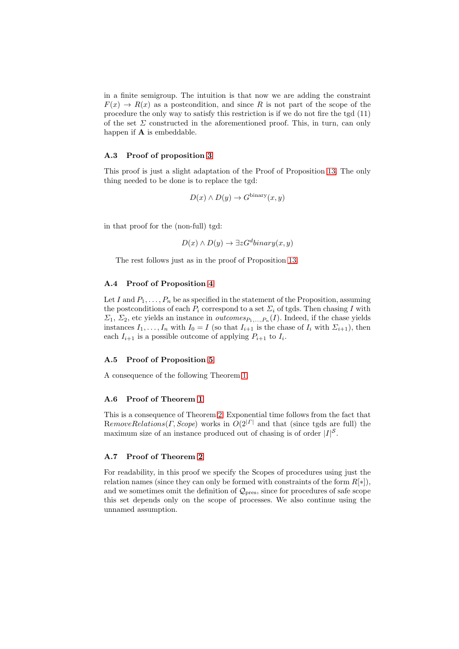in a finite semigroup. The intuition is that now we are adding the constraint  $F(x) \to R(x)$  as a postcondition, and since R is not part of the scope of the procedure the only way to satisfy this restriction is if we do not fire the tgd (11) of the set  $\Sigma$  constructed in the aforementioned proof. This, in turn, can only happen if  $A$  is embeddable.

## A.3 Proof of proposition [3](#page-11-1)

This proof is just a slight adaptation of the Proof of Proposition [13.](#page-20-0) The only thing needed to be done is to replace the tgd:

$$
D(x) \wedge D(y) \to G^{\text{binary}}(x, y)
$$

in that proof for the (non-full) tgd:

$$
D(x) \wedge D(y) \to \exists z G^d binary(x, y)
$$

The rest follows just as in the proof of Proposition [13.](#page-20-0)

# A.4 Proof of Proposition [4](#page-11-2)

Let I and  $P_1, \ldots, P_n$  be as specified in the statement of the Proposition, assuming the postconditions of each  $P_i$  correspond to a set  $\Sigma_i$  of tgds. Then chasing I with  $\Sigma_1$ ,  $\Sigma_2$ , etc yields an instance in *outcomes*<sub> $P_1$ ,..., $P_n(I)$ . Indeed, if the chase yields</sub> instances  $I_1, \ldots, I_n$  with  $I_0 = I$  (so that  $I_{i+1}$  is the chase of  $I_i$  with  $\Sigma_{i+1}$ ), then each  $I_{i+1}$  is a possible outcome of applying  $P_{i+1}$  to  $I_i$ .

#### A.5 Proof of Proposition [5](#page-13-2)

A consequence of the following Theorem [1.](#page-13-0)

#### A.6 Proof of Theorem [1](#page-13-0)

This is a consequence of Theorem [2.](#page-13-1) Exponential time follows from the fact that RemoveRelations(Γ, Scope) works in  $O(2^{|{\Gamma}|})$  and that (since tgds are full) the maximum size of an instance produced out of chasing is of order  $|I|^{\mathcal{S}}$ .

#### A.7 Proof of Theorem [2](#page-13-1)

For readability, in this proof we specify the Scopes of procedures using just the relation names (since they can only be formed with constraints of the form  $R[*]$ ), and we sometimes omit the definition of  $\mathcal{Q}_\text{pres}$ , since for procedures of safe scope this set depends only on the scope of processes. We also continue using the unnamed assumption.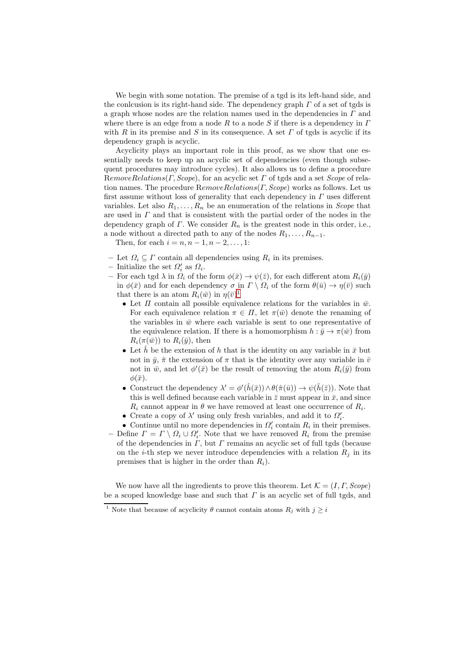We begin with some notation. The premise of a tgd is its left-hand side, and the conlcusion is its right-hand side. The dependency graph  $\Gamma$  of a set of tgds is a graph whose nodes are the relation names used in the dependencies in  $\Gamma$  and where there is an edge from a node R to a node S if there is a dependency in  $\Gamma$ with R in its premise and S in its consequence. A set  $\Gamma$  of tgds is acyclic if its dependency graph is acyclic.

Acyclicity plays an important role in this proof, as we show that one essentially needs to keep up an acyclic set of dependencies (even though subsequent procedures may introduce cycles). It also allows us to define a procedure  $RemoveRelationshipS(C,Scope),$  for an acyclic set  $\Gamma$  of tgds and a set *Scope* of relation names. The procedure  $RemoveRelations(F, Score)$  works as follows. Let us first assume without loss of generality that each dependency in  $\Gamma$  uses different variables. Let also  $R_1, \ldots, R_n$  be an enumeration of the relations in *Scope* that are used in  $\Gamma$  and that is consistent with the partial order of the nodes in the dependency graph of  $\Gamma$ . We consider  $R_n$  is the greatest node in this order, i.e., a node without a directed path to any of the nodes  $R_1, \ldots, R_{n-1}$ .

Then, for each  $i = n, n - 1, n - 2, ..., 1$ :

- Let  $\Omega_i \subseteq \Gamma$  contain all dependencies using  $R_i$  in its premises.
- Initialize the set  $\Omega'_i$  as  $\Omega_i$ .
- For each tgd  $\lambda$  in  $\Omega_i$  of the form  $\phi(\bar{x}) \to \psi(\bar{z})$ , for each different atom  $R_i(\bar{y})$ in  $\phi(\bar{x})$  and for each dependency  $\sigma$  in  $\Gamma \setminus \Omega_i$  of the form  $\theta(\bar{u}) \to \eta(\bar{v})$  such that there is an atom  $R_i(\bar{w})$  in  $\eta(\bar{v})^1$  $\eta(\bar{v})^1$ 
	- Let  $\Pi$  contain all possible equivalence relations for the variables in  $\bar{w}$ . For each equivalence relation  $\pi \in \Pi$ , let  $\pi(\bar{w})$  denote the renaming of the variables in  $\bar{w}$  where each variable is sent to one representative of the equivalence relation. If there is a homomorphism  $h : \bar{y} \to \pi(\bar{w})$  from  $R_i(\pi(\bar{w}))$  to  $R_i(\bar{y})$ , then
	- Let  $\hat{h}$  be the extension of h that is the identity on any variable in  $\bar{x}$  but not in  $\bar{y}$ ,  $\hat{\pi}$  the extension of  $\pi$  that is the identity over any variable in  $\bar{v}$ not in  $\bar{w}$ , and let  $\phi'(\bar{x})$  be the result of removing the atom  $R_i(\bar{y})$  from  $\phi(\bar{x})$ .
	- Construct the dependency  $\lambda' = \phi'(\hat{h}(\bar{x})) \wedge \theta(\hat{\pi}(\bar{u})) \rightarrow \psi(\hat{h}(\bar{z}))$ . Note that this is well defined because each variable in  $\bar{z}$  must appear in  $\bar{x}$ , and since  $R_i$  cannot appear in  $\theta$  we have removed at least one occurrence of  $R_i$ .
	- Create a copy of  $\lambda'$  using only fresh variables, and add it to  $\Omega'_i$ .
	- Continue until no more dependencies in  $\Omega_i'$  contain  $R_i$  in their premises.
- Define  $\Gamma = \Gamma \setminus \Omega_i \cup \Omega'_i$ . Note that we have removed  $R_i$  from the premise of the dependencies in  $\Gamma$ , but  $\Gamma$  remains an acyclic set of full tgds (because on the *i*-th step we never introduce dependencies with a relation  $R_i$  in its premises that is higher in the order than  $R_i$ ).

We now have all the ingredients to prove this theorem. Let  $\mathcal{K} = (I, \Gamma, \text{Scope})$ be a scoped knowledge base and such that  $\Gamma$  is an acyclic set of full tgds, and

<span id="page-31-0"></span><sup>&</sup>lt;sup>1</sup> Note that because of acyclicity  $\theta$  cannot contain atoms  $R_i$  with  $j \geq i$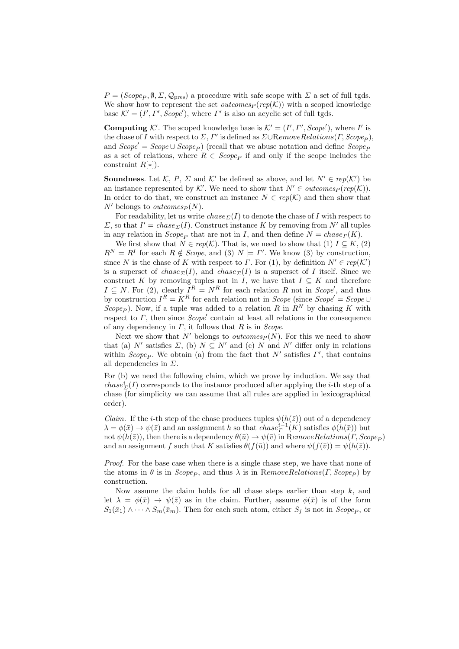$P = (Scope_P, \emptyset, \Sigma, \mathcal{Q}_{\text{pres}})$  a procedure with safe scope with  $\Sigma$  a set of full tgds. We show how to represent the set *outcomes<sub>P</sub>* (rep(K)) with a scoped knowledge base  $\mathcal{K}' = (I', \Gamma', \text{Scope}'),$  where  $\Gamma'$  is also an acyclic set of full tgds.

**Computing**  $K'$ . The scoped knowledge base is  $K' = (I', I', \text{Scope}'),$  where I' is the chase of I with respect to  $\Sigma$ ,  $\Gamma'$  is defined as  $\Sigma \cup$ RemoveRelations( $\Gamma$ , Scope<sub>P</sub>), and  $Scope' = Score \cup Score_P$  (recall that we abuse notation and define  $Scope_P$ as a set of relations, where  $R \in \text{Scope}_P$  if and only if the scope includes the constraint  $R[*]$ ).

**Soundness**. Let K, P,  $\Sigma$  and K' be defined as above, and let  $N' \in rep(K')$  be an instance represented by K'. We need to show that  $N' \in outcomes_P(rep(\mathcal{K}))$ . In order to do that, we construct an instance  $N \in rep(K)$  and then show that  $N'$  belongs to *outcomes<sub>P</sub>*(N).

For readability, let us write  $chase_{\Sigma}(I)$  to denote the chase of I with respect to  $\Sigma$ , so that  $I' = \text{chase}_{\Sigma}(I)$ . Construct instance K by removing from N' all tuples in any relation in  $Scope<sub>P</sub>$  that are not in I, and then define  $N = \text{chase}_\Gamma(K)$ .

We first show that  $N \in rep(K)$ . That is, we need to show that (1)  $I \subseteq K$ , (2)  $R^N = R^I$  for each  $R \notin \text{Scope},$  and (3)  $N \models \Gamma'$ . We know (3) by construction, since N is the chase of K with respect to  $\Gamma$ . For (1), by definition  $N' \in rep(K')$ is a superset of chase<sub>Σ</sub>(I), and chase<sub>Σ</sub>(I) is a superset of I itself. Since we construct K by removing tuples not in I, we have that  $I \subseteq K$  and therefore  $I \subseteq N$ . For (2), clearly  $I^R = N^R$  for each relation R not in Scope', and thus by construction  $I^R = K^R$  for each relation not in *Scope* (since  $Scope' = Scope \cup$ Scope<sub>p</sub>). Now, if a tuple was added to a relation R in  $R^N$  by chasing K with respect to  $\Gamma$ , then since  $Scope'$  contain at least all relations in the consequence of any dependency in  $\Gamma$ , it follows that  $R$  is in *Scope*.

Next we show that N' belongs to *outcomes*  $P(N)$ . For this we need to show that (a) N' satisfies  $\Sigma$ , (b)  $N \subseteq N'$  and (c) N and N' differ only in relations within  $Scope_P$ . We obtain (a) from the fact that N' satisfies  $\Gamma'$ , that contains all dependencies in  $\Sigma$ .

For (b) we need the following claim, which we prove by induction. We say that  $chase^i_{\Sigma}(I)$  corresponds to the instance produced after applying the *i*-th step of a chase (for simplicity we can assume that all rules are applied in lexicographical order).

*Claim.* If the *i*-th step of the chase produces tuples  $\psi(h(\bar{z}))$  out of a dependency  $\lambda = \phi(\bar{x}) \to \psi(\bar{z})$  and an assignment h so that  $chase^{i-1}_\Gamma(K)$  satisfies  $\phi(h(\bar{x}))$  but not  $\psi(h(\bar{z}))$ , then there is a dependency  $\theta(\bar{u}) \to \psi(\bar{v})$  in RemoveRelations(Γ, Scope<sub>P</sub>) and an assignment f such that K satisfies  $\theta(f(\bar{u}))$  and where  $\psi(f(\bar{v})) = \psi(h(\bar{z}))$ .

Proof. For the base case when there is a single chase step, we have that none of the atoms in  $\theta$  is in Scope<sub>P</sub>, and thus  $\lambda$  is in RemoveRelations(Γ, Scope<sub>P</sub>) by construction.

Now assume the claim holds for all chase steps earlier than step  $k$ , and let  $\lambda = \phi(\bar{x}) \rightarrow \psi(\bar{z})$  as in the claim. Further, assume  $\phi(\bar{x})$  is of the form  $S_1(\bar{x}_1) \wedge \cdots \wedge S_m(\bar{x}_m)$ . Then for each such atom, either  $S_j$  is not in  $Scope_P$ , or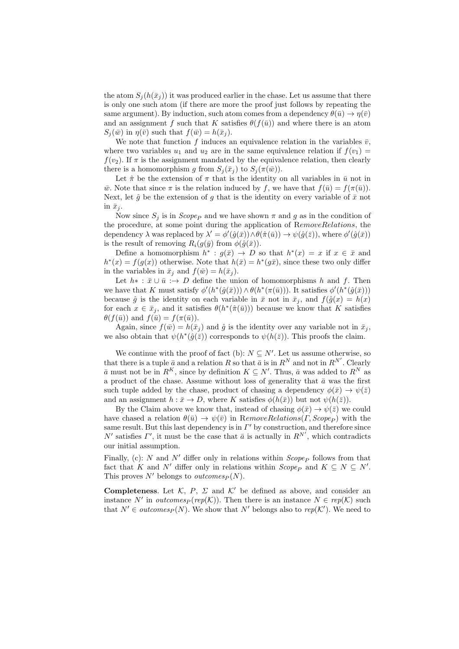the atom  $S_j(h(\bar{x}_j))$  it was produced earlier in the chase. Let us assume that there is only one such atom (if there are more the proof just follows by repeating the same argument). By induction, such atom comes from a dependency  $\theta(\bar{u}) \to \eta(\bar{v})$ and an assignment f such that K satisfies  $\theta(f(\bar{u}))$  and where there is an atom  $S_i(\bar{w})$  in  $\eta(\bar{v})$  such that  $f(\bar{w}) = h(\bar{x}_i)$ .

We note that function f induces an equivalence relation in the variables  $\bar{v}$ , where two variables  $u_1$  and  $u_2$  are in the same equivalence relation if  $f(v_1)$  =  $f(v_2)$ . If  $\pi$  is the assignment mandated by the equivalence relation, then clearly there is a homomorphism g from  $S_i(\bar{x}_i)$  to  $S_i(\pi(\bar{w}))$ .

Let  $\hat{\pi}$  be the extension of  $\pi$  that is the identity on all variables in  $\bar{u}$  not in  $\overline{w}$ . Note that since  $\pi$  is the relation induced by f, we have that  $f(\overline{u}) = f(\pi(\overline{u}))$ . Next, let  $\hat{g}$  be the extension of g that is the identity on every variable of  $\bar{x}$  not in  $\bar{x}_i$ .

Now since  $S_i$  is in *Scope* and we have shown  $\pi$  and g as in the condition of the procedure, at some point during the application of RemoveRelations, the dependency  $\lambda$  was replaced by  $\lambda' = \phi'(\hat{g}(\bar{x})) \wedge \theta(\hat{\pi}(\bar{u})) \rightarrow \psi(\hat{g}(\bar{z}))$ , where  $\phi'(\hat{g}(\bar{x}))$ is the result of removing  $R_i(g(\bar{y}))$  from  $\phi(\hat{g}(\bar{x}))$ .

Define a homomorphism  $h^* : g(\bar{x}) \to D$  so that  $h^*(x) = x$  if  $x \in \bar{x}$  and  $h^*(x) = f(g(x))$  otherwise. Note that  $h(\bar{x}) = h^*(g\bar{x})$ , since these two only differ in the variables in  $\bar{x}_i$  and  $f(\bar{w}) = h(\bar{x}_i)$ .

Let  $h^*$ :  $\bar{x} \cup \bar{u}$  : $\rightarrow D$  define the union of homomorphisms h and f. Then we have that K must satisfy  $\phi'(h^*(\hat{g}(\bar{x}))) \wedge \theta(h^*(\pi(\bar{u})))$ . It satisfies  $\phi'(h^*(\hat{g}(\bar{x})))$ because  $\hat{g}$  is the identity on each variable in  $\bar{x}$  not in  $\bar{x}_j$ , and  $f(\hat{g}(x)) = h(x)$ for each  $x \in \bar{x}_j$ , and it satisfies  $\theta(h^*(\hat{\pi}(\bar{u})))$  because we know that K satisfies  $\theta(f(\bar{u}))$  and  $f(\bar{u}) = f(\pi(\bar{u})).$ 

Again, since  $f(\bar{w}) = h(\bar{x}_i)$  and  $\hat{g}$  is the identity over any variable not in  $\bar{x}_i$ , we also obtain that  $\psi(h^*(\hat{g}(\bar{z}))$  corresponds to  $\psi(h(\bar{z}))$ . This proofs the claim.

We continue with the proof of fact (b):  $N \subseteq N'$ . Let us assume otherwise, so that there is a tuple  $\bar{a}$  and a relation R so that  $\bar{a}$  is in  $R^N$  and not in  $R^{N'}$ . Clearly  $\bar{a}$  must not be in  $R^K$ , since by definition  $K \subseteq N'$ . Thus,  $\bar{a}$  was added to  $R^N$  as a product of the chase. Assume without loss of generality that  $\bar{a}$  was the first such tuple added by the chase, product of chasing a dependency  $\phi(\bar{x}) \to \psi(\bar{z})$ and an assignment  $h : \bar{x} \to D$ , where K satisfies  $\phi(h(\bar{x}))$  but not  $\psi(h(\bar{z}))$ .

By the Claim above we know that, instead of chasing  $\phi(\bar{x}) \to \psi(\bar{z})$  we could have chased a relation  $\theta(\bar{u}) \to \psi(\bar{v})$  in RemoveRelations(Γ, Scope<sub>P</sub>) with the same result. But this last dependency is in  $\Gamma'$  by construction, and therefore since N' satisfies  $\Gamma'$ , it must be the case that  $\bar{a}$  is actually in  $R^{N'}$ , which contradicts our initial assumption.

Finally, (c): N and N' differ only in relations within  $Scope<sub>P</sub>$  follows from that fact that K and N' differ only in relations within  $Scope_P$  and  $K \subseteq N \subseteq N'$ . This proves  $N'$  belongs to *outcomes* $_P(N)$ .

**Completeness.** Let K, P,  $\Sigma$  and K' be defined as above, and consider an instance N' in *outcomes<sub>P</sub>* (rep(K)). Then there is an instance  $N \in rep(K)$  such that  $N' \in outcomes_P(N)$ . We show that N' belongs also to  $rep(K')$ . We need to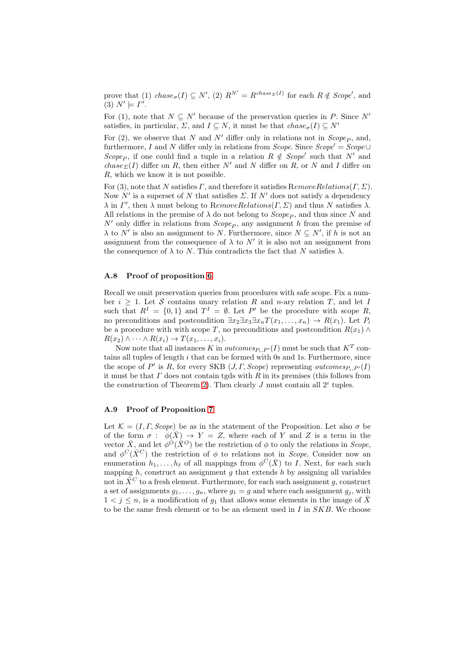prove that (1)  $chase_{\sigma}(I) \subseteq N'$ , (2)  $R^{N'} = R^{chase_{\Sigma}(I)}$  for each  $R \notin Scope'$ , and (3)  $N' \models \Gamma'.$ 

For (1), note that  $N \subseteq N'$  because of the preservation queries in P. Since N' satisfies, in particular,  $\Sigma$ , and  $I \subseteq N$ , it must be that  $chase_{\sigma}(I) \subseteq N'$ 

For (2), we observe that N and N' differ only in relations not in  $Scope<sub>P</sub>$ , and, furthermore, I and N differ only in relations from Scope. Since  $Scope' = Score \cup$  $Scope_P$ , if one could find a tuple in a relation  $R \notin \textit{Scope}'$  such that N' and chase  $\Sigma(I)$  differ on R, then either N' and N differ on R, or N and I differ on R, which we know it is not possible.

For (3), note that N satisfies  $\Gamma$ , and therefore it satisfies  $RemoveRelations(\Gamma, \Sigma)$ . Now  $N'$  is a superset of N that satisfies  $\Sigma$ . If  $N'$  does not satisfy a dependency  $\lambda$  in  $\Gamma'$ , then  $\lambda$  must belong to RemoveRelations( $\Gamma$ ,  $\Sigma$ ) and thus N satisfies  $\lambda$ . All relations in the premise of  $\lambda$  do not belong to  $Scope_P$ , and thus since N and  $N'$  only differ in relations from  $Scope_P$ , any assignment h from the premise of  $\lambda$  to N' is also an assignment to N. Furthermore, since  $N \subseteq N'$ , if h is not an assignment from the consequence of  $\lambda$  to  $N'$  it is also not an assignment from the consequence of  $\lambda$  to N. This contradicts the fact that N satisfies  $\lambda$ .

## A.8 Proof of proposition [6](#page-14-1)

Recall we omit preservation queries from procedures with safe scope. Fix a number  $i \geq 1$ . Let S contains unary relation R and n-ary relation T, and let I such that  $R^I = \{0,1\}$  and  $T^I = \emptyset$ . Let P' be the procedure with scope R, no preconditions and postcondition  $\exists x_2 \exists x_3 \exists x_n T(x_1, \ldots, x_n) \rightarrow R(x_1)$ . Let  $P_i$ be a procedure with with scope T, no preconditions and postcondition  $R(x_1) \wedge$  $R(x_2) \wedge \cdots \wedge R(x_i) \rightarrow T(x_1, \ldots, x_i).$ 

Now note that all instances K in  $outcomes_{P_i,P'}(I)$  must be such that  $K^T$  contains all tuples of length  $i$  that can be formed with 0s and 1s. Furthermore, since the scope of  $P'$  is R, for every SKB  $(J, \Gamma, \text{Scope})$  representing  $\text{outcomes}_{P_i, P'}(I)$ it must be that  $\Gamma$  does not contain tgds with  $R$  in its premises (this follows from the construction of Theorem [2\)](#page-13-1). Then clearly  $J$  must contain all  $2<sup>i</sup>$  tuples.

#### A.9 Proof of Proposition [7](#page-14-0)

Let  $\mathcal{K} = (I, \Gamma, \text{Scope})$  be as in the statement of the Proposition. Let also  $\sigma$  be of the form  $\sigma : \phi(\bar{X}) \to Y = Z$ , where each of Y and Z is a term in the vector  $\bar{X}$ , and let  $\phi^{\dot{O}}(\bar{X}^O)$  be the restriction of  $\phi$  to only the relations in *Scope*, and  $\phi^C(\bar{X}^C)$  the restriction of  $\phi$  to relations not in *Scope*. Consider now an enumeration  $h_1, \ldots, h_\ell$  of all mappings from  $\phi^C(\bar{X})$  to I. Next, for each such mapping  $h$ , construct an assignment  $g$  that extends  $h$  by assigning all variables not in  $\bar{X}^C$  to a fresh element. Furthermore, for each such assignment g, construct a set of assignments  $g_1, \ldots, g_n$ , where  $g_1 = g$  and where each assignment  $g_j$ , with  $1 < j \leq n$ , is a modification of  $g_1$  that allows some elements in the image of X to be the same fresh element or to be an element used in  $I$  in  $SKB$ . We choose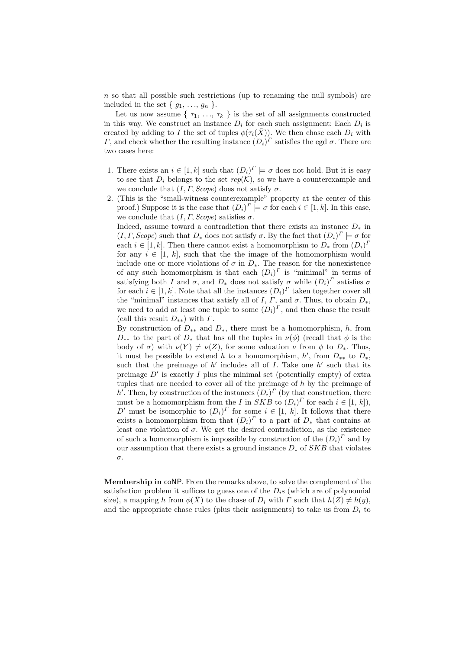$n$  so that all possible such restrictions (up to renaming the null symbols) are included in the set  $\{g_1, \ldots, g_n\}$ .

Let us now assume  $\{\tau_1, \ldots, \tau_k\}$  is the set of all assignments constructed in this way. We construct an instance  $D_i$  for each such assignment: Each  $D_i$  is created by adding to I the set of tuples  $\phi(\tau_i(\bar{X}))$ . We then chase each  $D_i$  with Γ, and check whether the resulting instance  $(D_i)^{\Gamma}$  satisfies the egd  $\sigma$ . There are two cases here:

- 1. There exists an  $i \in [1, k]$  such that  $(D_i)^T \models \sigma$  does not hold. But it is easy to see that  $D_i$  belongs to the set  $rep(K)$ , so we have a counterexample and we conclude that  $(I, \Gamma, \text{Scope})$  does not satisfy  $\sigma$ .
- 2. (This is the "small-witness counterexample" property at the center of this proof.) Suppose it is the case that  $(D_i)^{\Gamma} \models \sigma$  for each  $i \in [1, k]$ . In this case, we conclude that  $(I, \Gamma, \text{Scope})$  satisfies  $\sigma$ .

Indeed, assume toward a contradiction that there exists an instance  $D_*$  in  $(I, \Gamma, \text{Scope})$  such that  $D_*$  does not satisfy  $\sigma$ . By the fact that  $(D_i)^T \models \sigma$  for each  $i \in [1, k]$ . Then there cannot exist a homomorphism to  $D_*$  from  $(D_i)^T$ for any  $i \in [1, k]$ , such that the the image of the homomorphism would include one or more violations of  $\sigma$  in  $D_*$ . The reason for the nonexistence of any such homomorphism is that each  $(D_i)^T$  is "minimal" in terms of satisfying both I and  $\sigma$ , and  $D_*$  does not satisfy  $\sigma$  while  $(D_i)^T$  satisfies  $\sigma$ for each  $i \in [1, k]$ . Note that all the instances  $(D_i)^T$  taken together cover all the "minimal" instances that satisfy all of I,  $\Gamma$ , and  $\sigma$ . Thus, to obtain  $D_*$ , we need to add at least one tuple to some  $(D_i)^T$ , and then chase the result (call this result  $D_{**}$ ) with  $\Gamma$ .

By construction of  $D_{**}$  and  $D_{*}$ , there must be a homomorphism, h, from  $D_{**}$  to the part of  $D_{*}$  that has all the tuples in  $\nu(\phi)$  (recall that  $\phi$  is the body of  $\sigma$ ) with  $\nu(Y) \neq \nu(Z)$ , for some valuation  $\nu$  from  $\phi$  to  $D_*$ . Thus, it must be possible to extend h to a homomorphism, h', from  $D_{**}$  to  $D_{*}$ , such that the preimage of  $h'$  includes all of I. Take one  $h'$  such that its preimage  $D'$  is exactly  $I$  plus the minimal set (potentially empty) of extra tuples that are needed to cover all of the preimage of h by the preimage of h'. Then, by construction of the instances  $(D_i)^T$  (by that construction, there must be a homomorphism from the *I* in  $SKB$  to  $(D_i)^T$  for each  $i \in [1, k]$ , D' must be isomorphic to  $(D_i)^T$  for some  $i \in [1, k]$ . It follows that there exists a homomorphism from that  $(D_i)^{\Gamma}$  to a part of  $D_*$  that contains at least one violation of  $\sigma$ . We get the desired contradiction, as the existence of such a homomorphism is impossible by construction of the  $(D_i)^T$  and by our assumption that there exists a ground instance  $D_*$  of SKB that violates σ.

Membership in coNP. From the remarks above, to solve the complement of the satisfaction problem it suffices to guess one of the  $D_i$ s (which are of polynomial size), a mapping h from  $\phi(X)$  to the chase of  $D_i$  with  $\Gamma$  such that  $h(Z) \neq h(y)$ , and the appropriate chase rules (plus their assignments) to take us from  $D_i$  to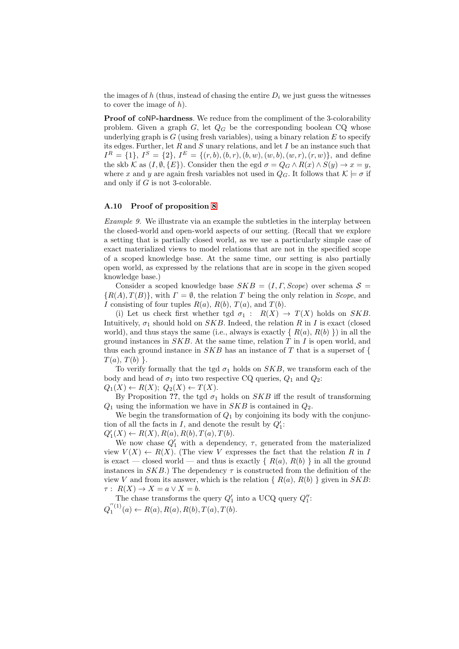the images of h (thus, instead of chasing the entire  $D_i$  we just guess the witnesses to cover the image of  $h$ ).

Proof of coNP-hardness. We reduce from the compliment of the 3-colorability problem. Given a graph  $G$ , let  $Q_G$  be the corresponding boolean CQ whose underlying graph is  $G$  (using fresh variables), using a binary relation  $E$  to specify its edges. Further, let  $R$  and  $S$  unary relations, and let  $I$  be an instance such that  $I^R = \{1\}, I^S = \{2\}, I^E = \{(r, b), (b, r), (b, w), (w, b), (w, r), (r, w)\},$  and define the skb K as  $(I, \emptyset, \{E\})$ . Consider then the egd  $\sigma = Q_G \wedge R(x) \wedge S(y) \rightarrow x = y$ , where x and y are again fresh variables not used in  $Q_G$ . It follows that  $\mathcal{K} \models \sigma$  if and only if G is not 3-colorable.

# A.10 Proof of proposition [8](#page-15-0)

Example 9. We illustrate via an example the subtleties in the interplay between the closed-world and open-world aspects of our setting. (Recall that we explore a setting that is partially closed world, as we use a particularly simple case of exact materialized views to model relations that are not in the specified scope of a scoped knowledge base. At the same time, our setting is also partially open world, as expressed by the relations that are in scope in the given scoped knowledge base.)

Consider a scoped knowledge base  $SKB = (I, \Gamma, \text{Scope})$  over schema  $S =$  ${R(A), T(B)}$ , with  $\Gamma = \emptyset$ , the relation T being the only relation in *Scope*, and I consisting of four tuples  $R(a)$ ,  $R(b)$ ,  $T(a)$ , and  $T(b)$ .

(i) Let us check first whether tgd  $\sigma_1 : R(X) \to T(X)$  holds on SKB. Intuitively,  $\sigma_1$  should hold on  $SKB$ . Indeed, the relation R in I is exact (closed world), and thus stays the same (i.e., always is exactly  $\{R(a), R(b)\}\$  in all the ground instances in  $SKB$ . At the same time, relation  $T$  in  $I$  is open world, and thus each ground instance in  $SKB$  has an instance of T that is a superset of {  $T(a), T(b)$ .

To verify formally that the tgd  $\sigma_1$  holds on  $SKB$ , we transform each of the body and head of  $\sigma_1$  into two respective CQ queries,  $Q_1$  and  $Q_2$ :  $Q_1(X) \leftarrow R(X); Q_2(X) \leftarrow T(X).$ 

By Proposition ??, the tgd  $\sigma_1$  holds on SKB iff the result of transforming  $Q_1$  using the information we have in SKB is contained in  $Q_2$ .

We begin the transformation of  $Q_1$  by conjoining its body with the conjunction of all the facts in  $I$ , and denote the result by  $Q'_1$ :

 $Q'_{1}(X) \leftarrow R(X), R(a), R(b), T(a), T(b).$ 

We now chase  $Q'_1$  with a dependency,  $\tau$ , generated from the materialized view  $V(X) \leftarrow R(X)$ . (The view V expresses the fact that the relation R in I is exact — closed world — and thus is exactly  $\{R(a), R(b)\}\$ in all the ground instances in  $SKB$ .) The dependency  $\tau$  is constructed from the definition of the view V and from its answer, which is the relation  $\{R(a), R(b)\}$  given in  $SKB$ :  $\tau: R(X) \to X = a \vee X = b.$ 

The chase transforms the query  $Q'_1$  into a UCQ query  $Q''_1$ :  $Q_1^{''(1)}(a) \leftarrow R(a), R(a), R(b), T(a), T(b).$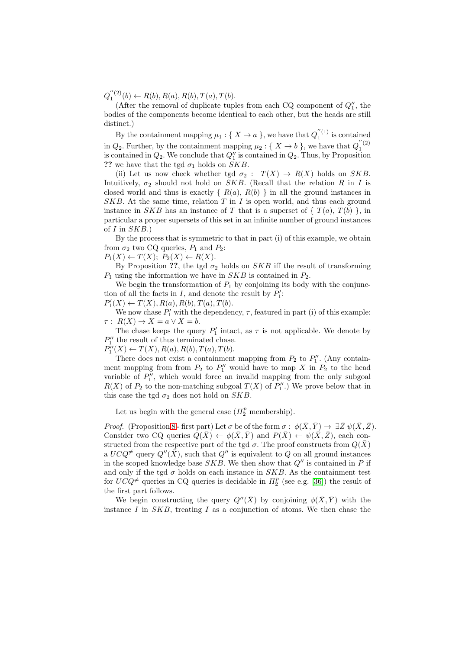$Q_1^{''(2)}(b) \leftarrow R(b), R(a), R(b), T(a), T(b).$ 

(After the removal of duplicate tuples from each CQ component of  $Q''_1$ , the bodies of the components become identical to each other, but the heads are still distinct.)

By the containment mapping  $\mu_1 : \{ X \to a \}$ , we have that  $Q_1^{''(1)}$  is contained in  $Q_2$ . Further, by the containment mapping  $\mu_2: \{ X \to b \}$ , we have that  $Q_1^{''(2)}$ is contained in  $Q_2$ . We conclude that  $Q''_1$  is contained in  $Q_2$ . Thus, by Proposition ?? we have that the tgd  $\sigma_1$  holds on SKB.

(ii) Let us now check whether tgd  $\sigma_2$ :  $T(X) \rightarrow R(X)$  holds on SKB. Intuitively,  $\sigma_2$  should not hold on SKB. (Recall that the relation R in I is closed world and thus is exactly  $\{ R(a), R(b) \}$  in all the ground instances in  $SKB$ . At the same time, relation  $T$  in  $I$  is open world, and thus each ground instance in SKB has an instance of T that is a superset of  $\{T(a), T(b)\}$ , in particular a proper supersets of this set in an infinite number of ground instances of  $I$  in  $SKB$ .)

By the process that is symmetric to that in part (i) of this example, we obtain from  $\sigma_2$  two CQ queries,  $P_1$  and  $P_2$ :

 $P_1(X) \leftarrow T(X); P_2(X) \leftarrow R(X).$ 

By Proposition ??, the tgd  $\sigma_2$  holds on SKB iff the result of transforming  $P_1$  using the information we have in  $SKB$  is contained in  $P_2$ .

We begin the transformation of  $P_1$  by conjoining its body with the conjunction of all the facts in  $I$ , and denote the result by  $P'_1$ :

 $P'_{1}(X) \leftarrow T(X), R(a), R(b), T(a), T(b).$ 

We now chase  $P'_1$  with the dependency,  $\tau$ , featured in part (i) of this example:  $\tau: R(X) \to X = a \vee X = b.$ 

The chase keeps the query  $P'_1$  intact, as  $\tau$  is not applicable. We denote by  $P_1^{\prime\prime}$  the result of thus terminated chase.

 $P''_1(X) \leftarrow T(X), R(a), R(b), T(a), T(b).$ 

There does not exist a containment mapping from  $P_2$  to  $P_1''$ . (Any containment mapping from from  $P_2$  to  $P_1''$  would have to map X in  $P_2$  to the head variable of  $P_1''$ , which would force an invalid mapping from the only subgoal  $R(X)$  of  $P_2$  to the non-matching subgoal  $T(X)$  of  $P''_1$ .) We prove below that in this case the tgd  $\sigma_2$  does not hold on SKB.

Let us begin with the general case  $(\Pi_2^p$  membership).

*Proof.* (Proposition [8](#page-15-0) - first part) Let  $\sigma$  be of the form  $\sigma : \phi(\bar{X}, \bar{Y}) \to \exists \bar{Z} \psi(\bar{X}, \bar{Z}).$ Consider two CQ queries  $Q(\bar{X}) \leftarrow \phi(\bar{X}, \bar{Y})$  and  $P(\bar{X}) \leftarrow \psi(\bar{X}, \bar{Z})$ , each constructed from the respective part of the tgd  $\sigma$ . The proof constructs from  $Q(\bar{X})$ a  $UCQ^{\neq}$  query  $Q''(\bar{X})$ , such that  $Q''$  is equivalent to Q on all ground instances in the scoped knowledge base  $SKB$ . We then show that  $Q''$  is contained in P if and only if the tgd  $\sigma$  holds on each instance in SKB. As the containment test for  $UC\ddot{Q}^{\neq}$  queries in CQ queries is decidable in  $\Pi_2^p$  (see e.g. [\[36\]](#page-25-18)) the result of the first part follows.

We begin constructing the query  $Q''(\bar{X})$  by conjoining  $\phi(\bar{X}, \bar{Y})$  with the instance  $I$  in  $SKB$ , treating  $I$  as a conjunction of atoms. We then chase the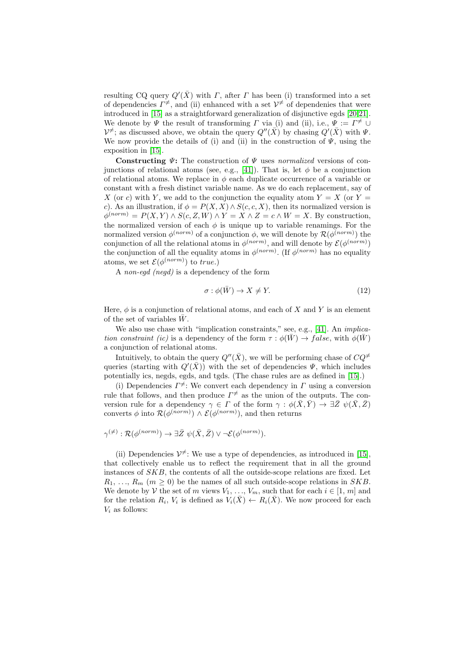resulting CQ query  $Q'(\bar{X})$  with  $\Gamma$ , after  $\Gamma$  has been (i) transformed into a set of dependencies  $\Gamma^{\neq}$ , and (ii) enhanced with a set  $V^{\neq}$  of dependenies that were introduced in [\[15\]](#page-24-11) as a straightforward generalization of disjunctive egds [\[20](#page-24-14)[,21\]](#page-24-15). We denote by  $\Psi$  the result of transforming  $\Gamma$  via (i) and (ii), i.e.,  $\Psi := \Gamma^{\neq} \cup$  $\mathcal{V}^{\neq}$ ; as discussed above, we obtain the query  $Q''(\bar{X})$  by chasing  $Q'(\bar{X})$  with  $\Psi$ . We now provide the details of (i) and (ii) in the construction of  $\Psi$ , using the exposition in [\[15\]](#page-24-11).

Constructing  $\Psi$ : The construction of  $\Psi$  uses normalized versions of con-junctions of relational atoms (see, e.g., [\[41\]](#page-26-1)). That is, let  $\phi$  be a conjunction of relational atoms. We replace in  $\phi$  each duplicate occurrence of a variable or constant with a fresh distinct variable name. As we do each replacement, say of X (or c) with Y, we add to the conjunction the equality atom  $Y = X$  (or  $Y =$ c). As an illustration, if  $\phi = P(X, X) \wedge S(c, c, X)$ , then its normalized version is  $\phi^{(norm)} = P(X, Y) \wedge S(c, Z, W) \wedge Y = X \wedge Z = c \wedge W = X$ . By construction, the normalized version of each  $\phi$  is unique up to variable renamings. For the normalized version  $\phi^{(norm)}$  of a conjunction  $\phi$ , we will denote by  $\mathcal{R}(\phi^{(norm)})$  the conjunction of all the relational atoms in  $\phi^{(norm)}$ , and will denote by  $\mathcal{E}(\phi^{(norm)})$ the conjunction of all the equality atoms in  $\phi^{(norm)}$ . (If  $\phi^{(norm)}$  has no equality atoms, we set  $\mathcal{E}(\phi^{(norm)})$  to true.)

A non-egd (negd) is a dependency of the form

$$
\sigma: \phi(\bar{W}) \to X \neq Y. \tag{12}
$$

Here,  $\phi$  is a conjunction of relational atoms, and each of X and Y is an element of the set of variables  $\bar{W}$ .

We also use chase with "implication constraints," see, e.g., [\[41\]](#page-26-1). An *implica*tion constraint (ic) is a dependency of the form  $\tau : \phi(\bar{W}) \to false$ , with  $\phi(\bar{W})$ a conjunction of relational atoms.

Intuitively, to obtain the query  $Q''(\bar{X})$ , we will be performing chase of  $CQ^{\neq}$ queries (starting with  $Q'(\bar{X})$ ) with the set of dependencies  $\Psi$ , which includes potentially ics, negds, egds, and tgds. (The chase rules are as defined in [\[15\]](#page-24-11).)

(i) Dependencies  $\Gamma^{\neq}$ : We convert each dependency in  $\Gamma$  using a conversion rule that follows, and then produce  $\Gamma^{\neq}$  as the union of the outputs. The conversion rule for a dependency  $\gamma \in \Gamma$  of the form  $\gamma : \phi(\bar{X}, \bar{Y}) \to \exists \bar{Z} \ \psi(\bar{X}, \bar{Z})$ converts  $\phi$  into  $\mathcal{R}(\phi^{(norm)}) \wedge \mathcal{E}(\phi^{(norm)}),$  and then returns

$$
\gamma^{(\neq)} : \mathcal{R}(\phi^{(norm)}) \to \exists \bar{Z} \ \psi(\bar{X}, \bar{Z}) \lor \neg \mathcal{E}(\phi^{(norm)}).
$$

(ii) Dependencies  $\mathcal{V}^{\neq}$ : We use a type of dependencies, as introduced in [\[15\]](#page-24-11), that collectively enable us to reflect the requirement that in all the ground instances of SKB, the contents of all the outside-scope relations are fixed. Let  $R_1, \ldots, R_m$  ( $m \geq 0$ ) be the names of all such outside-scope relations in SKB. We denote by V the set of m views  $V_1, \ldots, V_m$ , such that for each  $i \in [1, m]$  and for the relation  $R_i$ ,  $V_i$  is defined as  $V_i(\bar{X}) \leftarrow R_i(\bar{X})$ . We now proceed for each  $V_i$  as follows: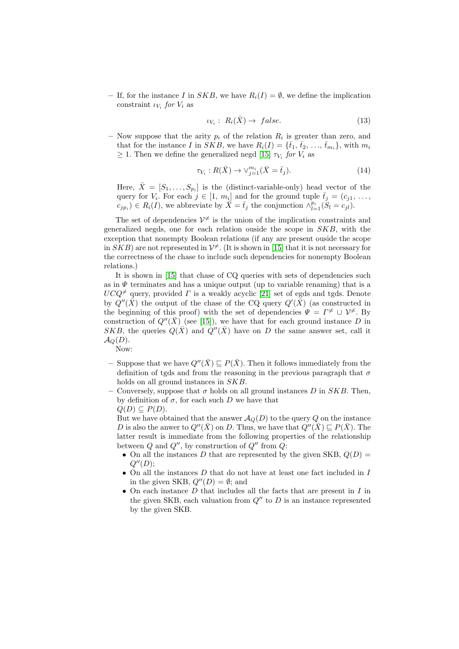– If, for the instance I in SKB, we have  $R_i(I) = \emptyset$ , we define the implication constraint  $\iota_{V_i}$  for  $V_i$  as

$$
\iota_{V_i}: R_i(\bar{X}) \to false. \tag{13}
$$

- Now suppose that the arity  $p_i$  of the relation  $R_i$  is greater than zero, and that for the instance I in SKB, we have  $R_i(I) = {\bar{t}_1, \bar{t}_2, \ldots, \bar{t}_{m_i}}$ , with  $m_i$  $\geq 1$ . Then we define the generalized negd [\[15\]](#page-24-11)  $\tau_{V_i}$  for  $V_i$  as

$$
\tau_{V_i}: R(\bar{X}) \to \vee_{j=1}^{m_i} (\bar{X} = \bar{t}_j). \tag{14}
$$

Here,  $\bar{X} = [S_1, \ldots, S_{p_i}]$  is the (distinct-variable-only) head vector of the query for  $V_i$ . For each  $j \in [1, m_i]$  and for the ground tuple  $\bar{t}_j = (c_{j1}, \ldots, c_{j1})$  $(c_{jp_i}) \in R_i(I)$ , we abbreviate by  $\overline{X} = \overline{t}_j$  the conjunction  $\wedge_{l=1}^{p_i} (S_l = c_{jl}).$ 

The set of dependencies  $\mathcal{V}^{\neq}$  is the union of the implication constraints and generalized negds, one for each relation ouside the scope in  $SKB$ , with the exception that nonempty Boolean relations (if any are present ouside the scope in  $SKB$ ) are not represented in  $\mathcal{V}^{\neq}$ . (It is shown in [\[15\]](#page-24-11) that it is not necessary for the correctness of the chase to include such dependencies for nonempty Boolean relations.)

It is shown in [\[15\]](#page-24-11) that chase of CQ queries with sets of dependencies such as in  $\Psi$  terminates and has a unique output (up to variable renaming) that is a  $UCQ^{\neq}$  query, provided  $\Gamma$  is a weakly acyclic [\[21\]](#page-24-15) set of egds and tgds. Denote by  $Q''(\bar{\bar{X}})$  the output of the chase of the CQ query  $Q'(\bar{\bar{X}})$  (as constructed in the beginning of this proof) with the set of dependencies  $\Psi = \Gamma^{\neq} \cup \mathcal{V}^{\neq}$ . By construction of  $Q''(\bar{X})$  (see [\[15\]](#page-24-11)), we have that for each ground instance D in SKB, the queries  $Q(\bar{X})$  and  $Q''(\bar{X})$  have on D the same answer set, call it  $\mathcal{A}_Q(D)$ . Now:

- Suppose that we have  $Q''(\bar{X}) \sqsubset P(\bar{X})$ . Then it follows immediately from the definition of tgds and from the reasoning in the previous paragraph that  $\sigma$ holds on all ground instances in SKB.
- Conversely, suppose that  $\sigma$  holds on all ground instances D in SKB. Then, by definition of  $\sigma$ , for each such D we have that  $Q(D) \subseteq P(D)$ .

But we have obtained that the answer  $A_Q(D)$  to the query Q on the instance D is also the anwer to  $Q''(\bar{X})$  on D. Thus, we have that  $Q''(\bar{X}) \sqsubset P(\bar{X})$ . The latter result is immediate from the following properties of the relationship between  $Q$  and  $Q''$ , by construction of  $Q''$  from  $Q$ :

- On all the instances D that are represented by the given SKB,  $Q(D)$  =  $Q''(D);$
- On all the instances  $D$  that do not have at least one fact included in  $I$ in the given SKB,  $Q''(D) = \emptyset$ ; and
- On each instance  $D$  that includes all the facts that are present in  $I$  in the given SKB, each valuation from  $Q''$  to D is an instance represented by the given SKB.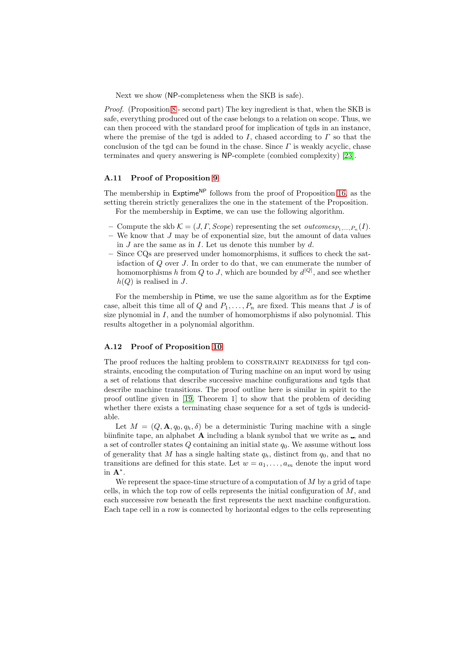Next we show (NP-completeness when the SKB is safe).

Proof. (Proposition [8](#page-15-0) - second part) The key ingredient is that, when the SKB is safe, everything produced out of the case belongs to a relation on scope. Thus, we can then proceed with the standard proof for implication of tgds in an instance, where the premise of the tgd is added to I, chased according to  $\Gamma$  so that the conclusion of the tgd can be found in the chase. Since  $\Gamma$  is weakly acyclic, chase terminates and query answering is NP-complete (combied complexity) [\[23\]](#page-25-14).

## A.11 Proof of Proposition [9](#page-15-1)

The membership in  ${\sf Exptime}^{\sf NP}$  follows from the proof of Proposition [16,](#page-22-1) as the setting therein strictly generalizes the one in the statement of the Proposition. For the membership in Exptime, we can use the following algorithm.

- Compute the skb  $K = (J, \Gamma, \text{Scope})$  representing the set *outcomes*<sub> $P_1, ..., P_n(I)$ .</sub>
- $-$  We know that J may be of exponential size, but the amount of data values in  $J$  are the same as in  $I$ . Let us denote this number by  $d$ .
- Since CQs are preserved under homomorphisms, it suffices to check the satisfaction of Q over J. In order to do that, we can enumerate the number of homomorphisms h from Q to J, which are bounded by  $d^{|Q|}$ , and see whether  $h(Q)$  is realised in J.

For the membership in Ptime, we use the same algorithm as for the Exptime case, albeit this time all of Q and  $P_1, \ldots, P_n$  are fixed. This means that J is of size plynomial in  $I$ , and the number of homomorphisms if also polynomial. This results altogether in a polynomial algorithm.

## A.12 Proof of Proposition [10](#page-16-0)

The proof reduces the halting problem to CONSTRAINT READINESS for tgd constraints, encoding the computation of Turing machine on an input word by using a set of relations that describe successive machine configurations and tgds that describe machine transitions. The proof outline here is similar in spirit to the proof outline given in [\[19,](#page-24-16) Theorem 1] to show that the problem of deciding whether there exists a terminating chase sequence for a set of tgds is undecidable.

Let  $M = (Q, \mathbf{A}, q_0, q_h, \delta)$  be a deterministic Turing machine with a single biinfinite tape, an alphabet  $A$  including a blank symbol that we write as  $\Box$ , and a set of controller states  $Q$  containing an initial state  $q_0$ . We assume without loss of generality that M has a single halting state  $q_h$ , distinct from  $q_0$ , and that no transitions are defined for this state. Let  $w = a_1, \ldots, a_m$  denote the input word in  $\mathbf{A}^*$ .

We represent the space-time structure of a computation of  $M$  by a grid of tape cells, in which the top row of cells represents the initial configuration of  $M$ , and each successive row beneath the first represents the next machine configuration. Each tape cell in a row is connected by horizontal edges to the cells representing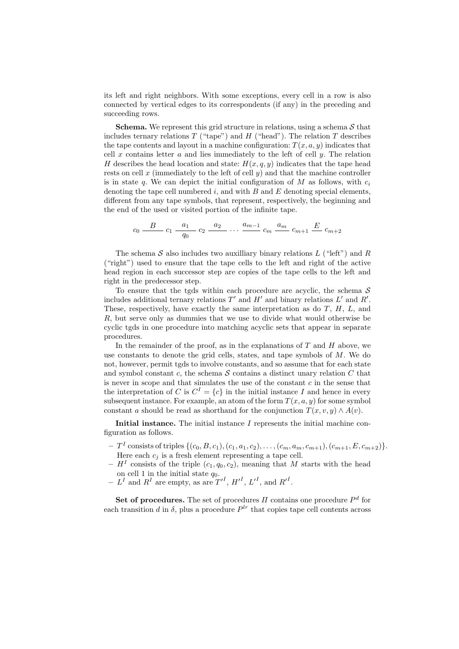its left and right neighbors. With some exceptions, every cell in a row is also connected by vertical edges to its correspondents (if any) in the preceding and succeeding rows.

**Schema.** We represent this grid structure in relations, using a schema  $S$  that includes ternary relations T ("tape") and H ("head"). The relation T describes the tape contents and layout in a machine configuration:  $T(x, a, y)$  indicates that cell x contains letter  $\alpha$  and lies immediately to the left of cell y. The relation H describes the head location and state:  $H(x, q, y)$  indicates that the tape head rests on cell  $x$  (immediately to the left of cell  $y$ ) and that the machine controller is in state q. We can depict the initial configuration of  $M$  as follows, with  $c_i$ denoting the tape cell numbered  $i$ , and with  $B$  and  $E$  denoting special elements, different from any tape symbols, that represent, respectively, the beginning and the end of the used or visited portion of the infinite tape.

$$
c_0 \frac{B}{q_0} - c_1 \frac{a_1}{q_0} - c_2 \frac{a_2}{q_0} \dots \frac{a_{m-1}}{q_m} - c_m \frac{a_m}{q_m} - c_{m+1} \frac{E}{q_m} - c_{m+2}
$$

The schema  $S$  also includes two auxilliary binary relations  $L$  ("left") and  $R$ ("right") used to ensure that the tape cells to the left and right of the active head region in each successor step are copies of the tape cells to the left and right in the predecessor step.

To ensure that the tgds within each procedure are acyclic, the schema  $S$ includes additional ternary relations  $T'$  and  $H'$  and binary relations  $L'$  and  $R'$ . These, respectively, have exactly the same interpretation as do  $T$ ,  $H$ ,  $L$ , and R, but serve only as dummies that we use to divide what would otherwise be cyclic tgds in one procedure into matching acyclic sets that appear in separate procedures.

In the remainder of the proof, as in the explanations of  $T$  and  $H$  above, we use constants to denote the grid cells, states, and tape symbols of  $M$ . We do not, however, permit tgds to involve constants, and so assume that for each state and symbol constant c, the schema  $S$  contains a distinct unary relation  $C$  that is never in scope and that simulates the use of the constant  $c$  in the sense that the interpretation of C is  $C^I = \{c\}$  in the initial instance I and hence in every subsequent instance. For example, an atom of the form  $T(x, a, y)$  for some symbol constant a should be read as shorthand for the conjunction  $T(x, v, y) \wedge A(v)$ .

Initial instance. The initial instance  $I$  represents the initial machine configuration as follows.

- $-T<sup>I</sup>$  consists of triples  $\{(c_0, B, c_1), (c_1, a_1, c_2), \ldots, (c_m, a_m, c_{m+1}), (c_{m+1}, E, c_{m+2})\}.$ Here each  $c_i$  is a fresh element representing a tape cell.
- $-H<sup>I</sup>$  consists of the triple  $(c_1, q_0, c_2)$ , meaning that M starts with the head on cell 1 in the initial state  $q_0$ .
- $L^I$  and  $R^I$  are empty, as are  $T'^I$ ,  ${H'}^I$ ,  ${L'}^I$ , and  ${R'}^I$ .

Set of procedures. The set of procedures  $\Pi$  contains one procedure  $P^d$  for each transition d in  $\delta$ , plus a procedure  $P^{lr}$  that copies tape cell contents across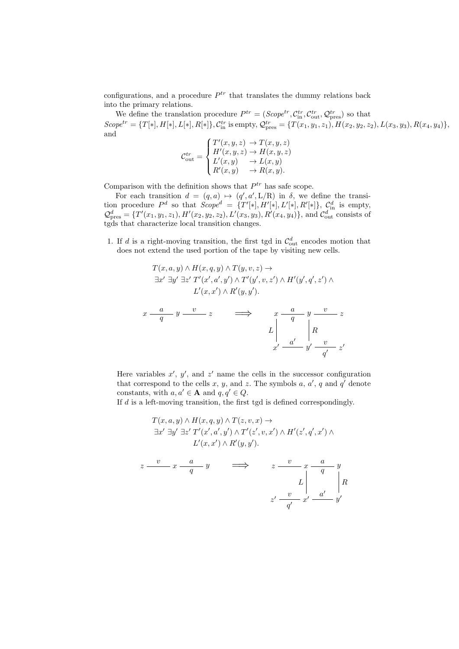configurations, and a procedure  $P^{tr}$  that translates the dummy relations back into the primary relations.

We define the translation procedure  $P^{tr} = (Scope^{tr}, C_{\text{in}}^{tr}, C_{\text{out}}^{tr}, Q_{\text{pres}}^{tr})$  so that  $\text{Scope}^{tr} = \{T[*], H[*], L[*], R[*]\}, \mathcal{C}_{\text{in}}^{tr} \text{ is empty}, \mathcal{Q}_{\text{pres}}^{tr} = \{T(x_1, y_1, z_1), H(x_2, y_2, z_2), L(x_3, y_3), R(x_4, y_4)\},$ and

$$
\mathcal{C}_{\text{out}}^{tr} = \begin{cases}\nT'(x, y, z) \to T(x, y, z) \\
H'(x, y, z) \to H(x, y, z) \\
L'(x, y) \to L(x, y) \\
R'(x, y) \to R(x, y).\n\end{cases}
$$

Comparison with the definition shows that  $P^{tr}$  has safe scope.

For each transition  $d = (q, a) \mapsto (q', a', L/R)$  in  $\delta$ , we define the transition procedure  $P^d$  so that  $Scope^d = \{T'[*], H'[*], L'[*], R'[*]\}, C^d_{\text{in}}$  is empty,  $\mathcal{Q}^d_{\text{pres}} = \{T'(x_1, y_1, z_1), H'(x_2, y_2, z_2), L'(x_3, y_3), R'(x_4, y_4)\}, \text{ and } \mathcal{C}^d_{\text{out}} \text{ consists of }$ tgds that characterize local transition changes.

1. If d is a right-moving transition, the first tgd in  $\mathcal{C}_{\text{out}}^d$  encodes motion that does not extend the used portion of the tape by visiting new cells.

$$
T(x, a, y) \wedge H(x, q, y) \wedge T(y, v, z) \rightarrow
$$
  

$$
\exists x' \ \exists y' \ \exists z' \ T'(x', a', y') \wedge T'(y', v, z') \wedge H'(y', q', z') \wedge
$$
  

$$
L'(x, x') \wedge R'(y, y').
$$

$$
\begin{array}{ccc}\nx & a & y & v & z \\
\hline\nq & & & \\
x & & & \\
Z & & & \\
x' & \frac{a'}{a'} & y' & \frac{v}{q'} \\
x' & \frac{a'}{q'} & z'\n\end{array}
$$

Here variables  $x'$ ,  $y'$ , and  $z'$  name the cells in the successor configuration that correspond to the cells x, y, and z. The symbols  $a, a', q$  and  $q'$  denote constants, with  $a, a' \in \mathbf{A}$  and  $q, q' \in Q$ .

If d is a left-moving transition, the first tgd is defined correspondingly.

$$
T(x, a, y) \wedge H(x, q, y) \wedge T(z, v, x) \rightarrow
$$
  
\n
$$
\exists x' \ \exists y' \ \exists z' \ T'(x', a', y') \wedge T'(z', v, x') \wedge H'(z', q', x') \wedge
$$
  
\n
$$
L'(x, x') \wedge R'(y, y').
$$
  
\n
$$
z \xrightarrow{v} x \xrightarrow{a} y \qquad \Longrightarrow \qquad z \xrightarrow{v} x \xrightarrow{a} y
$$
  
\n
$$
L \begin{vmatrix} 1 & \ x & \end{vmatrix}
$$
  
\n
$$
z' \xrightarrow{v} x' \xrightarrow{a'} y'
$$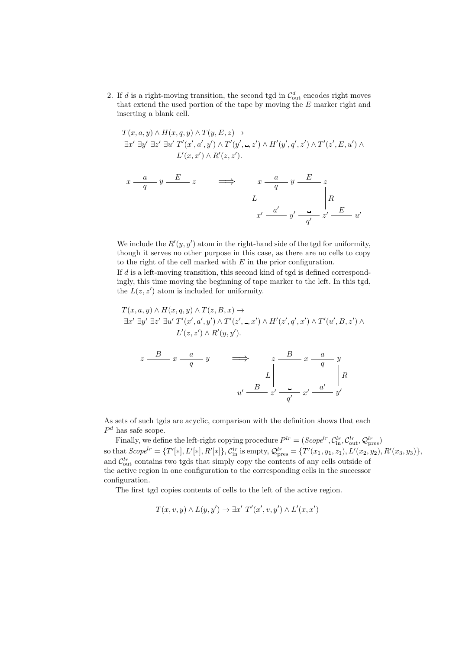2. If d is a right-moving transition, the second tgd in  $\mathcal{C}_{\text{out}}^d$  encodes right moves that extend the used portion of the tape by moving the E marker right and inserting a blank cell.

$$
T(x, a, y) \wedge H(x, q, y) \wedge T(y, E, z) \rightarrow
$$
  

$$
\exists x' \ \exists y' \ \exists z' \ \exists u' \ T'(x', a', y') \wedge T'(y', ..., z') \wedge H'(y', q', z') \wedge T'(z', E, u') \wedge
$$
  

$$
L'(x, x') \wedge R'(z, z').
$$

$$
\begin{array}{ccc}\n x \xrightarrow{a} & y \xrightarrow{E} & z \\
 & \longrightarrow & \begin{array}{c}\n x \xrightarrow{a} & y \xrightarrow{E} & z \\
 & q \xrightarrow{q} & \end{array} \\
 x' \xrightarrow{a'} & y' \xrightarrow{q'} & z' \xrightarrow{E} & u'\n \end{array}
$$

We include the  $R'(y, y')$  atom in the right-hand side of the tgd for uniformity, though it serves no other purpose in this case, as there are no cells to copy to the right of the cell marked with  $E$  in the prior configuration.

If d is a left-moving transition, this second kind of tgd is defined correspondingly, this time moving the beginning of tape marker to the left. In this tgd, the  $L(z, z')$  atom is included for uniformity.

$$
T(x, a, y) \wedge H(x, q, y) \wedge T(z, B, x) \rightarrow
$$
  

$$
\exists x' \ \exists y' \ \exists z' \ \exists u' \ T'(x', a', y') \wedge T'(z', \Box, x') \wedge H'(z', q', x') \wedge T'(u', B, z') \wedge
$$
  

$$
L'(z, z') \wedge R'(y, y').
$$

$$
z \xrightarrow{B} x \xrightarrow{a} y \qquad \Longrightarrow \qquad z \xrightarrow{B} x \xrightarrow{a} y
$$

$$
L \Big| \qquad L \Big| R
$$

$$
u' \xrightarrow{B} z' \xrightarrow{a'} x' \xrightarrow{a'} y'
$$

As sets of such tgds are acyclic, comparison with the definition shows that each  $P<sup>d</sup>$  has safe scope.

Finally, we define the left-right copying procedure  $P^{lr} = (Scope^{lr}, \mathcal{C}_{in}^{lr}, \mathcal{C}_{out}^{lr}, \mathcal{Q}_{pres}^{lr})$ so that  $Scope^{lr} = \{T'[*], L'[*], R'[*]\}, \mathcal{C}_{\text{in}}^{lr}$  is empty,  $\mathcal{Q}_{\text{pres}}^{lr} = \{T'(x_1, y_1, z_1), L'(x_2, y_2), R'(x_3, y_3)\},$ and  $\mathcal{C}_{\text{out}}^{lr}$  contains two tgds that simply copy the contents of any cells outside of the active region in one configuration to the corresponding cells in the successor configuration.

The first tgd copies contents of cells to the left of the active region.

$$
T(x, v, y) \wedge L(y, y') \rightarrow \exists x' \ T'(x', v, y') \wedge L'(x, x')
$$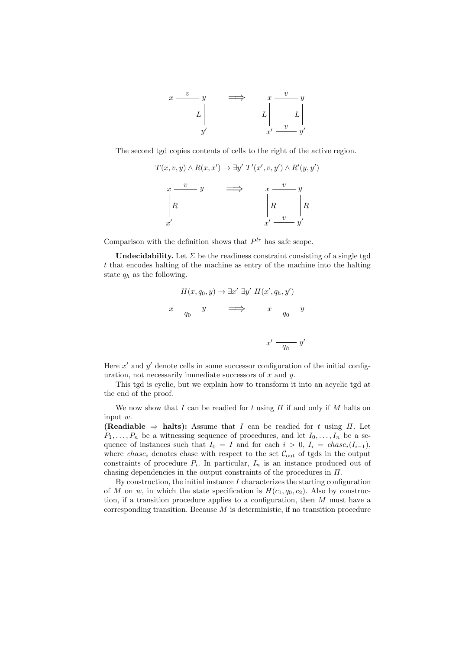

The second tgd copies contents of cells to the right of the active region.

$$
T(x, v, y) \wedge R(x, x') \rightarrow \exists y' \ T'(x', v, y') \wedge R'(y, y')
$$

$$
x \xrightarrow{v} y \qquad \Longrightarrow \qquad x \xrightarrow{v} y
$$

$$
\begin{vmatrix} R & R \\ R & x' \end{vmatrix} R
$$

Comparison with the definition shows that  $P^{lr}$  has safe scope.

Undecidability. Let  $\Sigma$  be the readiness constraint consisting of a single tgd t that encodes halting of the machine as entry of the machine into the halting state  $q_h$  as the following.

$$
H(x, q_0, y) \to \exists x' \exists y' H(x', q_h, y')
$$
  

$$
x \xrightarrow{q_0} y \qquad \Longrightarrow \qquad x \xrightarrow{q_0} y
$$
  

$$
x' \xrightarrow{q_h} y'
$$

Here  $x'$  and  $y'$  denote cells in some successor configuration of the initial configuration, not necessarily immediate successors of  $x$  and  $y$ .

This tgd is cyclic, but we explain how to transform it into an acyclic tgd at the end of the proof.

We now show that I can be readied for t using  $\Pi$  if and only if M halts on input w.

(Readiable  $\Rightarrow$  halts): Assume that I can be readied for t using  $\Pi$ . Let  $P_1, \ldots, P_n$  be a witnessing sequence of procedures, and let  $I_0, \ldots, I_n$  be a sequence of instances such that  $I_0 = I$  and for each  $i > 0$ ,  $I_i = \text{chase}_i(I_{i-1}),$ where *chase<sub>i</sub>* denotes chase with respect to the set  $\mathcal{C}_{out}$  of tgds in the output constraints of procedure  $P_i$ . In particular,  $I_n$  is an instance produced out of chasing dependencies in the output constraints of the procedures in  $\Pi$ .

By construction, the initial instance  $I$  characterizes the starting configuration of M on w, in which the state specification is  $H(c_1, q_0, c_2)$ . Also by construction, if a transition procedure applies to a configuration, then M must have a corresponding transition. Because  $M$  is deterministic, if no transition procedure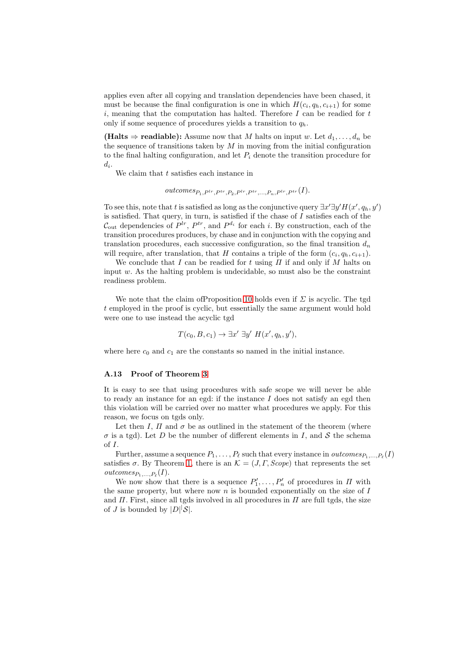applies even after all copying and translation dependencies have been chased, it must be because the final configuration is one in which  $H(c_i, q_h, c_{i+1})$  for some  $i$ , meaning that the computation has halted. Therefore  $I$  can be readied for  $t$ only if some sequence of procedures yields a transition to  $q_h$ .

(**Halts**  $\Rightarrow$  **readiable**): Assume now that M halts on input w. Let  $d_1, \ldots, d_n$  be the sequence of transitions taken by  $M$  in moving from the initial configuration to the final halting configuration, and let  $P_i$  denote the transition procedure for  $d_i.$ 

We claim that  $t$  satisfies each instance in

$$
outcomes_{P_1,P^{tr},P^{tr},P_2,P^{tr},P^{tr},...,P_n,P^{tr},P^{tr}}(I).
$$

To see this, note that t is satisfied as long as the conjunctive query  $\exists x' \exists y' H(x', q_h, y')$ is satisfied. That query, in turn, is satisfied if the chase of  $I$  satisfies each of the  $\mathcal{C}_{\text{out}}$  dependencies of  $P^{lr}$ ,  $P^{tr}$ , and  $P^{d_i}$  for each i. By construction, each of the transition procedures produces, by chase and in conjunction with the copying and translation procedures, each successive configuration, so the final transition  $d_n$ will require, after translation, that H contains a triple of the form  $(c_i, q_h, c_{i+1})$ .

We conclude that I can be readied for t using  $\Pi$  if and only if M halts on input  $w$ . As the halting problem is undecidable, so must also be the constraint readiness problem.

We note that the claim of Proposition [10](#page-16-0) holds even if  $\Sigma$  is acyclic. The tgd t employed in the proof is cyclic, but essentially the same argument would hold were one to use instead the acyclic tgd

$$
T(c_0, B, c_1) \to \exists x' \exists y' H(x', q_h, y'),
$$

where here  $c_0$  and  $c_1$  are the constants so named in the initial instance.

## A.13 Proof of Theorem [3](#page-17-3)

It is easy to see that using procedures with safe scope we will never be able to ready an instance for an egd: if the instance  $I$  does not satisfy an egd then this violation will be carried over no matter what procedures we apply. For this reason, we focus on tgds only.

Let then I,  $\Pi$  and  $\sigma$  be as outlined in the statement of the theorem (where  $\sigma$  is a tgd). Let D be the number of different elements in I, and S the schema of I.

Further, assume a sequence  $P_1, \ldots, P_\ell$  such that every instance in  $\mathit{outcomes}_{P_1,\ldots,P_\ell}(I)$ satisfies  $\sigma$ . By Theorem [1,](#page-13-0) there is an  $\mathcal{K} = (J, \Gamma, \text{Scope})$  that represents the set  $outcomes_{P_1,\ldots,P_\ell}(I).$ 

We now show that there is a sequence  $P'_1, \ldots, P'_n$  of procedures in  $\Pi$  with the same property, but where now  $n$  is bounded exponentially on the size of  $I$ and  $\Pi$ . First, since all tgds involved in all procedures in  $\Pi$  are full tgds, the size of *J* is bounded by  $|D| |\mathcal{S}|$ .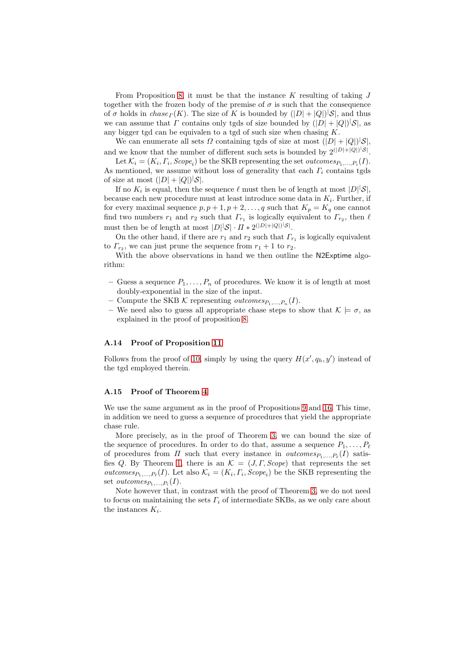From Proposition [8,](#page-15-0) it must be that the instance  $K$  resulting of taking  $J$ together with the frozen body of the premise of  $\sigma$  is such that the consequence of  $\sigma$  holds in  $chase<sub>\Gamma</sub>(K)$ . The size of K is bounded by  $(|D|+|Q|)^{|\mathcal{S}|}$ , and thus we can assume that  $\Gamma$  contains only tgds of size bounded by  $(|D|+|Q|)^{|\mathcal{S}|}$ , as any bigger tgd can be equivalen to a tgd of such size when chasing  $K$ .

We can enumerate all sets  $\Omega$  containing tgds of size at most  $(|D|+|Q|)^{|\mathcal{S}|}$ , and we know that the number of different such sets is bounded by  $2^{(|D|+|Q|)^{l}}\delta$ .

Let  $\mathcal{K}_i = (K_i, \Gamma_i, \text{Scope}_i)$  be the SKB representing the set *outcomes*<sub> $P_1, ..., P_i$ </sub> $(I)$ . As mentioned, we assume without loss of generality that each  $\Gamma_i$  contains tgds of size at most  $(|D|+|Q|)^{|\mathcal{S}|}$ .

If no  $K_i$  is equal, then the sequence  $\ell$  must then be of length at most  $|D|^{\lvert}S\rvert$ , because each new procedure must at least introduce some data in  $K_i$ . Further, if for every maximal sequence  $p, p+1, p+2, \ldots, q$  such that  $K_p = K_q$  one cannot find two numbers  $r_1$  and  $r_2$  such that  $\Gamma_{r_1}$  is logically equivalent to  $\Gamma_{r_2}$ , then  $\ell$ must then be of length at most  $|D| |\mathcal{S}| \cdot \Pi * 2^{(|D| + |Q|)^{|\mathcal{S}|}}$ .

On the other hand, if there are  $r_1$  and  $r_2$  such that  $\Gamma_{r_1}$  is logically equivalent to  $\Gamma_{r_2}$ , we can just prune the sequence from  $r_1 + 1$  to  $r_2$ .

With the above observations in hand we then outline the N2Exptime algorithm:

- Guess a sequence  $P_1, \ldots, P_n$  of procedures. We know it is of length at most doubly-exponential in the size of the input.
- Compute the SKB  $\mathcal K$  representing *outcomes*<sub> $P_1,...,P_n(I)$ .</sub>
- We need also to guess all appropriate chase steps to show that  $\mathcal{K} \models \sigma$ , as explained in the proof of proposition [8.](#page-15-0)

## A.14 Proof of Proposition [11](#page-17-4)

Follows from the proof of [10,](#page-16-0) simply by using the query  $H(x', q_h, y')$  instead of the tgd employed therein.

# A.15 Proof of Theorem [4](#page-17-2)

We use the same argument as in the proof of Propositions [9](#page-15-1) and [16.](#page-22-1) This time, in addition we need to guess a sequence of procedures that yield the appropriate chase rule.

More precisely, as in the proof of Theorem [3,](#page-17-3) we can bound the size of the sequence of procedures. In order to do that, assume a sequence  $P_1, \ldots, P_\ell$ of procedures from  $\Pi$  such that every instance in *outcomes* $P_1, ..., P_\ell(I)$  satis-fies Q. By Theorem [1,](#page-13-0) there is an  $\mathcal{K} = (J, \Gamma, \text{Scope})$  that represents the set *outcomes*<sub> $P_1, ..., P_\ell(I)$ . Let also  $\mathcal{K}_i = (K_i, \Gamma_i, \text{Scope}_i)$  be the SKB representing the</sub> set *outcomes*<sub> $P_1, ..., P_i$ </sub> $(I)$ .

Note however that, in contrast with the proof of Theorem [3,](#page-17-3) we do not need to focus on maintaining the sets  $\Gamma_i$  of intermediate SKBs, as we only care about the instances  $K_i$ .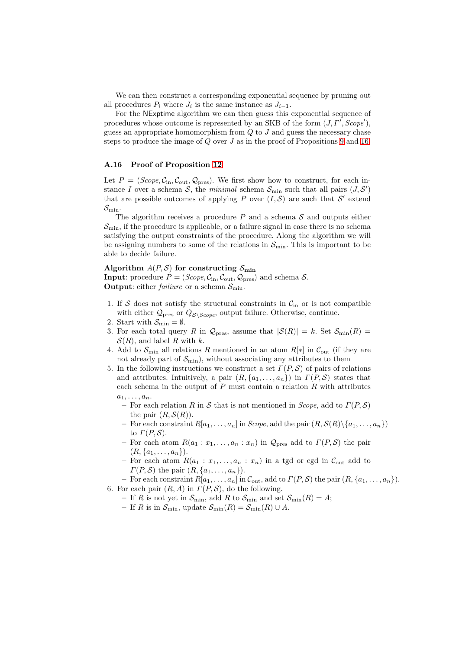We can then construct a corresponding exponential sequence by pruning out all procedures  $P_i$  where  $J_i$  is the same instance as  $J_{i-1}$ .

For the NExptime algorithm we can then guess this exponential sequence of procedures whose outcome is represented by an SKB of the form  $(J, \Gamma', \text{Scope}'),$ guess an appropriate homomorphism from  $Q$  to  $J$  and guess the necessary chase steps to produce the image of  $Q$  over  $J$  as in the proof of Propositions [9](#page-15-1) and [16.](#page-22-1)

# A.16 Proof of Proposition [12](#page-20-1)

Let  $P = (Scope, C_{\text{in}}, C_{\text{out}}, Q_{\text{pres}})$ . We first show how to construct, for each instance I over a schema  $S$ , the minimal schema  $S_{\min}$  such that all pairs  $(J, S')$ that are possible outcomes of applying P over  $(I, S)$  are such that S' extend  $\mathcal{S}_{\text{min}}$ .

The algorithm receives a procedure  $P$  and a schema  $S$  and outputs either  $\mathcal{S}_{\text{min}}$ , if the procedure is applicable, or a failure signal in case there is no schema satisfying the output constraints of the procedure. Along the algorithm we will be assigning numbers to some of the relations in  $\mathcal{S}_{\text{min}}$ . This is important to be able to decide failure.

# Algorithm  $A(P, S)$  for constructing  $S_{\min}$

**Input**: procedure  $P = (Scope, C_{in}, C_{out}, Q_{pres})$  and schema S. **Output:** either *failiure* or a schema  $S_{\text{min}}$ .

- 1. If S does not satisfy the structural constraints in  $\mathcal{C}_{\text{in}}$  or is not compatible with either  $\mathcal{Q}_{\text{pres}}$  or  $Q_{\mathcal{S}\backslash \text{Scope}}$ , output failure. Otherwise, continue.
- 2. Start with  $S_{\min} = \emptyset$ .
- 3. For each total query R in  $\mathcal{Q}_{\text{pres}}$ , assume that  $|\mathcal{S}(R)| = k$ . Set  $\mathcal{S}_{\text{min}}(R) =$  $\mathcal{S}(R)$ , and label R with k.
- 4. Add to  $\mathcal{S}_{\text{min}}$  all relations R mentioned in an atom  $R[*]$  in  $\mathcal{C}_{\text{out}}$  (if they are not already part of  $\mathcal{S}_{\text{min}}$ ), without associating any attributes to them
- 5. In the following instructions we construct a set  $\Gamma(P, S)$  of pairs of relations and attributes. Intuitively, a pair  $(R, \{a_1, \ldots, a_n\})$  in  $\Gamma(P, \mathcal{S})$  states that each schema in the output of  $P$  must contain a relation  $R$  with attributes  $a_1, \ldots, a_n.$ 
	- For each relation R in S that is not mentioned in Scope, add to  $\Gamma(P, S)$ the pair  $(R, \mathcal{S}(R))$ .
	- For each constraint  $R[a_1, \ldots, a_n]$  in *Scope*, add the pair  $(R, \mathcal{S}(R) \setminus \{a_1, \ldots, a_n\})$ to  $\Gamma(P,\mathcal{S})$ .
	- For each atom  $R(a_1 : x_1, \ldots, a_n : x_n)$  in  $\mathcal{Q}_{\text{pres}}$  add to  $\Gamma(P, \mathcal{S})$  the pair  $(R, \{a_1, \ldots, a_n\}).$
	- For each atom  $R(a_1 : x_1, \ldots, a_n : x_n)$  in a tgd or egd in  $\mathcal{C}_{\text{out}}$  add to  $\Gamma(P, \mathcal{S})$  the pair  $(R, \{a_1, \ldots, a_n\})$ .
- For each constraint  $R[a_1, \ldots, a_n]$  in  $\mathcal{C}_{\text{out}}$ , add to  $\Gamma(P, \mathcal{S})$  the pair  $(R, \{a_1, \ldots, a_n\})$ . 6. For each pair  $(R, A)$  in  $\Gamma(P, S)$ , do the following.
	- If R is not yet in  $\mathcal{S}_{\text{min}}$ , add R to  $\mathcal{S}_{\text{min}}$  and set  $\mathcal{S}_{\text{min}}(R) = A$ ;
	- If R is in  $\mathcal{S}_{\min}$ , update  $\mathcal{S}_{\min}(R) = \mathcal{S}_{\min}(R) \cup A$ .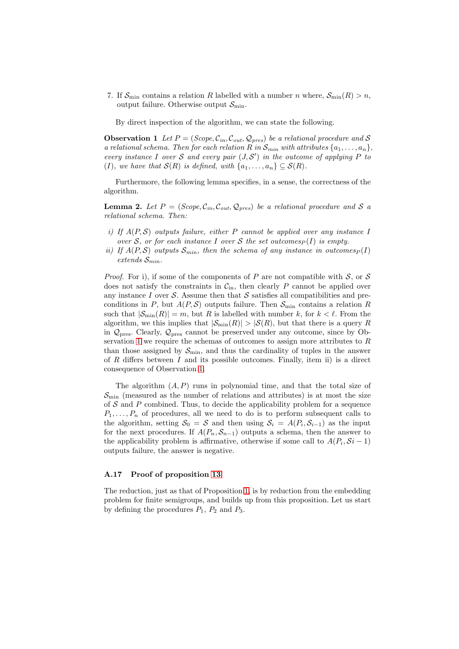7. If  $S_{\text{min}}$  contains a relation R labelled with a number n where,  $S_{\text{min}}(R) > n$ , output failure. Otherwise output  $\mathcal{S}_{\text{min}}$ .

<span id="page-48-0"></span>By direct inspection of the algorithm, we can state the following.

**Observation 1** Let  $P = (Scope, C_{in}, C_{out}, Q_{pres})$  be a relational procedure and S a relational schema. Then for each relation R in  $S_{min}$  with attributes  $\{a_1, \ldots, a_n\}$ , every instance I over S and every pair  $(J, S')$  in the outcome of applying P to (I), we have that  $\mathcal{S}(R)$  is defined, with  $\{a_1, \ldots, a_n\} \subseteq \mathcal{S}(R)$ .

Furthermore, the following lemma specifies, in a sense, the correctness of the algorithm.

**Lemma 2.** Let  $P = (Scope, C_{in}, C_{out}, Q_{pres})$  be a relational procedure and S a relational schema. Then:

- i) If  $A(P, S)$  outputs failure, either P cannot be applied over any instance I over S, or for each instance I over S the set outcomes  $(P)$  is empty.
- ii) If  $A(P, S)$  outputs  $S_{min}$ , then the schema of any instance in outcomes  $P(I)$ extends  $\mathcal{S}_{min}$ .

*Proof.* For i), if some of the components of P are not compatible with S, or S does not satisfy the constraints in  $C_{\text{in}}$ , then clearly P cannot be applied over any instance I over S. Assume then that S satisfies all compatibilities and preconditions in P, but  $A(P, S)$  outputs failure. Then  $S_{\min}$  contains a relation R such that  $|\mathcal{S}_{\min}(R)| = m$ , but R is labelled with number k, for  $k < \ell$ . From the algorithm, we this implies that  $|\mathcal{S}_{\min}(R)| > |\mathcal{S}(R)|$ , but that there is a query R in  $\mathcal{Q}_{\text{pres}}$ . Clearly,  $\mathcal{Q}_{\text{pres}}$  cannot be preserved under any outcome, since by Ob-servation [1](#page-48-0) we require the schemas of outcomes to assign more attributes to  $R$ than those assigned by  $\mathcal{S}_{\text{min}}$ , and thus the cardinality of tuples in the answer of R differs between  $I$  and its possible outcomes. Finally, item ii) is a direct consequence of Observation [1.](#page-48-0)

The algorithm  $(A, P)$  runs in polynomial time, and that the total size of  $\mathcal{S}_{\text{min}}$  (measured as the number of relations and attributes) is at most the size of  $S$  and  $P$  combined. Thus, to decide the applicability problem for a sequence  $P_1, \ldots, P_n$  of procedures, all we need to do is to perform subsequent calls to the algorithm, setting  $S_0 = S$  and then using  $S_i = A(P_i, S_{i-1})$  as the input for the next procedures. If  $A(P_n, S_{n-1})$  outputs a schema, then the answer to the applicability problem is affirmative, otherwise if some call to  $A(P_i, \mathcal{S}i - 1)$ outputs failure, the answer is negative.

#### A.17 Proof of proposition [13](#page-20-0)

The reduction, just as that of Proposition [1,](#page-10-0) is by reduction from the embedding problem for finite semigroups, and builds up from this proposition. Let us start by defining the procedures  $P_1$ ,  $P_2$  and  $P_3$ .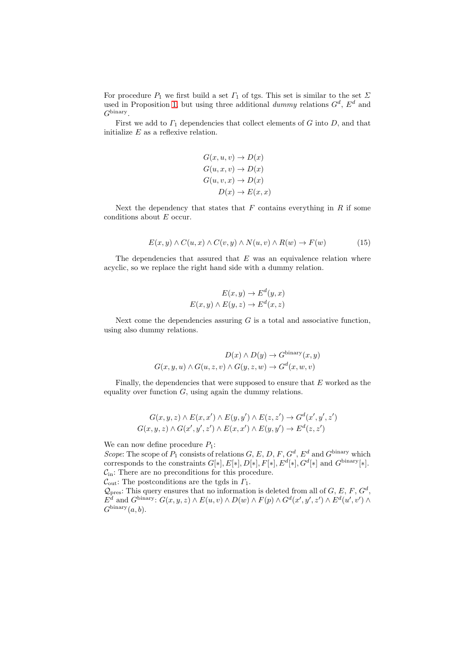For procedure  $P_1$  we first build a set  $\Gamma_1$  of tgs. This set is similar to the set  $\Sigma$ used in Proposition [1,](#page-10-0) but using three additional  $dummy$  relations  $G<sup>d</sup>$ ,  $E<sup>d</sup>$  and  $G^{\text{binary}}$ .

First we add to  $\Gamma_1$  dependencies that collect elements of G into D, and that initialize  $E$  as a reflexive relation.

$$
G(x, u, v) \to D(x)
$$
  
\n
$$
G(u, x, v) \to D(x)
$$
  
\n
$$
G(u, v, x) \to D(x)
$$
  
\n
$$
D(x) \to E(x, x)
$$

Next the dependency that states that  $F$  contains everything in  $R$  if some conditions about E occur.

$$
E(x, y) \wedge C(u, x) \wedge C(v, y) \wedge N(u, v) \wedge R(w) \rightarrow F(w) \tag{15}
$$

The dependencies that assured that  $E$  was an equivalence relation where acyclic, so we replace the right hand side with a dummy relation.

$$
E(x, y) \to E^{d}(y, x)
$$

$$
E(x, y) \land E(y, z) \to E^{d}(x, z)
$$

Next come the dependencies assuring  $G$  is a total and associative function, using also dummy relations.

$$
D(x) \wedge D(y) \to G^{\text{binary}}(x, y)
$$

$$
G(x, y, u) \wedge G(u, z, v) \wedge G(y, z, w) \to G^d(x, w, v)
$$

Finally, the dependencies that were supposed to ensure that  $E$  worked as the equality over function  $G$ , using again the dummy relations.

$$
G(x, y, z) \wedge E(x, x') \wedge E(y, y') \wedge E(z, z') \rightarrow G^d(x', y', z')
$$
  

$$
G(x, y, z) \wedge G(x', y', z') \wedge E(x, x') \wedge E(y, y') \rightarrow E^d(z, z')
$$

We can now define procedure  $P_1$ :

Scope: The scope of  $P_1$  consists of relations  $G, E, D, F, G^d, E^d$  and  $G^{\text{binary}}$  which corresponds to the constraints  $G[*], E[*], D[*], F[*], E^d[*], G^d[*]$  and  $G^{\text{binary}}[*]$ .  $C_{\text{in}}$ : There are no preconditions for this procedure.

 $\mathcal{C}_{\text{out}}$ : The postconditions are the tgds in  $\Gamma_1$ .

 $\mathcal{Q}_{\text{pres}}$ : This query ensures that no information is deleted from all of G, E, F,  $G^d$ ,  $E^d$  and  $G^{\text{binary}}$ :  $G(x, y, z) \wedge E(u, v) \wedge D(w) \wedge F(p) \wedge G^d(x', y', z') \wedge E^d(u', v') \wedge$  $G^{\text{binary}}(a, b).$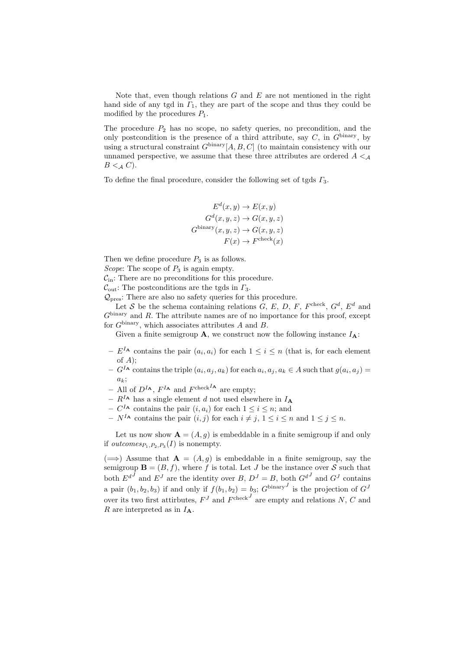Note that, even though relations  $G$  and  $E$  are not mentioned in the right hand side of any tgd in  $\Gamma_1$ , they are part of the scope and thus they could be modified by the procedures  $P_1$ .

The procedure  $P_2$  has no scope, no safety queries, no precondition, and the only postcondition is the presence of a third attribute, say  $C$ , in  $G^{\text{binary}}$ , by using a structural constraint  $G^{\text{binary}}[A, B, C]$  (to maintain consistency with our unnamed perspective, we assume that these three attributes are ordered  $A \leq_{\mathcal{A}}$  $B \lt A C$ ).

To define the final procedure, consider the following set of tgds  $\Gamma_3$ .

$$
E^d(x, y) \to E(x, y)
$$

$$
G^d(x, y, z) \to G(x, y, z)
$$

$$
G^{\text{binary}}(x, y, z) \to G(x, y, z)
$$

$$
F(x) \to F^{\text{check}}(x)
$$

Then we define procedure  $P_3$  is as follows.

Scope: The scope of  $P_3$  is again empty.

 $C_{\text{in}}$ : There are no preconditions for this procedure.

 $\mathcal{C}_{\text{out}}$ : The postconditions are the tgds in  $\Gamma_3$ .

 $\mathcal{Q}_{\text{pres}}$ : There are also no safety queries for this procedure.

Let S be the schema containing relations  $G, E, D, F, F<sup>check</sup>, G<sup>d</sup>, E<sup>d</sup>$  and  $G^{\text{binary}}$  and R. The attribute names are of no importance for this proof, except for  $G^{\text{binary}}$ , which associates attributes A and B.

Given a finite semigroup **A**, we construct now the following instance  $I_A$ :

- $-E^{I_{\mathbf{A}}}$  contains the pair  $(a_i, a_i)$  for each  $1 \leq i \leq n$  (that is, for each element of  $A$ );
- $-G<sup>I</sup>$  contains the triple  $(a_i, a_j, a_k)$  for each  $a_i, a_j, a_k \in A$  such that  $g(a_i, a_j) =$  $a_k$ :
- All of  $D^{I_A}$ ,  $F^{I_A}$  and  $F^{check I_A}$  are empty;
- $R^{I_A}$  has a single element d not used elsewhere in  $I_A$
- $C^{I_A}$  contains the pair  $(i, a_i)$  for each  $1 \leq i \leq n$ ; and
- $N^{I_A}$  contains the pair  $(i, j)$  for each  $i \neq j, 1 \leq i \leq n$  and  $1 \leq j \leq n$ .

Let us now show  $\mathbf{A} = (A, g)$  is embeddable in a finite semigroup if and only if *outcomes*<sub> $P_1$ </sub>, $P_2$ , $P_3$ (*I*) is nonempty.

 $(\Longrightarrow)$  Assume that  $\mathbf{A} = (A, q)$  is embeddable in a finite semigroup, say the semigroup  $\mathbf{B} = (B, f)$ , where f is total. Let J be the instance over S such that both  $E^{dJ}$  and  $E^{J}$  are the identity over B,  $D^{J} = B$ , both  $G^{dJ}$  and  $G^{J}$  contains a pair  $(b_1, b_2, b_3)$  if and only if  $f(b_1, b_2) = b_3$ ;  $G^{\text{binary}}$  is the projection of  $G<sup>J</sup>$ over its two first attirbutes,  $F^{J}$  and  $F^{\text{check}}$  are empty and relations N, C and  $R$  are interpreted as in  $I_{\mathbf{A}}$ .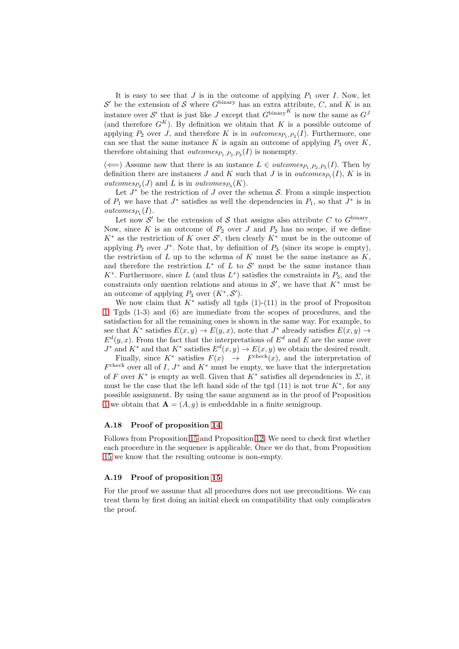It is easy to see that  $J$  is in the outcome of applying  $P_1$  over  $I$ . Now, let  $\mathcal{S}'$  be the extension of S where  $G^{\text{binary}}$  has an extra attribute, C, and K is an instance over S' that is just like J except that  $G^{\text{binary}}$ <sup>K</sup> is now the same as  $G<sup>J</sup>$ (and therefore  $G^{K}$ ). By definition we obtain that K is a possible outcome of applying  $P_2$  over J, and therefore K is in *outcomes* $P_1, P_2(I)$ . Furthermore, one can see that the same instance K is again an outcome of applying  $P_3$  over K, therefore obtaining that *outcomes* $P_1, P_2, P_3(I)$  is nonempty.

 $(\Leftarrow)$  Assume now that there is an instance  $L \in outcomes_{P_1, P_2, P_3}(I)$ . Then by definition there are instances J and K such that J is in *outcomes*<sub> $P_1$ </sub> $(I)$ , K is in *outcomes*<sub> $P_2$ </sub> $(J)$  and L is in *outcomes*<sub> $P_3$ </sub> $(K)$ .

Let  $J^*$  be the restriction of  $J$  over the schema  $S$ . From a simple inspection of  $P_1$  we have that  $J^*$  satisfies as well the dependencies in  $P_1$ , so that  $J^*$  is in  $outcomes_{P_1}(I).$ 

Let now S' be the extension of S that assigns also attribute C to  $G^{\text{binary}}$ . Now, since K is an outcome of  $P_2$  over J and  $P_2$  has no scope, if we define  $K^*$  as the restriction of K over  $\mathcal{S}'$ , then clearly  $K^*$  must be in the outcome of applying  $P_2$  over  $J^*$ . Note that, by definition of  $P_3$  (since its scope is empty), the restriction of  $L$  up to the schema of  $K$  must be the same instance as  $K$ , and therefore the restriction  $L^*$  of  $L$  to  $\mathcal{S}'$  must be the same instance than  $K^*$ . Furthermore, since L (and thus  $L^*$ ) satisfies the constraints in  $P_3$ , and the constraints only mention relations and atoms in  $\mathcal{S}'$ , we have that  $K^*$  must be an outcome of applying  $P_3$  over  $(K^*, \mathcal{S}')$ .

We now claim that  $K^*$  satisfy all tgds  $(1)-(11)$  in the proof of Propositon [1.](#page-10-0) Tgds (1-3) and (6) are immediate from the scopes of procedures, and the satisfaction for all the remaining ones is shown in the same way. For example, to see that  $K^*$  satisfies  $E(x, y) \to E(y, x)$ , note that  $J^*$  already satisfies  $E(x, y) \to E(y, x)$  $E^d(y, x)$ . From the fact that the interpretations of  $E^d$  and E are the same over  $J^*$  and  $K^*$  and that  $K^*$  satisfies  $E^d(x, y) \to E(x, y)$  we obtain the desired result.

Finally, since  $K^*$  satisfies  $F(x) \rightarrow F^{check}(x)$ , and the interpretation of  $F<sup>check</sup>$  over all of I,  $J^*$  and  $K^*$  must be empty, we have that the interpretation of F over  $K^*$  is empty as well. Given that  $K^*$  satisfies all dependencies in  $\Sigma$ , it must be the case that the left hand side of the tgd  $(11)$  is not true  $K^*$ , for any possible assignment. By using the same argument as in the proof of Proposition [1](#page-10-0) we obtain that  $\mathbf{A} = (A, g)$  is embeddable in a finite semigroup.

## A.18 Proof of proposition [14](#page-20-2)

Follows from Proposition [15](#page-22-0) and Proposition [12.](#page-20-1) We need to check first whether each procedure in the sequence is applicable. Once we do that, from Proposition [15](#page-22-0) we know that the resulting outcome is non-empty.

## A.19 Proof of proposition [15](#page-22-0)

For the proof we assume that all procedures does not use preconditions. We can treat them by first doing an initial check on compatibility that only complicates the proof.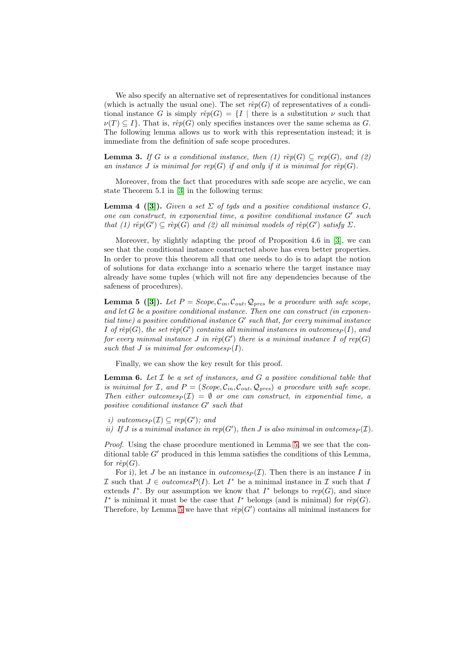We also specify an alternative set of representatives for conditional instances (which is actually the usual one). The set  $r\hat{e}p(G)$  of representatives of a conditional instance G is simply  $r\hat{e}p(G) = \{I \mid \text{there is a substitution } \nu \text{ such that }$  $\nu(T) \subset I$ . That is,  $r\hat{e}p(G)$  only specifies instances over the same schema as G. The following lemma allows us to work with this representation instead; it is immediate from the definition of safe scope procedures.

**Lemma 3.** If G is a conditional instance, then (1)  $\hat{rep}(G) \subseteq rep(G)$ , and (2) an instance J is minimal for rep(G) if and only if it is minimal for rêp(G).

Moreover, from the fact that procedures with safe scope are acyclic, we can state Theorem 5.1 in [\[3\]](#page-23-1) in the following terms:

**Lemma 4** ([\[3\]](#page-23-1)). Given a set  $\Sigma$  of tgds and a positive conditional instance G, one can construct, in exponential time, a positive conditional instance G′ such that (1)  $\hat{rep}(G') \subseteq \hat{rep}(G)$  and (2) all minimal models of  $\hat{rep}(G')$  satisfy  $\Sigma$ .

Moreover, by slightly adapting the proof of Proposition 4.6 in [\[3\]](#page-23-1), we can see that the conditional instance constructed above has even better properties. In order to prove this theorem all that one needs to do is to adapt the notion of solutions for data exchange into a scenario where the target instance may already have some tuples (which will not fire any dependencies because of the safeness of procedures).

<span id="page-52-0"></span>**Lemma 5** ([\[3\]](#page-23-1)). Let  $P = \text{Scope}, C_{in}, C_{out}, Q_{pres}$  be a procedure with safe scope, and let  $G$  be a positive conditional instance. Then one can construct (in exponential time) a positive conditional instance G′ such that, for every minimal instance I of  $\hat{rep}(G)$ , the set  $\hat{rep}(G')$  contains all minimal instances in outcomes $_P(I)$ , and for every minmal instance J in rêp(G') there is a minimal instance I of rep(G) such that J is minimal for outcomes  $P(I)$ .

<span id="page-52-1"></span>Finally, we can show the key result for this proof.

**Lemma 6.** Let  $\mathcal{I}$  be a set of instances, and  $G$  a positive conditional table that is minimal for I, and  $P = (Scope, C_{in}, C_{out}, Q_{pres})$  a procedure with safe scope. Then either outcomes  $p(\mathcal{I}) = \emptyset$  or one can construct, in exponential time, a positive conditional instance G′ such that

- i) outcomes  $P(\mathcal{I}) \subseteq rep(G')$ ; and
- ii) If J is a minimal instance in rep(G'), then J is also minimal in outcomes  $_P(\mathcal{I})$ .

Proof. Using the chase procedure mentioned in Lemma [5,](#page-52-0) we see that the conditional table  $G'$  produced in this lemma satisfies the conditions of this Lemma, for  $r\hat{e}p(G)$ .

For i), let J be an instance in *outcomes* $P(\mathcal{I})$ . Then there is an instance I in I such that  $J \in outcomesP(I)$ . Let  $I^*$  be a minimal instance in I such that I extends  $I^*$ . By our assumption we know that  $I^*$  belongs to rep(G), and since I<sup>\*</sup> is minimal it must be the case that I<sup>\*</sup> belongs (and is minimal) for  $r\hat{e}p(G)$ . Therefore, by Lemma [5](#page-52-0) we have that  $r\hat{e}p(G')$  contains all minimal instances for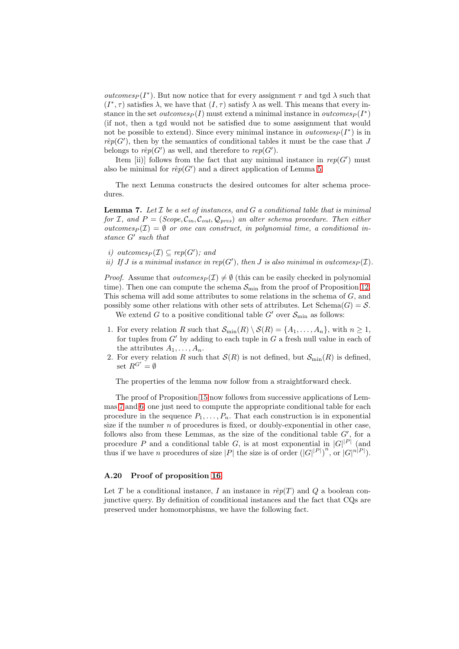outcomes<sub>P</sub>( $I^*$ ). But now notice that for every assignment  $\tau$  and tgd  $\lambda$  such that  $(I^*, \tau)$  satisfies  $\lambda$ , we have that  $(I, \tau)$  satisfy  $\lambda$  as well. This means that every instance in the set  $outcomes_P(I)$  must extend a minimal instance in  $outcomes_P(I^*)$ (if not, then a tgd would not be satisfied due to some assignment that would not be possible to extend). Since every minimal instance in *outcomes* $P(I^*)$  is in  $r\hat{e}p(G')$ , then by the semantics of conditional tables it must be the case that J belongs to  $r\hat{e}p(G')$  as well, and therefore to  $rep(G')$ .

Item [ii)] follows from the fact that any minimal instance in  $rep(G')$  must also be minimal for  $r\hat{e}p(G')$  and a direct application of Lemma [5.](#page-52-0)

<span id="page-53-0"></span>The next Lemma constructs the desired outcomes for alter schema procedures.

**Lemma 7.** Let  $I$  be a set of instances, and  $G$  a conditional table that is minimal for I, and  $P = (Scope, C_{in}, C_{out}, Q_{pres})$  an alter schema procedure. Then either outcomes $P(\mathcal{I}) = \emptyset$  or one can construct, in polynomial time, a conditional instance G′ such that

- i) outcomes  $P(\mathcal{I}) \subseteq rep(G')$ ; and
- ii) If J is a minimal instance in rep(G'), then J is also minimal in outcomes $_P(\mathcal{I})$ .

*Proof.* Assume that  $outcomes_P(\mathcal{I}) \neq \emptyset$  (this can be easily checked in polynomial time). Then one can compute the schema  $S_{\min}$  from the proof of Proposition [12.](#page-20-1) This schema will add some attributes to some relations in the schema of G, and possibly some other relations with other sets of attributes. Let  $\text{Schema}(G) = \mathcal{S}$ .

We extend G to a positive conditional table G' over  $\mathcal{S}_{\text{min}}$  as follows:

- 1. For every relation R such that  $\mathcal{S}_{\min}(R) \setminus \mathcal{S}(R) = \{A_1, \ldots, A_n\}$ , with  $n \geq 1$ , for tuples from  $G'$  by adding to each tuple in  $G$  a fresh null value in each of the attributes  $A_1, \ldots, A_n$ .
- 2. For every relation R such that  $\mathcal{S}(R)$  is not defined, but  $\mathcal{S}_{\min}(R)$  is defined, set  $R^{G'} = \emptyset$

The properties of the lemma now follow from a straightforward check.

The proof of Proposition [15](#page-22-0) now follows from successive applications of Lemmas [7](#page-53-0) and [6:](#page-52-1) one just need to compute the appropriate conditional table for each procedure in the sequence  $P_1, \ldots, P_n$ . That each construction is in exponential size if the number  $n$  of procedures is fixed, or doubly-exponential in other case, follows also from these Lemmas, as the size of the conditional table  $G'$ , for a procedure P and a conditional table G, is at most exponential in  $|G|^{p}$  (and thus if we have *n* procedures of size |*P*| the size is of order  $(|G|^{|P|})^n$ , or  $|G|^{\lfloor n |P|}$ ).

## A.20 Proof of proposition [16](#page-22-1)

Let T be a conditional instance, I an instance in  $r\hat{e}p(T)$  and Q a boolean conjunctive query. By definition of conditional instances and the fact that CQs are preserved under homomorphisms, we have the following fact.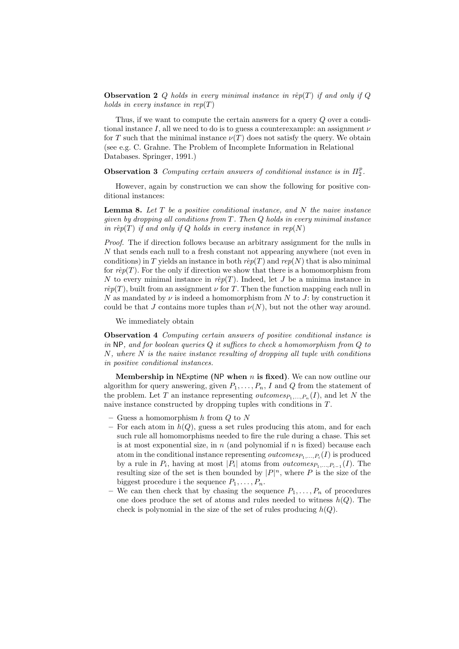**Observation 2** Q holds in every minimal instance in rêp(T) if and only if Q holds in every instance in  $rep(T)$ 

Thus, if we want to compute the certain answers for a query Q over a conditional instance I, all we need to do is to guess a counterexample: an assignment  $\nu$ for T such that the minimal instance  $\nu(T)$  does not satisfy the query. We obtain (see e.g. C. Grahne. The Problem of Incomplete Information in Relational Databases. Springer, 1991.)

**Observation 3** Computing certain answers of conditional instance is in  $\Pi_2^p$ .

However, again by construction we can show the following for positive conditional instances:

**Lemma 8.** Let  $T$  be a positive conditional instance, and  $N$  the naive instance given by dropping all conditions from  $T$ . Then  $Q$  holds in every minimal instance in rêp(T) if and only if Q holds in every instance in rep(N)

Proof. The if direction follows because an arbitrary assignment for the nulls in N that sends each null to a fresh constant not appearing anywhere (not even in conditions) in T yields an instance in both  $r\hat{e}p(T)$  and  $rep(N)$  that is also minimal for  $r\hat{e}p(T)$ . For the only if direction we show that there is a homomorphism from N to every minimal instance in  $r\hat{e}p(T)$ . Indeed, let J be a minima instance in  $r\hat{e}p(T)$ , built from an assignment  $\nu$  for T. Then the function mapping each null in N as mandated by  $\nu$  is indeed a homomorphism from N to J: by construction it could be that J contains more tuples than  $\nu(N)$ , but not the other way around.

We immediately obtain

Observation 4 Computing certain answers of positive conditional instance is in NP, and for boolean queries Q it suffices to check a homomorphism from Q to  $N$ , where  $N$  is the naive instance resulting of dropping all tuple with conditions in positive conditional instances.

Membership in NExptime (NP when  $n$  is fixed). We can now outline our algorithm for query answering, given  $P_1, \ldots, P_n$ , I and Q from the statement of the problem. Let T an instance representing *outcomes* $P_1, ..., P_n(I)$ , and let N the naive instance constructed by dropping tuples with conditions in  $T$ .

- Guess a homomorphism  $h$  from  $Q$  to  $N$
- For each atom in  $h(Q)$ , guess a set rules producing this atom, and for each such rule all homomorphisms needed to fire the rule during a chase. This set is at most exponential size, in  $n$  (and polynomial if  $n$  is fixed) because each atom in the conditional instance representing  $outcomes_{P_1,...,P_i}(I)$  is produced by a rule in  $P_i$ , having at most  $|P_i|$  atoms from *outcomes* $P_1, ..., P_{i-1}(I)$ . The resulting size of the set is then bounded by  $|P|^n$ , where P is the size of the biggest procedure i the sequence  $P_1, \ldots, P_n$ .
- We can then check that by chasing the sequence  $P_1, \ldots, P_n$  of procedures one does produce the set of atoms and rules needed to witness  $h(Q)$ . The check is polynomial in the size of the set of rules producing  $h(Q)$ .